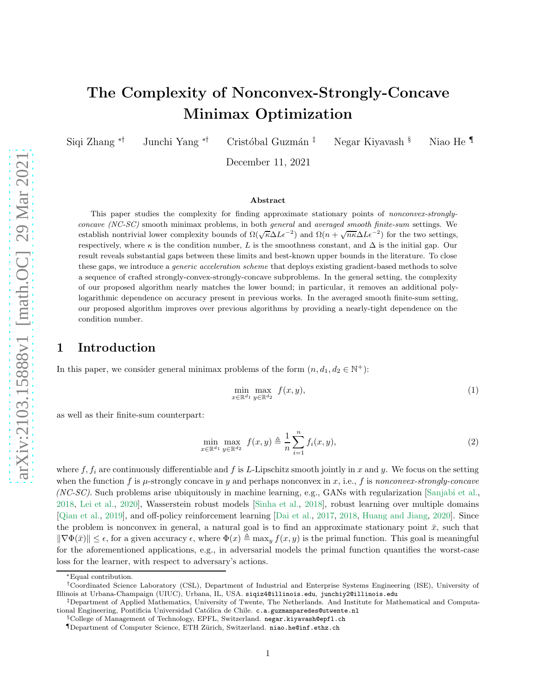# The Complexity of Nonconvex-Strongly-Concave Minimax Optimization

Siqi Zhang <sup>\*†</sup> Junchi Yang <sup>\*†</sup> Cristóbal Guzmán <sup>‡</sup> Negar Kiyavash § Niao He ¶

December 11, 2021

#### Abstract

This paper studies the complexity for finding approximate stationary points of nonconvex-stronglyconcave (NC-SC) smooth minimax problems, in both general and averaged smooth finite-sum settings. We establish nontrivial lower complexity bounds of  $\Omega(\sqrt{\kappa}\Delta L\epsilon^{-2})$  and  $\Omega(n+\sqrt{n\kappa}\Delta L\epsilon^{-2})$  for the two settings, respectively, where  $\kappa$  is the condition number, L is the smoothness constant, and  $\Delta$  is the initial gap. Our result reveals substantial gaps between these limits and best-known upper bounds in the literature. To close these gaps, we introduce a *generic acceleration scheme* that deploys existing gradient-based methods to solve a sequence of crafted strongly-convex-strongly-concave subproblems. In the general setting, the complexity of our proposed algorithm nearly matches the lower bound; in particular, it removes an additional polylogarithmic dependence on accuracy present in previous works. In the averaged smooth finite-sum setting, our proposed algorithm improves over previous algorithms by providing a nearly-tight dependence on the condition number.

# 1 Introduction

In this paper, we consider general minimax problems of the form  $(n, d_1, d_2 \in \mathbb{N}^+)$ :

<span id="page-0-0"></span>
$$
\min_{x \in \mathbb{R}^{d_1}} \max_{y \in \mathbb{R}^{d_2}} f(x, y),\tag{1}
$$

as well as their finite-sum counterpart:

$$
\min_{x \in \mathbb{R}^{d_1}} \max_{y \in \mathbb{R}^{d_2}} f(x, y) \triangleq \frac{1}{n} \sum_{i=1}^n f_i(x, y), \tag{2}
$$

where  $f, f_i$  are continuously differentiable and f is L-Lipschitz smooth jointly in x and y. We focus on the setting when the function f is  $\mu$ -strongly concave in y and perhaps nonconvex in x, i.e., f is nonconvex-strongly-concave (NC-SC). Such problems arise ubiquitously in machine learning, e.g., GANs with regularization [\[Sanjabi et al.,](#page-17-0) [2018,](#page-17-0) [Lei et al.](#page-15-0), [2020](#page-15-0)], Wasserstein robust models [\[Sinha et al.](#page-17-1), [2018](#page-17-1)], robust learning over multiple domains [\[Qian et al.](#page-17-2), [2019](#page-17-2)], and off-policy reinforcement learning [\[Dai et al.,](#page-14-0) [2017,](#page-14-0) [2018,](#page-14-1) [Huang and Jiang,](#page-15-1) [2020\]](#page-15-1). Since the problem is nonconvex in general, a natural goal is to find an approximate stationary point  $\bar{x}$ , such that  $\|\nabla \Phi(\bar{x})\| \leq \epsilon$ , for a given accuracy  $\epsilon$ , where  $\Phi(x) \triangleq \max_y f(x, y)$  is the primal function. This goal is meaningful for the aforementioned applications, e.g., in adversarial models the primal function quantifies the worst-case loss for the learner, with respect to adversary's actions.

<sup>∗</sup>Equal contribution.

<sup>†</sup>Coordinated Science Laboratory (CSL), Department of Industrial and Enterprise Systems Engineering (ISE), University of Illinois at Urbana-Champaign (UIUC), Urbana, IL, USA. siqiz4@illinois.edu, junchiy2@illinois.edu

<sup>‡</sup>Department of Applied Mathematics, University of Twente, The Netherlands. And Institute for Mathematical and Computational Engineering, Pontificia Universidad Católica de Chile. c.a.guzmanparedes@utwente.nl

 $\S$ College of Management of Technology, EPFL, Switzerland. negar.kiyavash@epfl.ch

<sup>¶</sup>Department of Computer Science, ETH Z¨urich, Switzerland. niao.he@inf.ethz.ch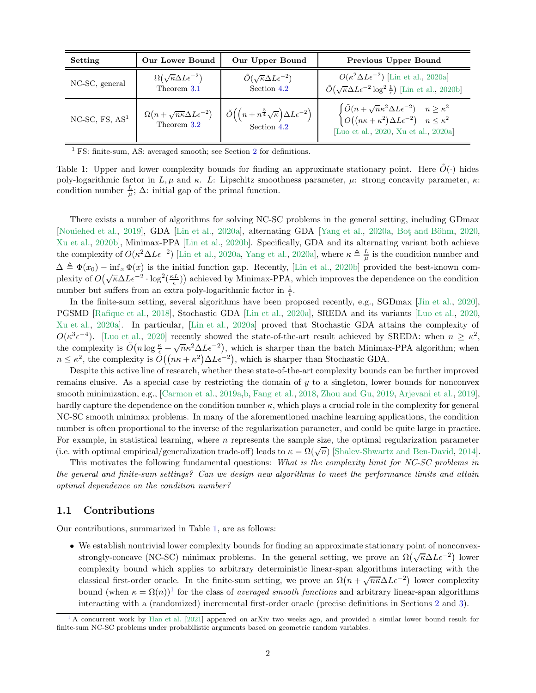<span id="page-1-0"></span>

| Setting             | <b>Our Lower Bound</b>                                     | Our Upper Bound                                                      | <b>Previous Upper Bound</b>                                                                                                                                              |
|---------------------|------------------------------------------------------------|----------------------------------------------------------------------|--------------------------------------------------------------------------------------------------------------------------------------------------------------------------|
| NC-SC, general      | $\Omega(\sqrt{\kappa}\Delta L\epsilon^{-2})$               | $\tilde{O}(\sqrt{\kappa}\Delta L\epsilon^{-2})$                      | $O(\kappa^2 \Delta L \epsilon^{-2})$ [Lin et al., 2020a]                                                                                                                 |
|                     | Theorem 3.1                                                | Section 4.2                                                          | $\tilde{O}(\sqrt{\kappa}\Delta L\epsilon^{-2}\log^2\frac{1}{\epsilon})$ [Lin et al., 2020b]                                                                              |
| $NC$ -SC, FS, $AS1$ | $\Omega\left(n+\sqrt{n\kappa}\Delta L\epsilon^{-2}\right)$ | $\tilde{O}((n + n^{\frac{3}{4}}\sqrt{\kappa})\Delta L\epsilon^{-2})$ | $\begin{cases} \tilde{O}(n + \sqrt{n}\kappa^2 \Delta L \epsilon^{-2}) & n \geq \kappa^2 \\ O((n\kappa + \kappa^2) \Delta L \epsilon^{-2}) & n \leq \kappa^2 \end{cases}$ |
|                     | Theorem 3.2                                                | Section 4.2                                                          | [Luo et al., 2020, Xu et al., 2020a]                                                                                                                                     |

 $<sup>1</sup>$  FS: finite-sum, AS: averaged smooth; see Section [2](#page-3-0) for definitions.</sup>

Table 1: Upper and lower complexity bounds for finding an approximate stationary point. Here  $\tilde{O}(\cdot)$  hides poly-logarithmic factor in L,  $\mu$  and  $\kappa$ . L: Lipschitz smoothness parameter,  $\mu$ : strong concavity parameter,  $\kappa$ : condition number  $\frac{L}{\mu}$ ;  $\Delta$ : initial gap of the primal function.

There exists a number of algorithms for solving NC-SC problems in the general setting, including GDmax [\[Nouiehed et al.,](#page-16-3) [2019](#page-16-3)], GDA [\[Lin et al.,](#page-16-0) [2020a\]](#page-16-0), alternating GDA [\[Yang et al.](#page-17-4), [2020a,](#page-17-4) Bot and Böhm, [2020,](#page-14-2) [Xu et al.,](#page-17-5) [2020b\]](#page-17-5), Minimax-PPA [\[Lin et al.,](#page-16-1) [2020b\]](#page-16-1). Specifically, GDA and its alternating variant both achieve the complexity of  $O(\kappa^2 \Delta L \epsilon^{-2})$  [\[Lin et al.](#page-16-0), [2020a,](#page-16-0) [Yang et al.](#page-17-4), [2020a\]](#page-17-4), where  $\kappa \triangleq \frac{L}{\mu}$  is the condition number and  $\Delta \triangleq \Phi(x_0) - \inf_x \Phi(x)$  is the initial function gap. Recently, [\[Lin et al.,](#page-16-1) [2020b\]](#page-16-1) provided the best-known complexity of  $O(\sqrt{\kappa}\Delta L\epsilon^{-2}\cdot \log^2(\frac{\kappa L}{\epsilon}))$  achieved by Minimax-PPA, which improves the dependence on the condition number but suffers from an extra poly-logarithmic factor in  $\frac{1}{\epsilon}$ .

In the finite-sum setting, several algorithms have been proposed recently, e.g., SGDmax [\[Jin et al.](#page-15-2), [2020](#page-15-2)], PGSMD [\[Rafique et al.](#page-17-6), [2018\]](#page-17-6), Stochastic GDA [\[Lin et al.](#page-16-0), [2020a\]](#page-16-0), SREDA and its variants [\[Luo et al.](#page-16-2), [2020,](#page-16-2) [Xu et al.,](#page-17-3) [2020a\]](#page-17-3). In particular, [\[Lin et al.](#page-16-0), [2020a](#page-16-0)] proved that Stochastic GDA attains the complexity of  $O(\kappa^3 \epsilon^{-4})$ . [\[Luo et al.](#page-16-2), [2020](#page-16-2)] recently showed the state-of-the-art result achieved by SREDA: when  $n \geq \kappa^2$ , the complexity is  $\tilde{O}(n \log \frac{\kappa}{\epsilon} + \sqrt{n} \kappa^2 \Delta L \epsilon^{-2})$ , which is sharper than the batch Minimax-PPA algorithm; when  $n \leq \kappa^2$ , the complexity is  $O((n\kappa + \kappa^2)\Delta L\epsilon^{-2})$ , which is sharper than Stochastic GDA.

Despite this active line of research, whether these state-of-the-art complexity bounds can be further improved remains elusive. As a special case by restricting the domain of y to a singleton, lower bounds for nonconvex smooth minimization, e.g., [\[Carmon et al.](#page-14-3), [2019a](#page-14-3)[,b,](#page-14-4) [Fang et al.](#page-15-3), [2018](#page-15-3), [Zhou and Gu,](#page-18-0) [2019](#page-18-0), [Arjevani et al.,](#page-14-5) [2019](#page-14-5)], hardly capture the dependence on the condition number  $\kappa$ , which plays a crucial role in the complexity for general NC-SC smooth minimax problems. In many of the aforementioned machine learning applications, the condition number is often proportional to the inverse of the regularization parameter, and could be quite large in practice. For example, in statistical learning, where  $n$  represents the sample size, the optimal regularization parameter (i.e. with optimal empirical/generalization trade-off) leads to  $\kappa = \Omega(\sqrt{n})$  [\[Shalev-Shwartz and Ben-David](#page-17-7), [2014\]](#page-17-7).

This motivates the following fundamental questions: What is the complexity limit for NC-SC problems in the general and finite-sum settings? Can we design new algorithms to meet the performance limits and attain optimal dependence on the condition number?

### <span id="page-1-3"></span>1.1 Contributions

Our contributions, summarized in Table [1,](#page-1-0) are as follows:

<span id="page-1-2"></span>• We establish nontrivial lower complexity bounds for finding an approximate stationary point of nonconvexstrongly-concave (NC-SC) minimax problems. In the general setting, we prove an  $\Omega(\sqrt{\kappa}\Delta L\epsilon^{-2})$  lower complexity bound which applies to arbitrary deterministic linear-span algorithms interacting with the classical first-order oracle. In the finite-sum setting, we prove an  $\Omega(n+\sqrt{n\kappa}\Delta L\epsilon^{-2})$  lower complexity bound (when  $\kappa = \Omega(n)$ )<sup>[1](#page-1-1)</sup> for the class of *averaged smooth functions* and arbitrary linear-span algorithms interacting with a (randomized) incremental first-order oracle (precise definitions in Sections [2](#page-3-0) and [3\)](#page-4-0).

<span id="page-1-1"></span><sup>&</sup>lt;sup>[1](#page-1-2)</sup> A concurrent work by [Han et al.](#page-15-4) [\[2021](#page-15-4)] appeared on arXiv two weeks ago, and provided a similar lower bound result for finite-sum NC-SC problems under probabilistic arguments based on geometric random variables.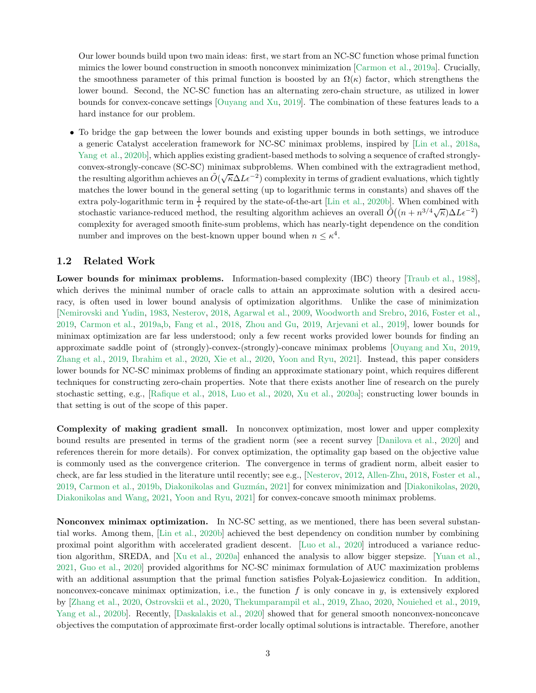Our lower bounds build upon two main ideas: first, we start from an NC-SC function whose primal function mimics the lower bound construction in smooth nonconvex minimization [\[Carmon et al.](#page-14-3), [2019a\]](#page-14-3). Crucially, the smoothness parameter of this primal function is boosted by an  $\Omega(\kappa)$  factor, which strengthens the lower bound. Second, the NC-SC function has an alternating zero-chain structure, as utilized in lower bounds for convex-concave settings [\[Ouyang and Xu,](#page-16-4) [2019\]](#page-16-4). The combination of these features leads to a hard instance for our problem.

• To bridge the gap between the lower bounds and existing upper bounds in both settings, we introduce a generic Catalyst acceleration framework for NC-SC minimax problems, inspired by [\[Lin et al.](#page-16-5), [2018a,](#page-16-5) [Yang et al.,](#page-18-1) [2020b\]](#page-18-1), which applies existing gradient-based methods to solving a sequence of crafted stronglyconvex-strongly-concave (SC-SC) minimax subproblems. When combined with the extragradient method, the resulting algorithm achieves an  $\tilde{O}(\sqrt{\kappa}\Delta L\epsilon^{-2})$  complexity in terms of gradient evaluations, which tightly matches the lower bound in the general setting (up to logarithmic terms in constants) and shaves off the extra poly-logarithmic term in  $\frac{1}{\epsilon}$  required by the state-of-the-art [\[Lin et al.,](#page-16-1) [2020b](#page-16-1)]. When combined with stochastic variance-reduced method, the resulting algorithm achieves an overall  $\tilde{O}((n + n^{3/4}\sqrt{\kappa})\Delta L\epsilon^{-2})$ complexity for averaged smooth finite-sum problems, which has nearly-tight dependence on the condition number and improves on the best-known upper bound when  $n \leq \kappa^4$ .

### 1.2 Related Work

Lower bounds for minimax problems. Information-based complexity (IBC) theory [\[Traub et al.](#page-17-8), [1988](#page-17-8)], which derives the minimal number of oracle calls to attain an approximate solution with a desired accuracy, is often used in lower bound analysis of optimization algorithms. Unlike the case of minimization [\[Nemirovski and Yudin](#page-16-6), [1983,](#page-16-6) [Nesterov,](#page-16-7) [2018,](#page-16-7) [Agarwal et al.](#page-14-6), [2009](#page-14-6), [Woodworth and Srebro,](#page-17-9) [2016,](#page-17-9) [Foster et al.,](#page-15-5) [2019,](#page-15-5) [Carmon et al.](#page-14-3), [2019a](#page-14-3)[,b](#page-14-4), [Fang et al.](#page-15-3), [2018,](#page-15-3) [Zhou and Gu,](#page-18-0) [2019,](#page-18-0) [Arjevani et al.](#page-14-5), [2019\]](#page-14-5), lower bounds for minimax optimization are far less understood; only a few recent works provided lower bounds for finding an approximate saddle point of (strongly)-convex-(strongly)-concave minimax problems [\[Ouyang and Xu](#page-16-4), [2019,](#page-16-4) [Zhang et al.](#page-18-2), [2019](#page-18-2), [Ibrahim et al.,](#page-15-6) [2020,](#page-15-6) [Xie et al.,](#page-17-10) [2020,](#page-17-10) [Yoon and Ryu](#page-18-3), [2021](#page-18-3)]. Instead, this paper considers lower bounds for NC-SC minimax problems of finding an approximate stationary point, which requires different techniques for constructing zero-chain properties. Note that there exists another line of research on the purely stochastic setting, e.g., [\[Rafique et al.,](#page-17-6) [2018,](#page-17-6) [Luo et al.](#page-16-2), [2020,](#page-16-2) [Xu et al.](#page-17-3), [2020a\]](#page-17-3); constructing lower bounds in that setting is out of the scope of this paper.

Complexity of making gradient small. In nonconvex optimization, most lower and upper complexity bound results are presented in terms of the gradient norm (see a recent survey [\[Danilova et al.](#page-14-7), [2020\]](#page-14-7) and references therein for more details). For convex optimization, the optimality gap based on the objective value is commonly used as the convergence criterion. The convergence in terms of gradient norm, albeit easier to check, are far less studied in the literature until recently; see e.g., [\[Nesterov](#page-16-8), [2012,](#page-16-8) [Allen-Zhu](#page-14-8), [2018](#page-14-8), [Foster et al.,](#page-15-5) [2019,](#page-15-5) [Carmon et al.,](#page-14-4) [2019b,](#page-14-4) Diakonikolas and Guzmán, [2021\]](#page-15-7) for convex minimization and [\[Diakonikolas,](#page-15-8) [2020,](#page-15-8) [Diakonikolas and Wang,](#page-15-9) [2021,](#page-15-9) [Yoon and Ryu](#page-18-3), [2021\]](#page-18-3) for convex-concave smooth minimax problems.

Nonconvex minimax optimization. In NC-SC setting, as we mentioned, there has been several substantial works. Among them, [\[Lin et al.,](#page-16-1) [2020b\]](#page-16-1) achieved the best dependency on condition number by combining proximal point algorithm with accelerated gradient descent. [\[Luo et al.](#page-16-2), [2020\]](#page-16-2) introduced a variance reduction algorithm, SREDA, and [\[Xu et al.](#page-17-3), [2020a\]](#page-17-3) enhanced the analysis to allow bigger stepsize. [\[Yuan et al.,](#page-18-4) [2021,](#page-18-4) [Guo et al.](#page-15-10), [2020\]](#page-15-10) provided algorithms for NC-SC minimax formulation of AUC maximization problems with an additional assumption that the primal function satisfies Polyak-Lojasiewicz condition. In addition, nonconvex-concave minimax optimization, i.e., the function  $f$  is only concave in  $y$ , is extensively explored by [\[Zhang et al.,](#page-18-5) [2020,](#page-18-5) [Ostrovskii et al.,](#page-16-9) [2020,](#page-16-9) [Thekumparampil et al.](#page-17-11), [2019](#page-17-11), [Zhao,](#page-18-6) [2020,](#page-18-6) [Nouiehed et al.,](#page-16-3) [2019,](#page-16-3) [Yang et al.](#page-18-1), [2020b](#page-18-1)]. Recently, [\[Daskalakis et al.](#page-14-9), [2020\]](#page-14-9) showed that for general smooth nonconvex-nonconcave objectives the computation of approximate first-order locally optimal solutions is intractable. Therefore, another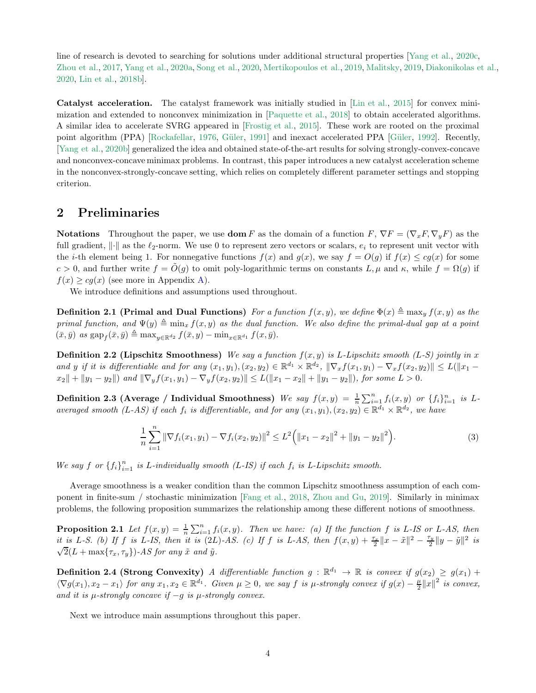line of research is devoted to searching for solutions under additional structural properties [\[Yang et al.](#page-18-7), [2020c,](#page-18-7) [Zhou et al.](#page-18-8), [2017,](#page-18-8) [Yang et al.,](#page-17-4) [2020a,](#page-17-4) [Song et al.](#page-17-12), [2020](#page-17-12), [Mertikopoulos et al.,](#page-16-10) [2019,](#page-16-10) [Malitsky,](#page-16-11) [2019,](#page-16-11) [Diakonikolas et al.](#page-15-11), [2020,](#page-15-11) [Lin et al.,](#page-16-12) [2018b](#page-16-12)].

Catalyst acceleration. The catalyst framework was initially studied in [\[Lin et al.,](#page-16-13) [2015\]](#page-16-13) for convex minimization and extended to nonconvex minimization in [\[Paquette et al.](#page-17-13), [2018\]](#page-17-13) to obtain accelerated algorithms. A similar idea to accelerate SVRG appeared in [\[Frostig et al.,](#page-15-12) [2015](#page-15-12)]. These work are rooted on the proximal point algorithm (PPA) [\[Rockafellar,](#page-17-14) [1976](#page-17-14), Güler, [1991\]](#page-15-13) and inexact accelerated PPA [Güler, [1992](#page-15-14)]. Recently, [\[Yang et al.](#page-18-1), [2020b\]](#page-18-1) generalized the idea and obtained state-of-the-art results for solving strongly-convex-concave and nonconvex-concave minimax problems. In contrast, this paper introduces a new catalyst acceleration scheme in the nonconvex-strongly-concave setting, which relies on completely different parameter settings and stopping criterion.

# <span id="page-3-0"></span>2 Preliminaries

**Notations** Throughout the paper, we use **dom** F as the domain of a function  $F, \nabla F = (\nabla_x F, \nabla_y F)$  as the full gradient,  $\|\cdot\|$  as the  $\ell_2$ -norm. We use 0 to represent zero vectors or scalars,  $e_i$  to represent unit vector with the *i*-th element being 1. For nonnegative functions  $f(x)$  and  $g(x)$ , we say  $f = O(g)$  if  $f(x) \le cg(x)$  for some c > 0, and further write  $f = \tilde{O}(g)$  to omit poly-logarithmic terms on constants L,  $\mu$  and  $\kappa$ , while  $f = \Omega(g)$  if  $f(x) \geq cg(x)$  (see more in Appendix [A\)](#page-19-0).

We introduce definitions and assumptions used throughout.

**Definition 2.1 (Primal and Dual Functions)** For a function  $f(x, y)$ , we define  $\Phi(x) \triangleq \max_y f(x, y)$  as the primal function, and  $\Psi(y) \triangleq \min_x f(x, y)$  as the dual function. We also define the primal-dual gap at a point  $(\bar{x}, \bar{y})$  as  $\text{gap}_f(\bar{x}, \bar{y}) \triangleq \max_{y \in \mathbb{R}^{d_2}} f(\bar{x}, y) - \min_{x \in \mathbb{R}^{d_1}} f(x, \bar{y}).$ 

**Definition 2.2 (Lipschitz Smoothness)** We say a function  $f(x, y)$  is L-Lipschitz smooth (L-S) jointly in x and y if it is differentiable and for any  $(x_1, y_1), (x_2, y_2) \in \mathbb{R}^{d_1} \times \mathbb{R}^{d_2}$ ,  $\|\nabla_x f(x_1, y_1) - \nabla_x f(x_2, y_2)\| \le L(\|x_1 - x_2\|)$  $x_2 \| + \|y_1 - y_2\|$  and  $\|\nabla_y f(x_1, y_1) - \nabla_y f(x_2, y_2)\| \le L(\|x_1 - x_2\| + \|y_1 - y_2\|)$ , for some  $L > 0$ .

**Definition 2.3 (Average / Individual Smoothness)** We say  $f(x,y) = \frac{1}{n} \sum_{i=1}^{n} f_i(x,y)$  or  $\{f_i\}_{i=1}^{n}$  is Laveraged smooth (L-AS) if each  $f_i$  is differentiable, and for any  $(x_1, y_1), (x_2, y_2) \in \mathbb{R}^{d_1} \times \mathbb{R}^{d_2}$ , we have

$$
\frac{1}{n}\sum_{i=1}^{n} \|\nabla f_i(x_1, y_1) - \nabla f_i(x_2, y_2)\|^2 \leq L^2 \left( \|x_1 - x_2\|^2 + \|y_1 - y_2\|^2 \right).
$$
 (3)

We say  $f$  or  ${f_i}_{i=1}^n$  is L-individually smooth (L-IS) if each  $f_i$  is L-Lipschitz smooth.

Average smoothness is a weaker condition than the common Lipschitz smoothness assumption of each component in finite-sum / stochastic minimization [\[Fang et al.](#page-15-3), [2018,](#page-15-3) [Zhou and Gu,](#page-18-0) [2019\]](#page-18-0). Similarly in minimax problems, the following proposition summarizes the relationship among these different notions of smoothness.

<span id="page-3-2"></span>**Proposition 2.1** Let  $f(x,y) = \frac{1}{n} \sum_{i=1}^{n} f_i(x,y)$ . Then we have: (a) If the function f is L-IS or L-AS, then it is L-S. (b) If f is L-IS, then it is  $(2L)$ -AS. (c) If f is L-AS, then  $f(x,y) + \frac{\tau_x}{2}||x - \tilde{x}||^2 - \frac{\tau_y}{2}$  $\frac{\tau_y}{2} \|y - \tilde{y}\|^2$  is  $\sqrt{2}(L+\max\{\tau_x,\tau_y\})$ -AS for any  $\tilde{x}$  and  $\tilde{y}$ .

**Definition 2.4 (Strong Convexity)** A differentiable function  $g : \mathbb{R}^{d_1} \to \mathbb{R}$  is convex if  $g(x_2) \geq g(x_1) +$  $\langle \nabla g(x_1), x_2 - x_1 \rangle$  for any  $x_1, x_2 \in \mathbb{R}^{d_1}$ . Given  $\mu \geq 0$ , we say f is  $\mu$ -strongly convex if  $g(x) - \frac{\mu}{2} ||x||^2$  is convex, and it is  $\mu$ -strongly concave if  $-g$  is  $\mu$ -strongly convex.

<span id="page-3-1"></span>Next we introduce main assumptions throughout this paper.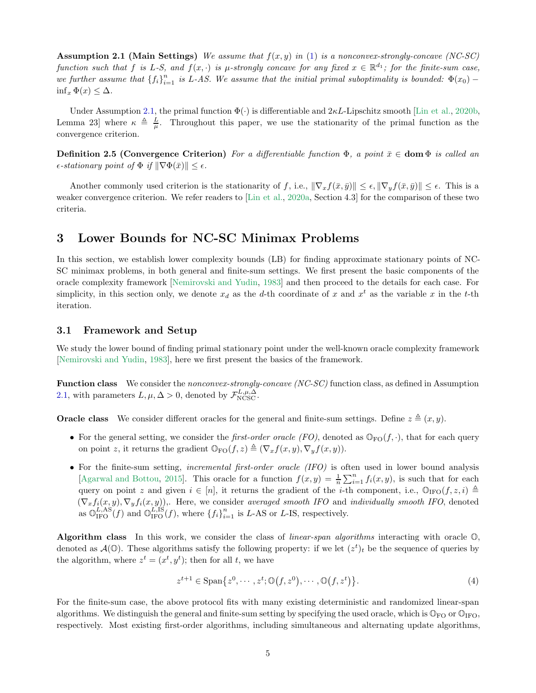**Assumption 2.1 (Main Settings)** We assume that  $f(x, y)$  in [\(1\)](#page-0-0) is a nonconvex-strongly-concave (NC-SC) function such that f is L-S, and  $f(x, \cdot)$  is  $\mu$ -strongly concave for any fixed  $x \in \mathbb{R}^{d_1}$ ; for the finite-sum case, we further assume that  ${f_i}_{i=1}^n$  is L-AS. We assume that the initial primal suboptimality is bounded:  $\Phi(x_0)$  –  $\inf_x \Phi(x) \leq \Delta$ .

Under Assumption [2.1,](#page-3-1) the primal function  $\Phi(\cdot)$  is differentiable and  $2\kappa L$ -Lipschitz smooth [\[Lin et al.,](#page-16-1) [2020b,](#page-16-1) Lemma 23] where  $\kappa \triangleq \frac{L}{\mu}$ . Throughout this paper, we use the stationarity of the primal function as the convergence criterion.

**Definition 2.5 (Convergence Criterion)** For a differentiable function  $\Phi$ , a point  $\bar{x} \in$  **dom**  $\Phi$  is called an  $\epsilon$ -stationary point of  $\Phi$  if  $\|\nabla \Phi(\bar{x})\| \leq \epsilon$ .

Another commonly used criterion is the stationarity of f, i.e.,  $\|\nabla_x f(\bar{x}, \bar{y})\| \leq \epsilon$ ,  $\|\nabla_y f(\bar{x}, \bar{y})\| \leq \epsilon$ . This is a weaker convergence criterion. We refer readers to [\[Lin et al.,](#page-16-0) [2020a,](#page-16-0) Section 4.3] for the comparison of these two criteria.

# <span id="page-4-0"></span>3 Lower Bounds for NC-SC Minimax Problems

In this section, we establish lower complexity bounds (LB) for finding approximate stationary points of NC-SC minimax problems, in both general and finite-sum settings. We first present the basic components of the oracle complexity framework [\[Nemirovski and Yudin](#page-16-6), [1983\]](#page-16-6) and then proceed to the details for each case. For simplicity, in this section only, we denote  $x_d$  as the d-th coordinate of x and  $x^t$  as the variable x in the t-th iteration.

### 3.1 Framework and Setup

We study the lower bound of finding primal stationary point under the well-known oracle complexity framework [\[Nemirovski and Yudin](#page-16-6), [1983](#page-16-6)], here we first present the basics of the framework.

Function class We consider the nonconvex-strongly-concave (NC-SC) function class, as defined in Assumption [2.1,](#page-3-1) with parameters  $L, \mu, \Delta > 0$ , denoted by  $\mathcal{F}_{NCSC}^{L,\mu,\Delta}$ .

**Oracle class** We consider different oracles for the general and finite-sum settings. Define  $z \triangleq (x, y)$ .

- For the general setting, we consider the *first-order oracle (FO)*, denoted as  $\mathbb{O}_{\text{FO}}(f, \cdot)$ , that for each query on point z, it returns the gradient  $\mathbb{O}_{\text{FO}}(f, z) \triangleq (\nabla_x f(x, y), \nabla_y f(x, y)).$
- For the finite-sum setting, incremental first-order oracle (IFO) is often used in lower bound analysis [\[Agarwal and Bottou,](#page-14-10) [2015](#page-14-10)]. This oracle for a function  $f(x,y) = \frac{1}{n} \sum_{i=1}^{n} f_i(x,y)$ , is such that for each query on point z and given  $i \in [n]$ , it returns the gradient of the *i*-th component, i.e.,  $\mathbb{O}_{\text{IFO}}(f, z, i) \triangleq$  $(\nabla_x f_i(x, y), \nabla_y f_i(x, y))$ ,. Here, we consider averaged smooth IFO and individually smooth IFO, denoted as  $\mathbb{O}_{\text{IFO}}^{L,AS}(f)$  and  $\mathbb{O}_{\text{IFO}}^{L,IS}(f)$ , where  $\{f_i\}_{i=1}^n$  is L-AS or L-IS, respectively.

Algorithm class In this work, we consider the class of *linear-span algorithms* interacting with oracle  $\mathbb{O}$ , denoted as  $\mathcal{A}(\mathbb{O})$ . These algorithms satisfy the following property: if we let  $(z^t)_t$  be the sequence of queries by the algorithm, where  $z^t = (x^t, y^t)$ ; then for all t, we have

$$
z^{t+1} \in \text{Span}\{z^0, \cdots, z^t; \mathbb{O}(f, z^0), \cdots, \mathbb{O}(f, z^t)\}.
$$
 (4)

For the finite-sum case, the above protocol fits with many existing deterministic and randomized linear-span algorithms. We distinguish the general and finite-sum setting by specifying the used oracle, which is  $\mathbb{O}_{\text{FO}}$  or  $\mathbb{O}_{\text{IFO}}$ , respectively. Most existing first-order algorithms, including simultaneous and alternating update algorithms,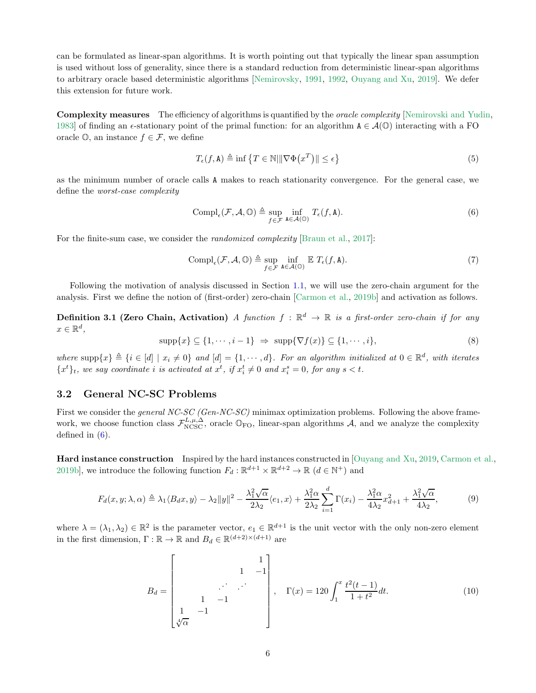can be formulated as linear-span algorithms. It is worth pointing out that typically the linear span assumption is used without loss of generality, since there is a standard reduction from deterministic linear-span algorithms to arbitrary oracle based deterministic algorithms [\[Nemirovsky,](#page-16-14) [1991,](#page-16-14) [1992,](#page-16-15) [Ouyang and Xu,](#page-16-4) [2019](#page-16-4)]. We defer this extension for future work.

Complexity measures The efficiency of algorithms is quantified by the *oracle complexity* [\[Nemirovski and Yudin](#page-16-6), [1983](#page-16-6)] of finding an  $\epsilon$ -stationary point of the primal function: for an algorithm  $A \in \mathcal{A}(\mathbb{O})$  interacting with a FO oracle  $\mathbb{O}$ , an instance  $f \in \mathcal{F}$ , we define

$$
T_{\epsilon}(f,\mathbf{A}) \triangleq \inf \left\{ T \in \mathbb{N} \middle| \|\nabla \Phi(x^T)\| \le \epsilon \right\}
$$
\n<sup>(5)</sup>

as the minimum number of oracle calls A makes to reach stationarity convergence. For the general case, we define the worst-case complexity

<span id="page-5-0"></span>
$$
\text{Compl}_{\epsilon}(\mathcal{F}, \mathcal{A}, \mathbb{O}) \triangleq \sup_{f \in \mathcal{F}} \inf_{\mathbf{A} \in \mathcal{A}(\mathbb{O})} T_{\epsilon}(f, \mathbf{A}). \tag{6}
$$

For the finite-sum case, we consider the *randomized complexity* [\[Braun et al.](#page-14-11), [2017\]](#page-14-11):

<span id="page-5-2"></span>
$$
\operatorname{Compl}_{\epsilon}(\mathcal{F}, \mathcal{A}, \mathbb{O}) \triangleq \sup_{f \in \mathcal{F}} \inf_{\mathbf{A} \in \mathcal{A}(\mathbb{O})} \mathbb{E} \, T_{\epsilon}(f, \mathbf{A}). \tag{7}
$$

Following the motivation of analysis discussed in Section [1.1,](#page-1-3) we will use the zero-chain argument for the analysis. First we define the notion of (first-order) zero-chain [\[Carmon et al.](#page-14-4), [2019b\]](#page-14-4) and activation as follows.

**Definition 3.1 (Zero Chain, Activation)** A function  $f : \mathbb{R}^d \to \mathbb{R}$  is a first-order zero-chain if for any  $x \in \mathbb{R}^d$ ,

$$
\text{supp}\{x\} \subseteq \{1, \cdots, i-1\} \implies \text{supp}\{\nabla f(x)\} \subseteq \{1, \cdots, i\},\tag{8}
$$

where  $\text{supp}\{x\} \triangleq \{i \in [d] \mid x_i \neq 0\}$  and  $[d] = \{1, \dots, d\}$ . For an algorithm initialized at  $0 \in \mathbb{R}^d$ , with iterates  ${x<sup>t</sup>}$ <sub>t</sub>, we say coordinate *i* is activated at  $x<sup>t</sup>$ , if  $x<sup>t</sup>$   $\neq$  0 and  $x<sup>s</sup>$  = 0, for any  $s < t$ .

# 3.2 General NC-SC Problems

First we consider the *general NC-SC* (Gen-NC-SC) minimax optimization problems. Following the above framework, we choose function class  $\mathcal{F}_{N\text{CSC}}^{L,\mu,\Delta}$ , oracle  $\mathbb{O}_{\text{FO}}$ , linear-span algorithms A, and we analyze the complexity defined in  $(6)$ .

Hard instance construction Inspired by the hard instances constructed in [\[Ouyang and Xu,](#page-16-4) [2019,](#page-16-4) [Carmon et al.](#page-14-4), [2019b](#page-14-4)], we introduce the following function  $F_d : \mathbb{R}^{d+1} \times \mathbb{R}^{d+2} \to \mathbb{R}$   $(d \in \mathbb{N}^+)$  and

$$
F_d(x, y; \lambda, \alpha) \triangleq \lambda_1 \langle B_d x, y \rangle - \lambda_2 \|y\|^2 - \frac{\lambda_1^2 \sqrt{\alpha}}{2\lambda_2} \langle e_1, x \rangle + \frac{\lambda_1^2 \alpha}{2\lambda_2} \sum_{i=1}^d \Gamma(x_i) - \frac{\lambda_1^2 \alpha}{4\lambda_2} x_{d+1}^2 + \frac{\lambda_1^2 \sqrt{\alpha}}{4\lambda_2},\tag{9}
$$

<span id="page-5-1"></span>where  $\lambda = (\lambda_1, \lambda_2) \in \mathbb{R}^2$  is the parameter vector,  $e_1 \in \mathbb{R}^{d+1}$  is the unit vector with the only non-zero element in the first dimension,  $\Gamma : \mathbb{R} \to \mathbb{R}$  and  $B_d \in \mathbb{R}^{(d+2)\times(d+1)}$  are

$$
B_d = \begin{bmatrix} 1 & 1 \\ 1 & -1 \\ 1 & -1 \\ 1 & -1 \end{bmatrix}, \quad \Gamma(x) = 120 \int_1^x \frac{t^2(t-1)}{1+t^2} dt. \tag{10}
$$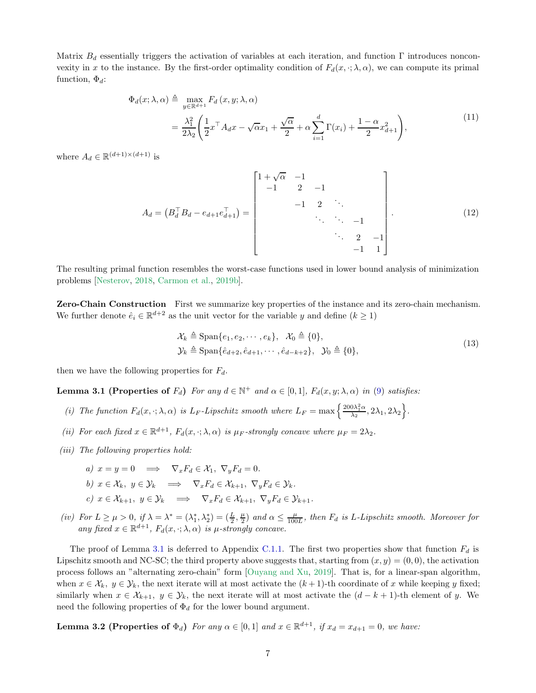Matrix  $B_d$  essentially triggers the activation of variables at each iteration, and function Γ introduces nonconvexity in x to the instance. By the first-order optimality condition of  $F_d(x, \cdot; \lambda, \alpha)$ , we can compute its primal function,  $\Phi_d$ :

$$
\Phi_d(x; \lambda, \alpha) \triangleq \max_{y \in \mathbb{R}^{d+1}} F_d(x, y; \lambda, \alpha)
$$
  
= 
$$
\frac{\lambda_1^2}{2\lambda_2} \left( \frac{1}{2} x^\top A_d x - \sqrt{\alpha} x_1 + \frac{\sqrt{\alpha}}{2} + \alpha \sum_{i=1}^d \Gamma(x_i) + \frac{1 - \alpha}{2} x_{d+1}^2 \right),
$$
 (11)

<span id="page-6-3"></span><span id="page-6-2"></span>where  $A_d \in \mathbb{R}^{(d+1)\times(d+1)}$  is

$$
A_{d} = (B_{d}^{\top} B_{d} - e_{d+1} e_{d+1}^{\top}) = \begin{bmatrix} 1 + \sqrt{\alpha} & -1 & & & \\ -1 & 2 & -1 & & \\ & & -1 & 2 & \ddots & \\ & & & \ddots & \ddots & -1 \\ & & & & \ddots & 2 & -1 \\ & & & & & -1 & 1 \end{bmatrix} .
$$
 (12)

The resulting primal function resembles the worst-case functions used in lower bound analysis of minimization problems [\[Nesterov](#page-16-7), [2018](#page-16-7), [Carmon et al.,](#page-14-4) [2019b\]](#page-14-4).

Zero-Chain Construction First we summarize key properties of the instance and its zero-chain mechanism. We further denote  $\hat{e}_i \in \mathbb{R}^{d+2}$  as the unit vector for the variable y and define  $(k \ge 1)$ 

$$
\mathcal{X}_k \triangleq \text{Span}\{e_1, e_2, \cdots, e_k\}, \quad \mathcal{X}_0 \triangleq \{0\},
$$
  

$$
\mathcal{Y}_k \triangleq \text{Span}\{\hat{e}_{d+2}, \hat{e}_{d+1}, \cdots, \hat{e}_{d-k+2}\}, \quad \mathcal{Y}_0 \triangleq \{0\},
$$
 (13)

<span id="page-6-0"></span>then we have the following properties for  $F_d$ .

**Lemma 3.1 (Properties of**  $F_d$ ) For any  $d \in \mathbb{N}^+$  and  $\alpha \in [0, 1]$ ,  $F_d(x, y; \lambda, \alpha)$  in [\(9\)](#page-5-1) satisfies:

- (i) The function  $F_d(x, \cdot; \lambda, \alpha)$  is  $L_F$ -Lipschitz smooth where  $L_F = \max\left\{\frac{200\lambda_1^2\alpha}{\lambda_2}, 2\lambda_1, 2\lambda_2\right\}$ .
- (ii) For each fixed  $x \in \mathbb{R}^{d+1}$ ,  $F_d(x, \cdot; \lambda, \alpha)$  is  $\mu_F$ -strongly concave where  $\mu_F = 2\lambda_2$ .
- (*iii*) The following properties hold:
	- a)  $x = y = 0 \implies \nabla_x F_d \in \mathcal{X}_1, \nabla_y F_d = 0.$ b)  $x \in \mathcal{X}_k$ ,  $y \in \mathcal{Y}_k \implies \nabla_x F_d \in \mathcal{X}_{k+1}$ ,  $\nabla_y F_d \in \mathcal{Y}_k$ . c)  $x \in \mathcal{X}_{k+1}, y \in \mathcal{Y}_k \implies \nabla_x F_d \in \mathcal{X}_{k+1}, \nabla_y F_d \in \mathcal{Y}_{k+1}.$
- (iv) For  $L \ge \mu > 0$ , if  $\lambda = \lambda^* = (\lambda_1^*, \lambda_2^*) = (\frac{L}{2}, \frac{\mu}{2})$  and  $\alpha \le \frac{\mu}{100L}$ , then  $F_d$  is L-Lipschitz smooth. Moreover for any fixed  $x \in \mathbb{R}^{d+1}$ ,  $F_d(x, \cdot; \lambda, \alpha)$  is  $\mu$ -strongly concave.

The proof of Lemma [3.1](#page-6-0) is deferred to Appendix [C.1.1.](#page-21-0) The first two properties show that function  $F_d$  is Lipschitz smooth and NC-SC; the third property above suggests that, starting from  $(x, y) = (0, 0)$ , the activation process follows an "alternating zero-chain" form [\[Ouyang and Xu](#page-16-4), [2019\]](#page-16-4). That is, for a linear-span algorithm, when  $x \in \mathcal{X}_k$ ,  $y \in \mathcal{Y}_k$ , the next iterate will at most activate the  $(k+1)$ -th coordinate of x while keeping y fixed; similarly when  $x \in \mathcal{X}_{k+1}$ ,  $y \in \mathcal{Y}_k$ , the next iterate will at most activate the  $(d-k+1)$ -th element of y. We need the following properties of  $\Phi_d$  for the lower bound argument.

<span id="page-6-1"></span>**Lemma 3.2 (Properties of**  $\Phi_d$ ) For any  $\alpha \in [0,1]$  and  $x \in \mathbb{R}^{d+1}$ , if  $x_d = x_{d+1} = 0$ , we have: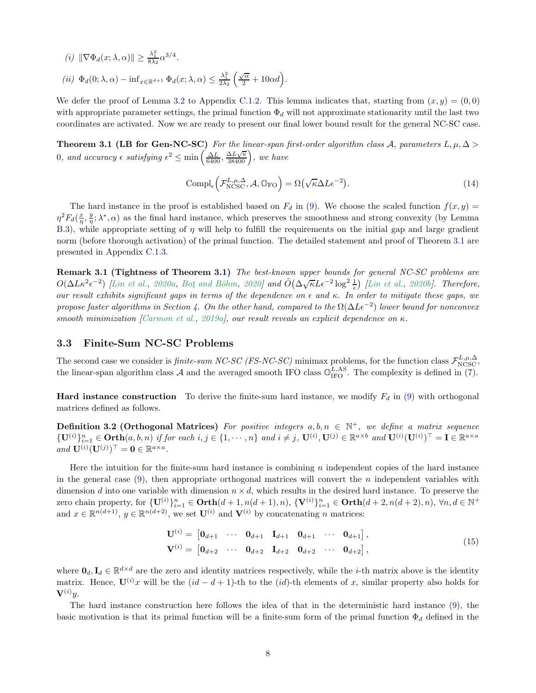(i)  $\|\nabla \Phi_d(x; \lambda, \alpha)\| \geq \frac{\lambda_1^2}{8\lambda_2} \alpha^{3/4}.$  $(ii) \Phi_d(0; \lambda, \alpha) - \inf_{x \in \mathbb{R}^{d+1}} \Phi_d(x; \lambda, \alpha) \leq \frac{\lambda_1^2}{2\lambda_2} \left( \frac{\sqrt{\alpha}}{2} + 10\alpha d \right).$ 

We defer the proof of Lemma [3.2](#page-6-1) to Appendix [C.1.2.](#page-22-0) This lemma indicates that, starting from  $(x, y) = (0, 0)$ with appropriate parameter settings, the primal function  $\Phi_d$  will not approximate stationarity until the last two coordinates are activated. Now we are ready to present our final lower bound result for the general NC-SC case.

<span id="page-7-0"></span>Theorem 3.1 (LB for Gen-NC-SC) For the linear-span first-order algorithm class A, parameters  $L, \mu, \Delta >$ 0, and accuracy  $\epsilon$  satisfying  $\epsilon^2 \le \min\left(\frac{\Delta L}{6400}, \frac{\Delta L \sqrt{\kappa}}{38400}\right)$ , we have

$$
Compl_{\epsilon} \left( \mathcal{F}_{N\text{CSC}}^{L,\mu,\Delta}, \mathcal{A}, \mathbb{O}_{\text{FO}} \right) = \Omega \left( \sqrt{\kappa} \Delta L \epsilon^{-2} \right). \tag{14}
$$

The hard instance in the proof is established based on  $F<sub>d</sub>$  in [\(9\)](#page-5-1). We choose the scaled function  $f(x, y)$  =  $\eta^2 F_d(\frac{x}{\eta}, \frac{y}{\eta}; \lambda^*, \alpha)$  as the final hard instance, which preserves the smoothness and strong convexity (by Lemma [B.3\)](#page-20-0), while appropriate setting of  $\eta$  will help to fulfill the requirements on the initial gap and large gradient norm (before thorough activation) of the primal function. The detailed statement and proof of Theorem [3.1](#page-7-0) are presented in Appendix [C.1.3.](#page-23-0)

Remark 3.1 (Tightness of Theorem [3.1\)](#page-7-0) The best-known upper bounds for general NC-SC problems are  $O(\Delta L\kappa^2\epsilon^{-2})$  [\[Lin et al.](#page-16-1), [2020a](#page-16-0), Bot and Böhm, [2020](#page-14-2)] and  $\tilde{O}(\Delta\sqrt{\kappa}L\epsilon^{-2}\log^2{\frac{1}{\epsilon}})$  [Lin et al., [2020b](#page-16-1)]. Therefore, our result exhibits significant gaps in terms of the dependence on  $\epsilon$  and  $\kappa$ . In order to mitigate these gaps, we propose faster algorithms in Section [4.](#page-9-1) On the other hand, compared to the  $\Omega(\Delta L\epsilon^{-2})$  lower bound for nonconvex smooth minimization [\[Carmon et al.,](#page-14-3) [2019a](#page-14-3)], our result reveals an explicit dependence on  $\kappa$ .

# 3.3 Finite-Sum NC-SC Problems

The second case we consider is finite-sum NC-SC (FS-NC-SC) minimax problems, for the function class  $\mathcal{F}^{L,\mu,\Delta}_{\text{NCSC}}$ , the linear-span algorithm class  $A$  and the averaged smooth IFO class  $\mathbb{O}^{L,AS}_{\text{IFO}}$ . The complexity is defined in [\(7\)](#page-5-2).

**Hard instance construction** To derive the finite-sum hard instance, we modify  $F_d$  in [\(9\)](#page-5-1) with orthogonal matrices defined as follows.

**Definition 3.2 (Orthogonal Matrices)** For positive integers  $a, b, n \in \mathbb{N}^+$ , we define a matrix sequence  ${\bf U}^{(i)}\}_{i=1}^n \in \textbf{Orth}(a, b, n)$  if for each  $i, j \in \{1, \cdots, n\}$  and  $i \neq j$ ,  ${\bf U}^{(i)}$ ,  ${\bf U}^{(j)} \in \mathbb{R}^{a \times b}$  and  ${\bf U}^{(i)}({\bf U}^{(i)})^\top = {\bf I} \in \mathbb{R}^{a \times a}$ and  $\mathbf{U}^{(i)}(\mathbf{U}^{(j)})^{\top} = \mathbf{0} \in \mathbb{R}^{a \times a}$ .

Here the intuition for the finite-sum hard instance is combining n independent copies of the hard instance in the general case  $(9)$ , then appropriate orthogonal matrices will convert the n independent variables with dimension d into one variable with dimension  $n \times d$ , which results in the desired hard instance. To preserve the zero chain property, for  $\{U^{(i)}\}_{i=1}^n \in \textbf{Orth}(d+1, n(d+1), n)$ ,  $\{V^{(i)}\}_{i=1}^n \in \textbf{Orth}(d+2, n(d+2), n)$ ,  $\forall n, d \in \mathbb{N}^+$ and  $x \in \mathbb{R}^{n(d+1)}$ ,  $y \in \mathbb{R}^{n(d+2)}$ , we set  $\mathbf{U}^{(i)}$  and  $\mathbf{V}^{(i)}$  by concatenating n matrices:

$$
\mathbf{U}^{(i)} = \begin{bmatrix} \mathbf{0}_{d+1} & \cdots & \mathbf{0}_{d+1} & \mathbf{I}_{d+1} & \mathbf{0}_{d+1} & \cdots & \mathbf{0}_{d+1} \end{bmatrix}, \n\mathbf{V}^{(i)} = \begin{bmatrix} \mathbf{0}_{d+2} & \cdots & \mathbf{0}_{d+2} & \mathbf{I}_{d+2} & \mathbf{0}_{d+2} & \cdots & \mathbf{0}_{d+2} \end{bmatrix},
$$
\n(15)

<span id="page-7-1"></span>where  $\mathbf{0}_d, \mathbf{I}_d \in \mathbb{R}^{d \times d}$  are the zero and identity matrices respectively, while the *i*-th matrix above is the identity matrix. Hence,  $\mathbf{U}^{(i)}x$  will be the  $(id - d + 1)$ -th to the  $(id)$ -th elements of x, similar property also holds for  ${\bf V}^{(i)}u.$ 

The hard instance construction here follows the idea of that in the deterministic hard instance [\(9\)](#page-5-1), the basic motivation is that its primal function will be a finite-sum form of the primal function  $\Phi_d$  defined in the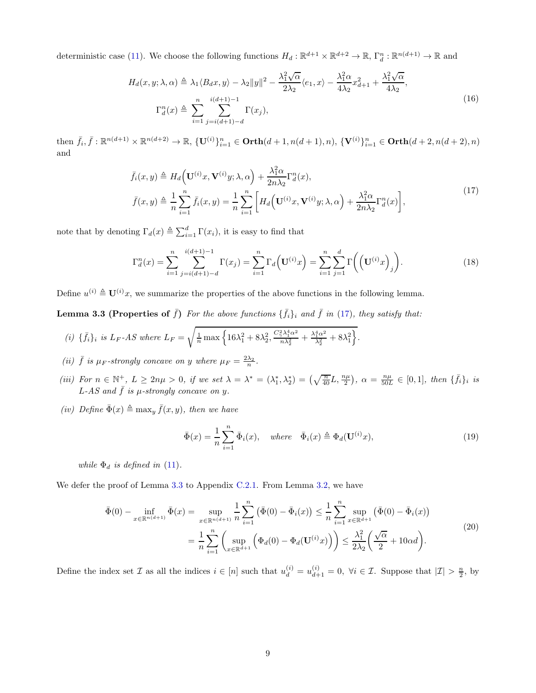deterministic case [\(11\)](#page-6-2). We choose the following functions  $H_d: \mathbb{R}^{d+1} \times \mathbb{R}^{d+2} \to \mathbb{R}$ ,  $\Gamma_d^n: \mathbb{R}^{n(d+1)} \to \mathbb{R}$  and

$$
H_d(x, y; \lambda, \alpha) \triangleq \lambda_1 \langle B_d x, y \rangle - \lambda_2 ||y||^2 - \frac{\lambda_1^2 \sqrt{\alpha}}{2\lambda_2} \langle e_1, x \rangle - \frac{\lambda_1^2 \alpha}{4\lambda_2} x_{d+1}^2 + \frac{\lambda_1^2 \sqrt{\alpha}}{4\lambda_2},
$$
  

$$
\Gamma_d^n(x) \triangleq \sum_{i=1}^n \sum_{j=i(d+1)-d}^{i(d+1)-1} \Gamma(x_j),
$$
 (16)

then  $\bar{f}_i, \bar{f}: \mathbb{R}^{n(d+1)} \times \mathbb{R}^{n(d+2)} \to \mathbb{R}, \{U^{(i)}\}_{i=1}^n \in \text{Orth}(d+1, n(d+1), n), \{V^{(i)}\}_{i=1}^n \in \text{Orth}(d+2, n(d+2), n)$ and

$$
\bar{f}_i(x,y) \triangleq H_d\Big(\mathbf{U}^{(i)}x,\mathbf{V}^{(i)}y;\lambda,\alpha\Big) + \frac{\lambda_1^2 \alpha}{2n\lambda_2} \Gamma_d^n(x),
$$
\n
$$
\bar{f}(x,y) \triangleq \frac{1}{n} \sum_{i=1}^n \bar{f}_i(x,y) = \frac{1}{n} \sum_{i=1}^n \left[ H_d\Big(\mathbf{U}^{(i)}x,\mathbf{V}^{(i)}y;\lambda,\alpha\Big) + \frac{\lambda_1^2 \alpha}{2n\lambda_2} \Gamma_d^n(x) \right],
$$
\n(17)

<span id="page-8-0"></span>note that by denoting  $\Gamma_d(x) \triangleq \sum_{i=1}^d \Gamma(x_i)$ , it is easy to find that

<span id="page-8-2"></span>
$$
\Gamma_d^n(x) = \sum_{i=1}^n \sum_{j=i(d+1)-d}^{i(d+1)-1} \Gamma(x_j) = \sum_{i=1}^n \Gamma_d \left( \mathbf{U}^{(i)} x \right) = \sum_{i=1}^n \sum_{j=1}^d \Gamma \left( \left( \mathbf{U}^{(i)} x \right)_j \right).
$$
(18)

<span id="page-8-1"></span>Define  $u^{(i)} \triangleq \mathbf{U}^{(i)}x$ , we summarize the properties of the above functions in the following lemma.

**Lemma 3.3 (Properties of**  $\bar{f}$ ) For the above functions  $\{\bar{f}_i\}_i$  and  $\bar{f}$  in [\(17\)](#page-8-0), they satisfy that:

(i) 
$$
\{\bar{f}_i\}_i
$$
 is  $L_F$ -AS where  $L_F = \sqrt{\frac{1}{n} \max \left\{ 16\lambda_1^2 + 8\lambda_2^2, \frac{C_\gamma^2 \lambda_1^4 \alpha^2}{n\lambda_2^2} + \frac{\lambda_1^4 \alpha^2}{\lambda_2^2} + 8\lambda_1^2 \right\}}$ .

(ii)  $\bar{f}$  is  $\mu_F$ -strongly concave on y where  $\mu_F = \frac{2\lambda_2}{n}$ .

- (iii) For  $n \in \mathbb{N}^+$ ,  $L \ge 2n\mu > 0$ , if we set  $\lambda = \lambda^* = (\lambda_1^*, \lambda_2^*) = (\sqrt{\frac{n}{40}}L, \frac{n\mu}{2})$ ,  $\alpha = \frac{n\mu}{50L} \in [0, 1]$ , then  $\{\bar{f}_i\}_i$  is L-AS and  $\bar{f}$  is  $\mu$ -strongly concave on y.
- (iv) Define  $\bar{\Phi}(x) \triangleq \max_y \bar{f}(x, y)$ , then we have

$$
\bar{\Phi}(x) = \frac{1}{n} \sum_{i=1}^{n} \bar{\Phi}_i(x), \quad \text{where} \quad \bar{\Phi}_i(x) \triangleq \Phi_d(\mathbf{U}^{(i)}x), \tag{19}
$$

while  $\Phi_d$  is defined in [\(11\)](#page-6-2).

<span id="page-8-3"></span>We defer the proof of Lemma [3.3](#page-8-1) to Appendix [C.2.1.](#page-25-0) From Lemma [3.2,](#page-6-1) we have

$$
\bar{\Phi}(0) - \inf_{x \in \mathbb{R}^{n(d+1)}} \bar{\Phi}(x) = \sup_{x \in \mathbb{R}^{n(d+1)}} \frac{1}{n} \sum_{i=1}^{n} (\bar{\Phi}(0) - \bar{\Phi}_i(x)) \le \frac{1}{n} \sum_{i=1}^{n} \sup_{x \in \mathbb{R}^{d+1}} (\bar{\Phi}(0) - \bar{\Phi}_i(x))
$$
\n
$$
= \frac{1}{n} \sum_{i=1}^{n} \left( \sup_{x \in \mathbb{R}^{d+1}} \left( \Phi_d(0) - \Phi_d(\mathbf{U}^{(i)} x) \right) \right) \le \frac{\lambda_1^2}{2\lambda_2} \left( \frac{\sqrt{\alpha}}{2} + 10\alpha d \right).
$$
\n(20)

Define the index set  $\mathcal I$  as all the indices  $i \in [n]$  such that  $u_d^{(i)} = u_{d+1}^{(i)} = 0$ ,  $\forall i \in \mathcal I$ . Suppose that  $|\mathcal I| > \frac{n}{2}$ , by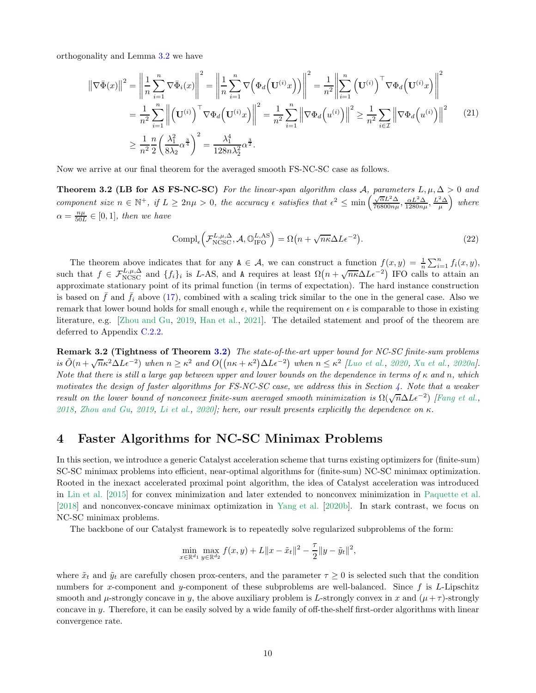orthogonality and Lemma [3.2](#page-6-1) we have

<span id="page-9-2"></span>
$$
\|\nabla\bar{\Phi}(x)\|^2 = \left\|\frac{1}{n}\sum_{i=1}^n \nabla\bar{\Phi}_i(x)\right\|^2 = \left\|\frac{1}{n}\sum_{i=1}^n \nabla\Big(\Phi_d\Big(\mathbf{U}^{(i)}x\Big)\Big)\right\|^2 = \frac{1}{n^2}\left\|\sum_{i=1}^n \Big(\mathbf{U}^{(i)}\Big)^\top \nabla\Phi_d\Big(\mathbf{U}^{(i)}x\Big)\right\|^2
$$
  
\n
$$
= \frac{1}{n^2}\sum_{i=1}^n \left\|\Big(\mathbf{U}^{(i)}\Big)^\top \nabla\Phi_d\Big(\mathbf{U}^{(i)}x\Big)\right\|^2 = \frac{1}{n^2}\sum_{i=1}^n \left\|\nabla\Phi_d\Big(u^{(i)}\Big)\right\|^2 \ge \frac{1}{n^2}\sum_{i\in\mathcal{I}} \left\|\nabla\Phi_d\Big(u^{(i)}\Big)\right\|^2 \quad (21)
$$
  
\n
$$
\ge \frac{1}{n^2}\frac{n}{2}\left(\frac{\lambda_1^2}{8\lambda_2}\alpha^{\frac{3}{4}}\right)^2 = \frac{\lambda_1^4}{128n\lambda_2^2}\alpha^{\frac{3}{2}}.
$$

<span id="page-9-0"></span>Now we arrive at our final theorem for the averaged smooth FS-NC-SC case as follows.

**Theorem 3.2 (LB for AS FS-NC-SC)** For the linear-span algorithm class A, parameters  $L, \mu, \Delta > 0$  and component size  $n \in \mathbb{N}^+$ , if  $L \geq 2n\mu > 0$ , the accuracy  $\epsilon$  satisfies that  $\epsilon^2 \leq \min\left(\frac{\sqrt{\alpha}L^2\Delta}{76800n\mu}\right)$  $\frac{\sqrt{\alpha}L^2\Delta}{76800n\mu}, \frac{\alpha L^2\Delta}{1280n\mu}, \frac{L^2\Delta}{\mu}\right)$  where  $\alpha = \frac{n\mu}{50L} \in [0,1]$ , then we have

$$
Compl_{\epsilon} \left( \mathcal{F}_{NCSC}^{L,\mu,\Delta}, \mathcal{A}, \mathbb{O}_{\text{IFO}}^{L,AS} \right) = \Omega \left( n + \sqrt{n\kappa} \Delta L \epsilon^{-2} \right). \tag{22}
$$

The theorem above indicates that for any  $A \in \mathcal{A}$ , we can construct a function  $f(x, y) = \frac{1}{n} \sum_{i=1}^{n} f_i(x, y)$ , such that  $f \in \mathcal{F}_{NCSC}^{L,\mu,\Delta}$  and  $\{f_i\}_i$  is L-AS, and A requires at least  $\Omega(n+\sqrt{n\kappa}\Delta L\epsilon^{-2})$  IFO calls to attain an approximate stationary point of its primal function (in terms of expectation). The hard instance construction is based on  $\bar{f}$  and  $\bar{f}_i$  above [\(17\)](#page-8-0), combined with a scaling trick similar to the one in the general case. Also we remark that lower bound holds for small enough  $\epsilon$ , while the requirement on  $\epsilon$  is comparable to those in existing literature, e.g. [\[Zhou and Gu,](#page-18-0) [2019,](#page-18-0) [Han et al.,](#page-15-4) [2021\]](#page-15-4). The detailed statement and proof of the theorem are deferred to Appendix [C.2.2.](#page-29-0)

Remark 3.2 (Tightness of Theorem [3.2\)](#page-9-0) The state-of-the-art upper bound for NC-SC finite-sum problems is  $\tilde{O}(n + \sqrt{n}\kappa^2 \Delta L \epsilon^{-2})$  when  $n \geq \kappa^2$  and  $O((n\kappa + \kappa^2) \Delta L \epsilon^{-2})$  when  $n \leq \kappa^2$  [\[Luo et al.](#page-16-2), [2020,](#page-16-2) [Xu et al.,](#page-17-3) [2020a](#page-17-3)]. Note that there is still a large gap between upper and lower bounds on the dependence in terms of  $\kappa$  and n, which motivates the design of faster algorithms for FS-NC-SC case, we address this in Section [4.](#page-9-1) Note that a weaker result on the lower bound of nonconvex finite-sum averaged smooth minimization is  $\Omega(\sqrt{n}\Delta L\epsilon^{-2})$  [\[Fang et al.](#page-15-3), [2018](#page-15-3), [Zhou and Gu,](#page-18-0) [2019,](#page-18-0) [Li et al.](#page-15-15), [2020](#page-15-15)]; here, our result presents explicitly the dependence on  $\kappa$ .

# <span id="page-9-1"></span>4 Faster Algorithms for NC-SC Minimax Problems

In this section, we introduce a generic Catalyst acceleration scheme that turns existing optimizers for (finite-sum) SC-SC minimax problems into efficient, near-optimal algorithms for (finite-sum) NC-SC minimax optimization. Rooted in the inexact accelerated proximal point algorithm, the idea of Catalyst acceleration was introduced in [Lin et al.](#page-16-13) [\[2015](#page-16-13)] for convex minimization and later extended to nonconvex minimization in [Paquette et al.](#page-17-13) [\[2018\]](#page-17-13) and nonconvex-concave minimax optimization in [Yang et al.](#page-18-1) [\[2020b](#page-18-1)]. In stark contrast, we focus on NC-SC minimax problems.

The backbone of our Catalyst framework is to repeatedly solve regularized subproblems of the form:

$$
\min_{x \in \mathbb{R}^{d_1}} \max_{y \in \mathbb{R}^{d_2}} f(x, y) + L \|x - \tilde{x}_t\|^2 - \frac{\tau}{2} \|y - \tilde{y}_t\|^2,
$$

where  $\tilde{x}_t$  and  $\tilde{y}_t$  are carefully chosen prox-centers, and the parameter  $\tau \geq 0$  is selected such that the condition numbers for x-component and y-component of these subproblems are well-balanced. Since  $f$  is L-Lipschitz smooth and  $\mu$ -strongly concave in y, the above auxiliary problem is L-strongly convex in x and  $(\mu + \tau)$ -strongly concave in y. Therefore, it can be easily solved by a wide family of off-the-shelf first-order algorithms with linear convergence rate.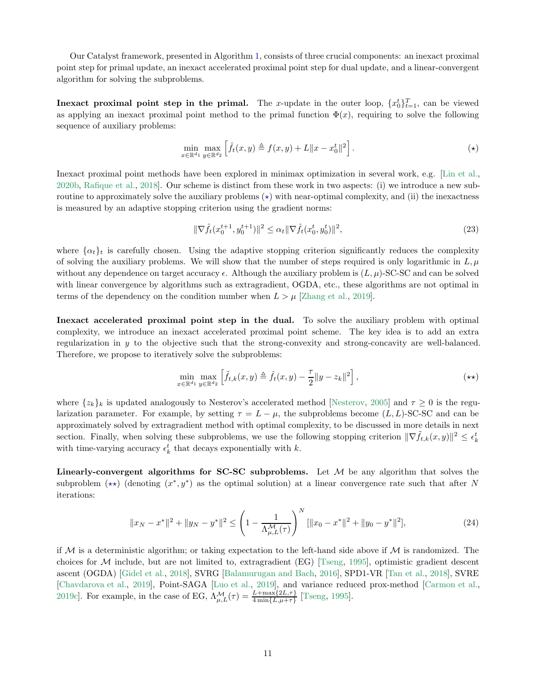Our Catalyst framework, presented in Algorithm [1,](#page-11-0) consists of three crucial components: an inexact proximal point step for primal update, an inexact accelerated proximal point step for dual update, and a linear-convergent algorithm for solving the subproblems.

**Inexact proximal point step in the primal.** The x-update in the outer loop,  $\{x_0^t\}_{t=1}^T$ , can be viewed as applying an inexact proximal point method to the primal function  $\Phi(x)$ , requiring to solve the following sequence of auxiliary problems:

$$
\min_{x \in \mathbb{R}^{d_1}} \max_{y \in \mathbb{R}^{d_2}} \left[ \hat{f}_t(x, y) \triangleq f(x, y) + L \|x - x_0^t\|^2 \right].
$$
\n
$$
(\star)
$$

Inexact proximal point methods have been explored in minimax optimization in several work, e.g. [\[Lin et al.,](#page-16-1) [2020b](#page-16-1), [Rafique et al.](#page-17-6), [2018](#page-17-6)]. Our scheme is distinct from these work in two aspects: (i) we introduce a new subroutine to approximately solve the auxiliary problems  $(\star)$  with near-optimal complexity, and (ii) the inexactness is measured by an adaptive stopping criterion using the gradient norms:

<span id="page-10-2"></span><span id="page-10-0"></span>
$$
\|\nabla \hat{f}_t(x_0^{t+1}, y_0^{t+1})\|^2 \le \alpha_t \|\nabla \hat{f}_t(x_0^t, y_0^t)\|^2,\tag{23}
$$

where  $\{\alpha_t\}_t$  is carefully chosen. Using the adaptive stopping criterion significantly reduces the complexity of solving the auxiliary problems. We will show that the number of steps required is only logarithmic in  $L, \mu$ without any dependence on target accuracy  $\epsilon$ . Although the auxiliary problem is  $(L, \mu)$ -SC-SC and can be solved with linear convergence by algorithms such as extragradient, OGDA, etc., these algorithms are not optimal in terms of the dependency on the condition number when  $L > \mu$  [\[Zhang et al.](#page-18-2), [2019](#page-18-2)].

Inexact accelerated proximal point step in the dual. To solve the auxiliary problem with optimal complexity, we introduce an inexact accelerated proximal point scheme. The key idea is to add an extra regularization in y to the objective such that the strong-convexity and strong-concavity are well-balanced. Therefore, we propose to iteratively solve the subproblems:

<span id="page-10-1"></span>
$$
\min_{x \in \mathbb{R}^{d_1}} \max_{y \in \mathbb{R}^{d_2}} \left[ \tilde{f}_{t,k}(x,y) \triangleq \hat{f}_t(x,y) - \frac{\tau}{2} ||y - z_k||^2 \right],
$$
\n
$$
(\star \star)
$$

where  $\{z_k\}_k$  is updated analogously to Nesterov's accelerated method [\[Nesterov,](#page-16-16) [2005\]](#page-16-16) and  $\tau \geq 0$  is the regularization parameter. For example, by setting  $\tau = L - \mu$ , the subproblems become  $(L, L)$ -SC-SC and can be approximately solved by extragradient method with optimal complexity, to be discussed in more details in next section. Finally, when solving these subproblems, we use the following stopping criterion  $\|\nabla \tilde{f}_{t,k}(x,y)\|^2 \leq \epsilon_k^t$ with time-varying accuracy  $\epsilon_k^t$  that decays exponentially with  $k$ .

Linearly-convergent algorithms for  $SC-SC$  subproblems. Let  $M$  be any algorithm that solves the subproblem  $(\star \star)$  (denoting  $(x^*, y^*)$ ) as the optimal solution) at a linear convergence rate such that after N iterations:

$$
||x_N - x^*||^2 + ||y_N - y^*||^2 \le \left(1 - \frac{1}{\Lambda_{\mu, L}^{\mathcal{M}}(\tau)}\right)^N [||x_0 - x^*||^2 + ||y_0 - y^*||^2],\tag{24}
$$

if M is a deterministic algorithm; or taking expectation to the left-hand side above if M is randomized. The choices for  $\mathcal M$  include, but are not limited to, extragradient (EG) [\[Tseng,](#page-17-15) [1995\]](#page-17-15), optimistic gradient descent ascent (OGDA) [\[Gidel et al.,](#page-15-16) [2018\]](#page-15-16), SVRG [\[Balamurugan and Bach](#page-14-12), [2016](#page-14-12)], SPD1-VR [\[Tan et al.](#page-17-16), [2018\]](#page-17-16), SVRE [\[Chavdarova et al.,](#page-14-13) [2019\]](#page-14-13), Point-SAGA [\[Luo et al.](#page-16-17), [2019\]](#page-16-17), and variance reduced prox-method [\[Carmon et al.,](#page-14-14) [2019c\]](#page-14-14). For example, in the case of EG,  $\Lambda_{\mu,L}^{\mathcal{M}}(\tau) = \frac{L + \max\{2L,\tau\}}{4 \min\{L,\mu+\tau\}}$  [\[Tseng](#page-17-15), [1995\]](#page-17-15).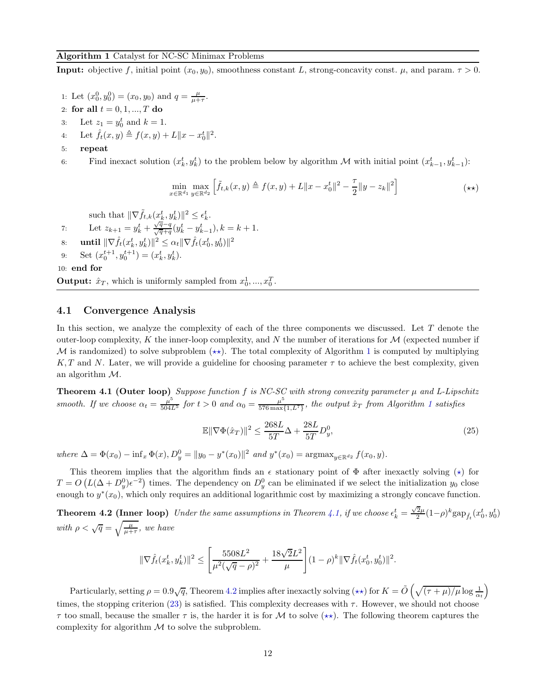#### <span id="page-11-0"></span>Algorithm 1 Catalyst for NC-SC Minimax Problems

**Input:** objective f, initial point  $(x_0, y_0)$ , smoothness constant L, strong-concavity const.  $\mu$ , and param.  $\tau > 0$ .

- 1: Let  $(x_0^0, y_0^0) = (x_0, y_0)$  and  $q = \frac{\mu}{\mu + \tau}$ .
- 2: for all  $t = 0, 1, ..., T$  do
- 3: Let  $z_1 = y_0^t$  and  $k = 1$ .
- 4: Let  $\hat{f}_t(x, y) \triangleq f(x, y) + L \|x x_0^t\|^2$ .
- 5: repeat

6: Find inexact solution  $(x_k^t, y_k^t)$  to the problem below by algorithm M with initial point  $(x_{k-1}^t, y_{k-1}^t)$ :

$$
\min_{x \in \mathbb{R}^{d_1}} \max_{y \in \mathbb{R}^{d_2}} \left[ \tilde{f}_{t,k}(x,y) \triangleq f(x,y) + L \|x - x_0^t\|^2 - \frac{\tau}{2} \|y - z_k\|^2 \right] \tag{**}
$$

such that  $\|\nabla \tilde{f}_{t,k}(x_k^t, y_k^t)\|^2 \leq \epsilon_k^t$ .

- 7: Let  $z_{k+1} = y_k^t + \frac{\sqrt{q}-q}{\sqrt{q}+q}(y_k^t y_{k-1}^t), k = k+1.$
- 8: **until**  $\|\nabla \hat{f}_t(x_k^t, y_k^t)\|^2 \leq \alpha_t \|\nabla \hat{f}_t(x_0^t, y_0^t)\|^2$
- 9: Set  $(x_0^{t+1}, y_0^{t+1}) = (x_k^t, y_k^t).$

10: end for

**Output:**  $\hat{x}_T$ , which is uniformly sampled from  $x_0^1, ..., x_0^T$ .

### 4.1 Convergence Analysis

In this section, we analyze the complexity of each of the three components we discussed. Let  $T$  denote the outer-loop complexity, K the inner-loop complexity, and N the number of iterations for  $\mathcal M$  (expected number if M is randomized) to solve subproblem  $(\star \star)$ . The total complexity of Algorithm [1](#page-11-0) is computed by multiplying K, T and N. Later, we will provide a guideline for choosing parameter  $\tau$  to achieve the best complexity, given an algorithm M.

<span id="page-11-1"></span>**Theorem 4.1 (Outer loop)** Suppose function  $f$  is NC-SC with strong convexity parameter  $\mu$  and L-Lipschitz smooth. If we choose  $\alpha_t = \frac{\mu^5}{504L^5}$  for  $t > 0$  and  $\alpha_0 = \frac{\mu^5}{576 \text{ max}}$ .  $\frac{\mu^2}{576 \max\{1, L^7\}}$  $\frac{\mu^2}{576 \max\{1, L^7\}}$  $\frac{\mu^2}{576 \max\{1, L^7\}}$ , the output  $\hat{x}_T$  from Algorithm 1 satisfies

$$
\mathbb{E}\|\nabla\Phi(\hat{x}_T)\|^2 \le \frac{268L}{5T}\Delta + \frac{28L}{5T}D_y^0,\tag{25}
$$

where  $\Delta = \Phi(x_0) - \inf_x \Phi(x), D_y^0 = ||y_0 - y^*(x_0)||^2$  and  $y^*(x_0) = \text{argmax}_{y \in \mathbb{R}^{d_2}} f(x_0, y)$ .

This theorem implies that the algorithm finds an  $\epsilon$  stationary point of  $\Phi$  after inexactly solving  $(\star)$  for  $T = O(L(\Delta + D_y^0)\epsilon^{-2})$  times. The dependency on  $D_y^0$  can be eliminated if we select the initialization  $y_0$  close enough to  $y^*(x_0)$ , which only requires an additional logarithmic cost by maximizing a strongly concave function.

<span id="page-11-2"></span>**Theorem 4.2 (Inner loop)** Under the same assumptions in Theorem [4.1,](#page-11-1) if we choose  $\epsilon_k^t = \frac{\sqrt{2}\mu}{2}(1-\rho)^k \text{gap}_{\hat{f}_t}(x_0^t, y_0^t)$ with  $\rho < \sqrt{q} = \sqrt{\frac{\mu}{\mu + \tau}}$ , we have

$$
\|\nabla \hat{f}_t(x_k^t, y_k^t)\|^2 \le \left[\frac{5508L^2}{\mu^2(\sqrt{q}-\rho)^2} + \frac{18\sqrt{2}L^2}{\mu}\right] (1-\rho)^k \|\nabla \hat{f}_t(x_0^t, y_0^t)\|^2.
$$

<span id="page-11-3"></span>Particularly, setting  $\rho = 0.9\sqrt{q}$ , Theorem [4.2](#page-11-2) implies after inexactly solving  $(\star\star)$  for  $K = \tilde{O}\left(\sqrt{(\tau+\mu)/\mu}\log\frac{1}{\alpha_t}\right)$ times, the stopping criterion [\(23\)](#page-10-2) is satisfied. This complexity decreases with  $\tau$ . However, we should not choose  $\tau$  too small, because the smaller  $\tau$  is, the harder it is for M to solve  $(\star\star)$ . The following theorem captures the complexity for algorithm  $M$  to solve the subproblem.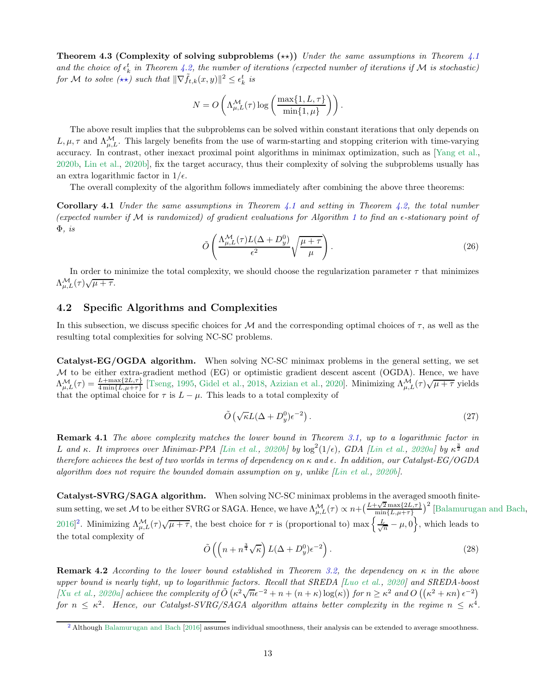**Theorem 4.3 (Complexity of solving subproblems (**★★)) Under the same assumptions in Theorem  $4.1$ and the choice of  $\epsilon_k^t$  in Theorem [4.2,](#page-11-2) the number of iterations (expected number of iterations if M is stochastic) for M to solve  $(\star \star)$  such that  $\|\nabla \tilde{f}_{t,k}(x, y)\|^2 \leq \epsilon_k^t$  is

$$
N = O\left(\Lambda^{\mathcal{M}}_{\mu, L}(\tau) \log \left( \frac{\max\{1, L, \tau\}}{\min\{1, \mu\}} \right) \right).
$$

The above result implies that the subproblems can be solved within constant iterations that only depends on  $L, \mu, \tau$  and  $\Lambda_{\mu,L}^{\mathcal{M}}$ . This largely benefits from the use of warm-starting and stopping criterion with time-varying accuracy. In contrast, other inexact proximal point algorithms in minimax optimization, such as [\[Yang et al.,](#page-18-1) [2020b](#page-18-1), [Lin et al.](#page-16-1), [2020b\]](#page-16-1), fix the target accuracy, thus their complexity of solving the subproblems usually has an extra logarithmic factor in  $1/\epsilon$ .

The overall complexity of the algorithm follows immediately after combining the above three theorems:

**Corollary [4.1](#page-11-1)** Under the same assumptions in Theorem 4.1 and setting in Theorem [4.2,](#page-11-2) the total number (expected number if M is randomized) of gradient evaluations for Algorithm [1](#page-11-0) to find an  $\epsilon$ -stationary point of  $\Phi$ , is

<span id="page-12-3"></span>
$$
\tilde{O}\left(\frac{\Lambda_{\mu,L}^{\mathcal{M}}(\tau)L(\Delta+D_y^0)}{\epsilon^2}\sqrt{\frac{\mu+\tau}{\mu}}\right).
$$
\n(26)

In order to minimize the total complexity, we should choose the regularization parameter  $\tau$  that minimizes  $\Lambda^{\mathcal{M}}_{\mu,L}(\tau)\sqrt{\mu+\tau}.$ 

# <span id="page-12-0"></span>4.2 Specific Algorithms and Complexities

In this subsection, we discuss specific choices for M and the corresponding optimal choices of  $\tau$ , as well as the resulting total complexities for solving NC-SC problems.

Catalyst-EG/OGDA algorithm. When solving NC-SC minimax problems in the general setting, we set  $M$  to be either extra-gradient method (EG) or optimistic gradient descent ascent (OGDA). Hence, we have  $\Lambda_{\mu,L}^{\mathcal{M}}(\tau) = \frac{L + \max\{2L,\tau\}}{4 \min\{L,\mu+\tau\}}$  [\[Tseng,](#page-17-15) [1995,](#page-17-15) [Gidel et al.](#page-15-16), [2018,](#page-15-16) [Azizian et al.](#page-14-15), [2020\]](#page-14-15). Minimizing  $\Lambda_{\mu,L}^{\mathcal{M}}(\tau)\sqrt{\mu+\tau}$  yields that the optimal choice for  $\tau$  is  $L - \mu$ . This leads to a total complexity of

$$
\tilde{O}\left(\sqrt{\kappa}L(\Delta + D_y^0)\epsilon^{-2}\right). \tag{27}
$$

Remark 4.1 The above complexity matches the lower bound in Theorem [3.1,](#page-7-0) up to a logarithmic factor in L and κ. It improves over Minimax-PPA [\[Lin et al.](#page-16-1), [2020b](#page-16-1)] by  $\log^2(1/\epsilon)$ , GDA [\[Lin et al.,](#page-16-0) [2020a](#page-16-0)] by  $\kappa^{\frac{3}{2}}$  and therefore achieves the best of two worlds in terms of dependency on  $\kappa$  and  $\epsilon$ . In addition, our Catalyst-EG/OGDA algorithm does not require the bounded domain assumption on y, unlike  $[Lin~et~al., 2020b].$  $[Lin~et~al., 2020b].$  $[Lin~et~al., 2020b].$ 

<span id="page-12-2"></span>Catalyst-SVRG/SAGA algorithm. When solving NC-SC minimax problems in the averaged smooth finitesum setting, we set M to be either SVRG or SAGA. Hence, we have  $\Lambda_{\mu,L}^{\mathcal{M}}(\tau) \propto n + \left(\frac{L+\sqrt{2} \max\{2L,\tau\}}{\min\{L,\mu+\tau\}}\right)$  $\frac{-\sqrt{2} \max\{2L,\tau\}}{\min\{L,\mu+\tau\}}$ <sup>2</sup> [\[Balamurugan and Bach](#page-14-12), [2016\]](#page-14-12)<sup>[2](#page-12-1)</sup>. Minimizing  $\Lambda_{\mu,L}^{\mathcal{M}}(\tau)\sqrt{\mu+\tau}$ , the best choice for  $\tau$  is (proportional to) max  $\left\{\frac{L}{\sqrt{n}}-\mu,0\right\}$ , which leads to the total complexity of

$$
\tilde{O}\left(\left(n + n^{\frac{3}{4}}\sqrt{\kappa}\right)L(\Delta + D_y^0)\epsilon^{-2}\right). \tag{28}
$$

**Remark 4.2** According to the lower bound established in Theorem [3.2,](#page-9-0) the dependency on  $\kappa$  in the above upper bound is nearly tight, up to logarithmic factors. Recall that SREDA [\[Luo et al.](#page-16-2), [2020](#page-16-2)] and SREDA-boost [\[Xu et al.](#page-17-3), [2020a](#page-17-3)] achieve the complexity of  $\tilde{O}(\kappa^2 \sqrt{n} \epsilon^{-2} + n + (n + \kappa) \log(\kappa))$  for  $n \geq \kappa^2$  and  $O((\kappa^2 + \kappa n) \epsilon^{-2})$ for  $n \leq \kappa^2$ . Hence, our Catalyst-SVRG/SAGA algorithm attains better complexity in the regime  $n \leq \kappa^4$ .

<span id="page-12-1"></span><sup>&</sup>lt;sup>[2](#page-12-2)</sup> Although [Balamurugan and Bach](#page-14-12) [\[2016](#page-14-12)] assumes individual smoothness, their analysis can be extended to average smoothness.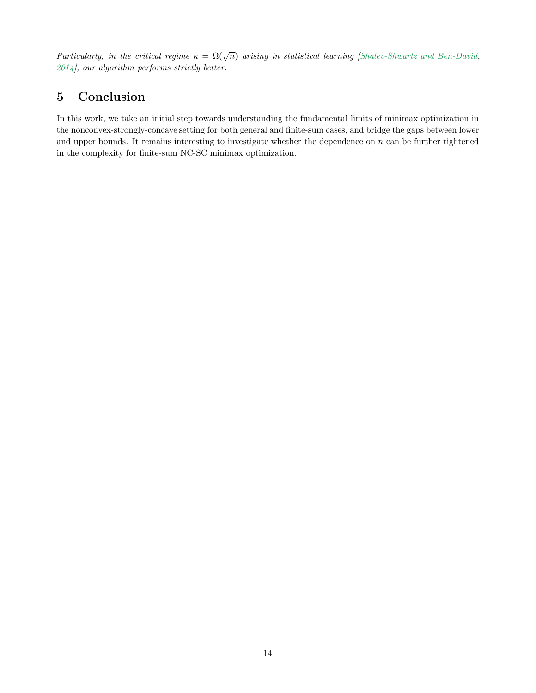Particularly, in the critical regime  $\kappa = \Omega(\sqrt{n})$  arising in statistical learning [\[Shalev-Shwartz and Ben-David](#page-17-7), [2014](#page-17-7)], our algorithm performs strictly better.

# 5 Conclusion

In this work, we take an initial step towards understanding the fundamental limits of minimax optimization in the nonconvex-strongly-concave setting for both general and finite-sum cases, and bridge the gaps between lower and upper bounds. It remains interesting to investigate whether the dependence on  $n$  can be further tightened in the complexity for finite-sum NC-SC minimax optimization.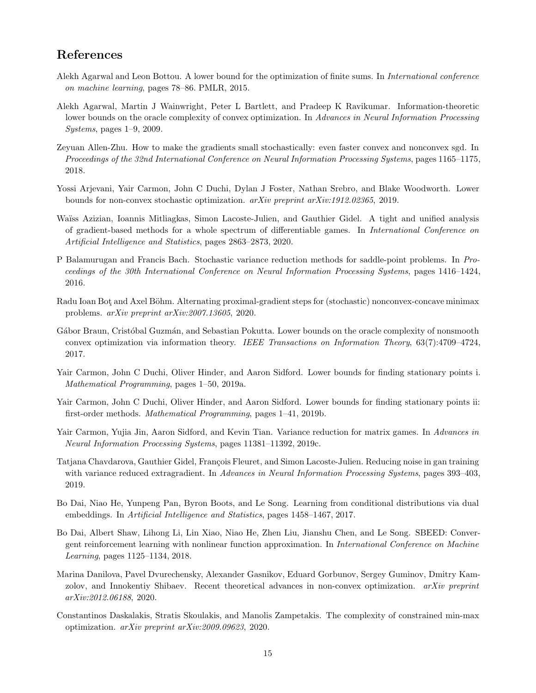# References

- <span id="page-14-10"></span>Alekh Agarwal and Leon Bottou. A lower bound for the optimization of finite sums. In International conference on machine learning, pages 78–86. PMLR, 2015.
- <span id="page-14-6"></span>Alekh Agarwal, Martin J Wainwright, Peter L Bartlett, and Pradeep K Ravikumar. Information-theoretic lower bounds on the oracle complexity of convex optimization. In Advances in Neural Information Processing Systems, pages 1–9, 2009.
- <span id="page-14-8"></span>Zeyuan Allen-Zhu. How to make the gradients small stochastically: even faster convex and nonconvex sgd. In Proceedings of the 32nd International Conference on Neural Information Processing Systems, pages 1165–1175, 2018.
- <span id="page-14-5"></span>Yossi Arjevani, Yair Carmon, John C Duchi, Dylan J Foster, Nathan Srebro, and Blake Woodworth. Lower bounds for non-convex stochastic optimization. arXiv preprint arXiv:1912.02365, 2019.
- <span id="page-14-15"></span>Wa¨ıss Azizian, Ioannis Mitliagkas, Simon Lacoste-Julien, and Gauthier Gidel. A tight and unified analysis of gradient-based methods for a whole spectrum of differentiable games. In International Conference on Artificial Intelligence and Statistics, pages 2863–2873, 2020.
- <span id="page-14-12"></span>P Balamurugan and Francis Bach. Stochastic variance reduction methods for saddle-point problems. In Proceedings of the 30th International Conference on Neural Information Processing Systems, pages 1416–1424, 2016.
- <span id="page-14-2"></span>Radu Ioan Bot and Axel Böhm. Alternating proximal-gradient steps for (stochastic) nonconvex-concave minimax problems. arXiv preprint arXiv:2007.13605, 2020.
- <span id="page-14-11"></span>Gábor Braun, Cristóbal Guzmán, and Sebastian Pokutta. Lower bounds on the oracle complexity of nonsmooth convex optimization via information theory. IEEE Transactions on Information Theory, 63(7):4709–4724, 2017.
- <span id="page-14-3"></span>Yair Carmon, John C Duchi, Oliver Hinder, and Aaron Sidford. Lower bounds for finding stationary points i. Mathematical Programming, pages 1–50, 2019a.
- <span id="page-14-4"></span>Yair Carmon, John C Duchi, Oliver Hinder, and Aaron Sidford. Lower bounds for finding stationary points ii: first-order methods. Mathematical Programming, pages 1–41, 2019b.
- <span id="page-14-14"></span>Yair Carmon, Yujia Jin, Aaron Sidford, and Kevin Tian. Variance reduction for matrix games. In Advances in Neural Information Processing Systems, pages 11381–11392, 2019c.
- <span id="page-14-13"></span>Tatjana Chavdarova, Gauthier Gidel, François Fleuret, and Simon Lacoste-Julien. Reducing noise in gan training with variance reduced extragradient. In Advances in Neural Information Processing Systems, pages 393–403, 2019.
- <span id="page-14-0"></span>Bo Dai, Niao He, Yunpeng Pan, Byron Boots, and Le Song. Learning from conditional distributions via dual embeddings. In Artificial Intelligence and Statistics, pages 1458–1467, 2017.
- <span id="page-14-1"></span>Bo Dai, Albert Shaw, Lihong Li, Lin Xiao, Niao He, Zhen Liu, Jianshu Chen, and Le Song. SBEED: Convergent reinforcement learning with nonlinear function approximation. In International Conference on Machine Learning, pages 1125–1134, 2018.
- <span id="page-14-7"></span>Marina Danilova, Pavel Dvurechensky, Alexander Gasnikov, Eduard Gorbunov, Sergey Guminov, Dmitry Kamzolov, and Innokentiy Shibaev. Recent theoretical advances in non-convex optimization. arXiv preprint arXiv:2012.06188, 2020.
- <span id="page-14-9"></span>Constantinos Daskalakis, Stratis Skoulakis, and Manolis Zampetakis. The complexity of constrained min-max optimization. arXiv preprint arXiv:2009.09623, 2020.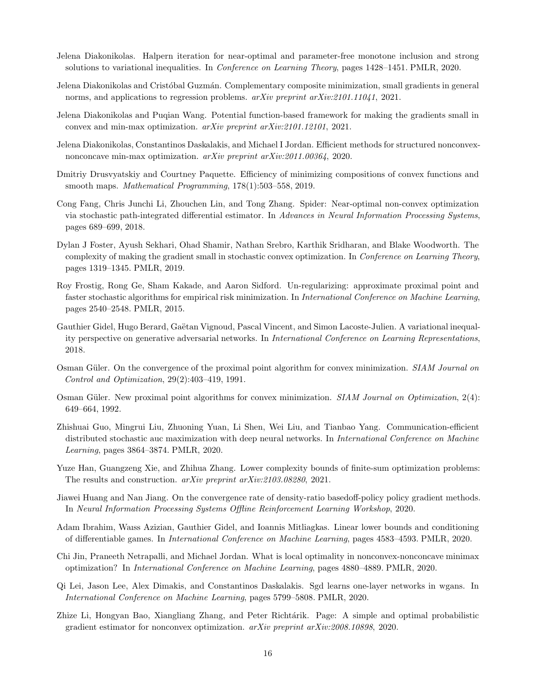- <span id="page-15-8"></span>Jelena Diakonikolas. Halpern iteration for near-optimal and parameter-free monotone inclusion and strong solutions to variational inequalities. In Conference on Learning Theory, pages 1428–1451. PMLR, 2020.
- <span id="page-15-7"></span>Jelena Diakonikolas and Cristóbal Guzmán. Complementary composite minimization, small gradients in general norms, and applications to regression problems. arXiv preprint arXiv:2101.11041, 2021.
- <span id="page-15-9"></span>Jelena Diakonikolas and Puqian Wang. Potential function-based framework for making the gradients small in convex and min-max optimization. arXiv preprint arXiv:2101.12101, 2021.
- <span id="page-15-11"></span>Jelena Diakonikolas, Constantinos Daskalakis, and Michael I Jordan. Efficient methods for structured nonconvexnonconcave min-max optimization. arXiv preprint arXiv:2011.00364, 2020.
- <span id="page-15-17"></span>Dmitriy Drusvyatskiy and Courtney Paquette. Efficiency of minimizing compositions of convex functions and smooth maps. Mathematical Programming, 178(1):503–558, 2019.
- <span id="page-15-3"></span>Cong Fang, Chris Junchi Li, Zhouchen Lin, and Tong Zhang. Spider: Near-optimal non-convex optimization via stochastic path-integrated differential estimator. In Advances in Neural Information Processing Systems, pages 689–699, 2018.
- <span id="page-15-5"></span>Dylan J Foster, Ayush Sekhari, Ohad Shamir, Nathan Srebro, Karthik Sridharan, and Blake Woodworth. The complexity of making the gradient small in stochastic convex optimization. In Conference on Learning Theory, pages 1319–1345. PMLR, 2019.
- <span id="page-15-12"></span>Roy Frostig, Rong Ge, Sham Kakade, and Aaron Sidford. Un-regularizing: approximate proximal point and faster stochastic algorithms for empirical risk minimization. In International Conference on Machine Learning, pages 2540–2548. PMLR, 2015.
- <span id="page-15-16"></span>Gauthier Gidel, Hugo Berard, Gaëtan Vignoud, Pascal Vincent, and Simon Lacoste-Julien. A variational inequality perspective on generative adversarial networks. In International Conference on Learning Representations, 2018.
- <span id="page-15-13"></span>Osman Güler. On the convergence of the proximal point algorithm for convex minimization. SIAM Journal on Control and Optimization, 29(2):403–419, 1991.
- <span id="page-15-14"></span>Osman Güler. New proximal point algorithms for convex minimization.  $SIAM$  Journal on Optimization,  $2(4)$ : 649–664, 1992.
- <span id="page-15-10"></span>Zhishuai Guo, Mingrui Liu, Zhuoning Yuan, Li Shen, Wei Liu, and Tianbao Yang. Communication-efficient distributed stochastic auc maximization with deep neural networks. In *International Conference on Machine* Learning, pages 3864–3874. PMLR, 2020.
- <span id="page-15-4"></span>Yuze Han, Guangzeng Xie, and Zhihua Zhang. Lower complexity bounds of finite-sum optimization problems: The results and construction. arXiv preprint arXiv:2103.08280, 2021.
- <span id="page-15-1"></span>Jiawei Huang and Nan Jiang. On the convergence rate of density-ratio basedoff-policy policy gradient methods. In Neural Information Processing Systems Offline Reinforcement Learning Workshop, 2020.
- <span id="page-15-6"></span>Adam Ibrahim, Waıss Azizian, Gauthier Gidel, and Ioannis Mitliagkas. Linear lower bounds and conditioning of differentiable games. In International Conference on Machine Learning, pages 4583–4593. PMLR, 2020.
- <span id="page-15-2"></span>Chi Jin, Praneeth Netrapalli, and Michael Jordan. What is local optimality in nonconvex-nonconcave minimax optimization? In International Conference on Machine Learning, pages 4880–4889. PMLR, 2020.
- <span id="page-15-0"></span>Qi Lei, Jason Lee, Alex Dimakis, and Constantinos Daskalakis. Sgd learns one-layer networks in wgans. In International Conference on Machine Learning, pages 5799–5808. PMLR, 2020.
- <span id="page-15-15"></span>Zhize Li, Hongyan Bao, Xiangliang Zhang, and Peter Richtárik. Page: A simple and optimal probabilistic gradient estimator for nonconvex optimization. arXiv preprint arXiv:2008.10898, 2020.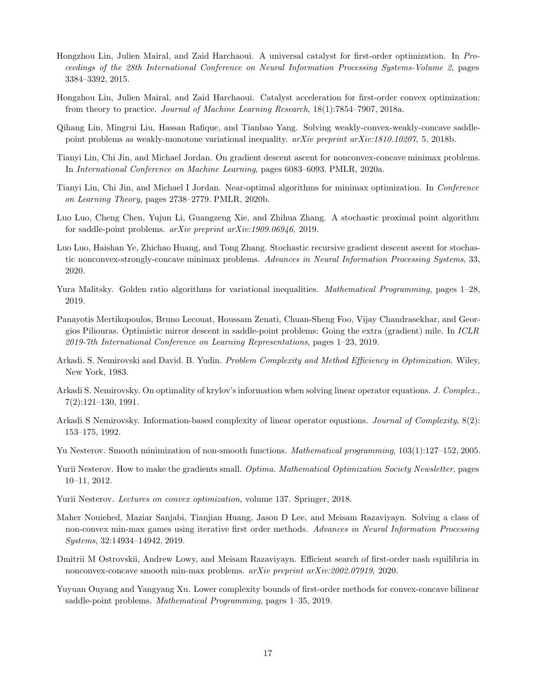- <span id="page-16-13"></span>Hongzhou Lin, Julien Mairal, and Zaid Harchaoui. A universal catalyst for first-order optimization. In Proceedings of the 28th International Conference on Neural Information Processing Systems-Volume 2, pages 3384–3392, 2015.
- <span id="page-16-5"></span>Hongzhou Lin, Julien Mairal, and Zaid Harchaoui. Catalyst acceleration for first-order convex optimization: from theory to practice. Journal of Machine Learning Research, 18(1):7854–7907, 2018a.
- <span id="page-16-12"></span>Qihang Lin, Mingrui Liu, Hassan Rafique, and Tianbao Yang. Solving weakly-convex-weakly-concave saddlepoint problems as weakly-monotone variational inequality.  $arXiv$  preprint  $arXiv:1810.10207$ , 5, 2018b.
- <span id="page-16-0"></span>Tianyi Lin, Chi Jin, and Michael Jordan. On gradient descent ascent for nonconvex-concave minimax problems. In International Conference on Machine Learning, pages 6083–6093. PMLR, 2020a.
- <span id="page-16-1"></span>Tianyi Lin, Chi Jin, and Michael I Jordan. Near-optimal algorithms for minimax optimization. In Conference on Learning Theory, pages 2738–2779. PMLR, 2020b.
- <span id="page-16-17"></span>Luo Luo, Cheng Chen, Yujun Li, Guangzeng Xie, and Zhihua Zhang. A stochastic proximal point algorithm for saddle-point problems. arXiv preprint arXiv:1909.06946, 2019.
- <span id="page-16-2"></span>Luo Luo, Haishan Ye, Zhichao Huang, and Tong Zhang. Stochastic recursive gradient descent ascent for stochastic nonconvex-strongly-concave minimax problems. Advances in Neural Information Processing Systems, 33, 2020.
- <span id="page-16-11"></span>Yura Malitsky. Golden ratio algorithms for variational inequalities. *Mathematical Programming*, pages 1–28, 2019.
- <span id="page-16-10"></span>Panayotis Mertikopoulos, Bruno Lecouat, Houssam Zenati, Chuan-Sheng Foo, Vijay Chandrasekhar, and Georgios Piliouras. Optimistic mirror descent in saddle-point problems: Going the extra (gradient) mile. In ICLR 2019-7th International Conference on Learning Representations, pages 1–23, 2019.
- <span id="page-16-6"></span>Arkadi. S. Nemirovski and David. B. Yudin. *Problem Complexity and Method Efficiency in Optimization*. Wiley, New York, 1983.
- <span id="page-16-14"></span>Arkadi S. Nemirovsky. On optimality of krylov's information when solving linear operator equations. J. Complex., 7(2):121–130, 1991.
- <span id="page-16-15"></span>Arkadi S Nemirovsky. Information-based complexity of linear operator equations. *Journal of Complexity*, 8(2): 153–175, 1992.
- <span id="page-16-16"></span>Yu Nesterov. Smooth minimization of non-smooth functions. Mathematical programming, 103(1):127–152, 2005.
- <span id="page-16-8"></span>Yurii Nesterov. How to make the gradients small. Optima. Mathematical Optimization Society Newsletter, pages 10–11, 2012.
- <span id="page-16-7"></span>Yurii Nesterov. Lectures on convex optimization, volume 137. Springer, 2018.
- <span id="page-16-3"></span>Maher Nouiehed, Maziar Sanjabi, Tianjian Huang, Jason D Lee, and Meisam Razaviyayn. Solving a class of non-convex min-max games using iterative first order methods. Advances in Neural Information Processing Systems, 32:14934–14942, 2019.
- <span id="page-16-9"></span>Dmitrii M Ostrovskii, Andrew Lowy, and Meisam Razaviyayn. Efficient search of first-order nash equilibria in nonconvex-concave smooth min-max problems. arXiv preprint arXiv:2002.07919, 2020.
- <span id="page-16-4"></span>Yuyuan Ouyang and Yangyang Xu. Lower complexity bounds of first-order methods for convex-concave bilinear saddle-point problems. Mathematical Programming, pages 1–35, 2019.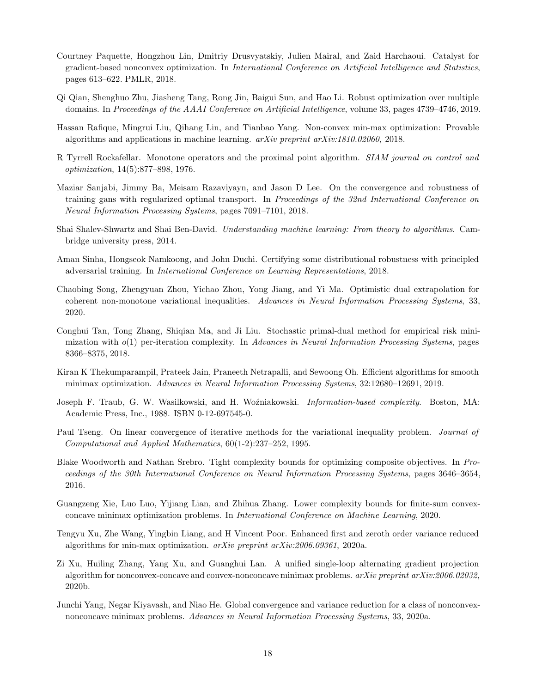- <span id="page-17-13"></span>Courtney Paquette, Hongzhou Lin, Dmitriy Drusvyatskiy, Julien Mairal, and Zaid Harchaoui. Catalyst for gradient-based nonconvex optimization. In International Conference on Artificial Intelligence and Statistics, pages 613–622. PMLR, 2018.
- <span id="page-17-2"></span>Qi Qian, Shenghuo Zhu, Jiasheng Tang, Rong Jin, Baigui Sun, and Hao Li. Robust optimization over multiple domains. In Proceedings of the AAAI Conference on Artificial Intelligence, volume 33, pages 4739–4746, 2019.
- <span id="page-17-6"></span>Hassan Rafique, Mingrui Liu, Qihang Lin, and Tianbao Yang. Non-convex min-max optimization: Provable algorithms and applications in machine learning.  $arXiv$  preprint  $arXiv:1810.02060$ , 2018.
- <span id="page-17-14"></span>R Tyrrell Rockafellar. Monotone operators and the proximal point algorithm. SIAM journal on control and optimization, 14(5):877–898, 1976.
- <span id="page-17-0"></span>Maziar Sanjabi, Jimmy Ba, Meisam Razaviyayn, and Jason D Lee. On the convergence and robustness of training gans with regularized optimal transport. In Proceedings of the 32nd International Conference on Neural Information Processing Systems, pages 7091–7101, 2018.
- <span id="page-17-7"></span>Shai Shalev-Shwartz and Shai Ben-David. Understanding machine learning: From theory to algorithms. Cambridge university press, 2014.
- <span id="page-17-1"></span>Aman Sinha, Hongseok Namkoong, and John Duchi. Certifying some distributional robustness with principled adversarial training. In International Conference on Learning Representations, 2018.
- <span id="page-17-12"></span>Chaobing Song, Zhengyuan Zhou, Yichao Zhou, Yong Jiang, and Yi Ma. Optimistic dual extrapolation for coherent non-monotone variational inequalities. Advances in Neural Information Processing Systems, 33, 2020.
- <span id="page-17-16"></span>Conghui Tan, Tong Zhang, Shiqian Ma, and Ji Liu. Stochastic primal-dual method for empirical risk minimization with  $o(1)$  per-iteration complexity. In Advances in Neural Information Processing Systems, pages 8366–8375, 2018.
- <span id="page-17-11"></span>Kiran K Thekumparampil, Prateek Jain, Praneeth Netrapalli, and Sewoong Oh. Efficient algorithms for smooth minimax optimization. Advances in Neural Information Processing Systems, 32:12680–12691, 2019.
- <span id="page-17-8"></span>Joseph F. Traub, G. W. Wasilkowski, and H. Woźniakowski. *Information-based complexity*. Boston, MA: Academic Press, Inc., 1988. ISBN 0-12-697545-0.
- <span id="page-17-15"></span>Paul Tseng. On linear convergence of iterative methods for the variational inequality problem. Journal of Computational and Applied Mathematics, 60(1-2):237–252, 1995.
- <span id="page-17-9"></span>Blake Woodworth and Nathan Srebro. Tight complexity bounds for optimizing composite objectives. In Proceedings of the 30th International Conference on Neural Information Processing Systems, pages 3646–3654, 2016.
- <span id="page-17-10"></span>Guangzeng Xie, Luo Luo, Yijiang Lian, and Zhihua Zhang. Lower complexity bounds for finite-sum convexconcave minimax optimization problems. In International Conference on Machine Learning, 2020.
- <span id="page-17-3"></span>Tengyu Xu, Zhe Wang, Yingbin Liang, and H Vincent Poor. Enhanced first and zeroth order variance reduced algorithms for min-max optimization.  $arXiv$  preprint  $arXiv:2006.09361$ , 2020a.
- <span id="page-17-5"></span>Zi Xu, Huiling Zhang, Yang Xu, and Guanghui Lan. A unified single-loop alternating gradient projection algorithm for nonconvex-concave and convex-nonconcave minimax problems.  $arXiv$  preprint  $arXiv:2006.02032$ . 2020b.
- <span id="page-17-4"></span>Junchi Yang, Negar Kiyavash, and Niao He. Global convergence and variance reduction for a class of nonconvexnonconcave minimax problems. Advances in Neural Information Processing Systems, 33, 2020a.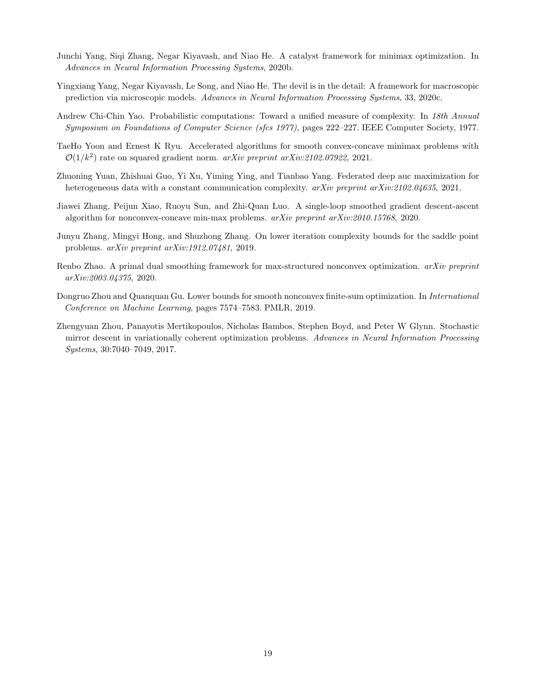- <span id="page-18-1"></span>Junchi Yang, Siqi Zhang, Negar Kiyavash, and Niao He. A catalyst framework for minimax optimization. In Advances in Neural Information Processing Systems, 2020b.
- <span id="page-18-7"></span>Yingxiang Yang, Negar Kiyavash, Le Song, and Niao He. The devil is in the detail: A framework for macroscopic prediction via microscopic models. Advances in Neural Information Processing Systems, 33, 2020c.
- <span id="page-18-9"></span>Andrew Chi-Chin Yao. Probabilistic computations: Toward a unified measure of complexity. In 18th Annual Symposium on Foundations of Computer Science (sfcs 1977), pages 222–227. IEEE Computer Society, 1977.
- <span id="page-18-3"></span>TaeHo Yoon and Ernest K Ryu. Accelerated algorithms for smooth convex-concave minimax problems with  $\mathcal{O}(1/k^2)$  rate on squared gradient norm. *arXiv preprint arXiv:2102.07922*, 2021.
- <span id="page-18-4"></span>Zhuoning Yuan, Zhishuai Guo, Yi Xu, Yiming Ying, and Tianbao Yang. Federated deep auc maximization for heterogeneous data with a constant communication complexity.  $arXiv$  preprint  $arXiv:2102.04635$ , 2021.
- <span id="page-18-5"></span>Jiawei Zhang, Peijun Xiao, Ruoyu Sun, and Zhi-Quan Luo. A single-loop smoothed gradient descent-ascent algorithm for nonconvex-concave min-max problems. arXiv preprint arXiv:2010.15768, 2020.
- <span id="page-18-2"></span>Junyu Zhang, Mingyi Hong, and Shuzhong Zhang. On lower iteration complexity bounds for the saddle point problems. arXiv preprint arXiv:1912.07481, 2019.
- <span id="page-18-6"></span>Renbo Zhao. A primal dual smoothing framework for max-structured nonconvex optimization. *arXiv preprint* arXiv:2003.04375, 2020.
- <span id="page-18-0"></span>Dongruo Zhou and Quanquan Gu. Lower bounds for smooth nonconvex finite-sum optimization. In *International* Conference on Machine Learning, pages 7574–7583. PMLR, 2019.
- <span id="page-18-8"></span>Zhengyuan Zhou, Panayotis Mertikopoulos, Nicholas Bambos, Stephen Boyd, and Peter W Glynn. Stochastic mirror descent in variationally coherent optimization problems. Advances in Neural Information Processing Systems, 30:7040–7049, 2017.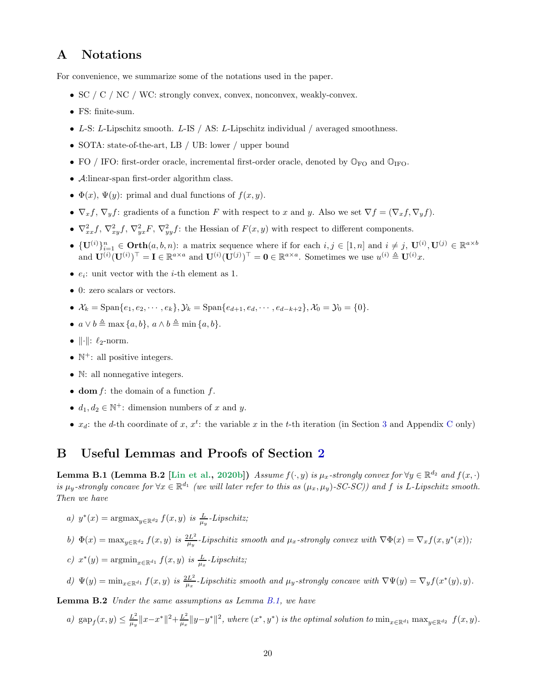# <span id="page-19-0"></span>A Notations

For convenience, we summarize some of the notations used in the paper.

- SC / C / NC / WC: strongly convex, convex, nonconvex, weakly-convex.
- FS: finite-sum.
- L-S: L-Lipschitz smooth. L-IS / AS: L-Lipschitz individual / averaged smoothness.
- SOTA: state-of-the-art, LB / UB: lower / upper bound
- FO / IFO: first-order oracle, incremental first-order oracle, denoted by  $\mathbb{O}_{FO}$  and  $\mathbb{O}_{IFO}$ .
- <sup>A</sup>:linear-span first-order algorithm class.
- $\Phi(x)$ ,  $\Psi(y)$ : primal and dual functions of  $f(x, y)$ .
- $\nabla_x f$ ,  $\nabla_y f$ : gradients of a function F with respect to x and y. Also we set  $\nabla f = (\nabla_x f, \nabla_y f)$ .
- $\nabla_{xx}^2 f$ ,  $\nabla_{xy}^2 f$ ,  $\nabla_{yx}^2 F$ ,  $\nabla_{yy}^2 f$ : the Hessian of  $F(x, y)$  with respect to different components.
- $\{U^{(i)}\}_{i=1}^n \in \text{Orth}(a, b, n)$ : a matrix sequence where if for each  $i, j \in [1, n]$  and  $i \neq j$ ,  $U^{(i)}$ ,  $U^{(j)} \in \mathbb{R}^{a \times b}$ and  $\mathbf{U}^{(i)}(\mathbf{U}^{(i)})^{\top} = \mathbf{I} \in \mathbb{R}^{a \times a}$  and  $\mathbf{U}^{(i)}(\mathbf{U}^{(j)})^{\top} = \mathbf{0} \in \mathbb{R}^{a \times a}$ . Sometimes we use  $u^{(i)} \triangleq \mathbf{U}^{(i)}x$ .
- $e_i$ : unit vector with the *i*-th element as 1.
- 0: zero scalars or vectors.
- $\mathcal{X}_k = \text{Span}\{e_1, e_2, \cdots, e_k\}, \mathcal{Y}_k = \text{Span}\{e_{d+1}, e_d, \cdots, e_{d-k+2}\}, \mathcal{X}_0 = \mathcal{Y}_0 = \{0\}.$
- $a \vee b \triangleq \max\{a, b\}, a \wedge b \triangleq \min\{a, b\}.$
- $\|\cdot\|$ :  $\ell_2$ -norm.
- $\mathbb{N}^+$ : all positive integers.
- N: all nonnegative integers.
- dom  $f$ : the domain of a function  $f$ .
- $d_1, d_2 \in \mathbb{N}^+$ : dimension numbers of x and y.
- $x_d$ : the d-th coordinate of x,  $x^t$ : the variable x in the t-th iteration (in Section [3](#page-4-0) and Appendix [C](#page-21-1) only)

# <span id="page-19-1"></span>B Useful Lemmas and Proofs of Section [2](#page-3-0)

**Lemma B.1 (Lemma B.2** [\[Lin et al.](#page-16-1), [2020b\]](#page-16-1)) Assume  $f(\cdot, y)$  is  $\mu_x$ -strongly convex for  $\forall y \in \mathbb{R}^{d_2}$  and  $f(x, \cdot)$ is  $\mu_y$ -strongly concave for  $\forall x \in \mathbb{R}^{d_1}$  (we will later refer to this as  $(\mu_x, \mu_y)$ -SC-SC)) and f is L-Lipschitz smooth. Then we have

- a)  $y^*(x) = \operatorname{argmax}_{y \in \mathbb{R}^{d_2}} f(x, y)$  is  $\frac{L}{\mu_y}$ -Lipschitz;
- b)  $\Phi(x) = \max_{y \in \mathbb{R}^{d_2}} f(x, y)$  is  $\frac{2L^2}{\mu_y}$  $\frac{dL^2}{\mu_y}$ -Lipschitiz smooth and  $\mu_x$ -strongly convex with  $\nabla \Phi(x) = \nabla_x f(x, y^*(x));$
- c)  $x^*(y) = \operatorname{argmin}_{x \in \mathbb{R}^{d_1}} f(x, y)$  is  $\frac{L}{\mu_x}$ -Lipschitz;
- d)  $\Psi(y) = \min_{x \in \mathbb{R}^{d_1}} f(x, y)$  is  $\frac{2L^2}{\mu_x}$  $\frac{dL^2}{dx}$ -Lipschitiz smooth and  $\mu_y$ -strongly concave with  $\nabla \Psi(y) = \nabla_y f(x^*(y), y)$ .

<span id="page-19-2"></span>Lemma B.2 Under the same assumptions as Lemma [B.1,](#page-19-1) we have

a)  $\text{gap}_f(x, y) \leq \frac{L^2}{\mu_y}$  $\frac{L^2}{\mu_y}$   $||x-x^*||^2 + \frac{L^2}{\mu_x}$  $\frac{L^2}{\mu_x} \|y-y^*\|^2$ , where  $(x^*, y^*)$  is the optimal solution to  $\min_{x \in \mathbb{R}^{d_1}} \max_{y \in \mathbb{R}^{d_2}} f(x, y)$ .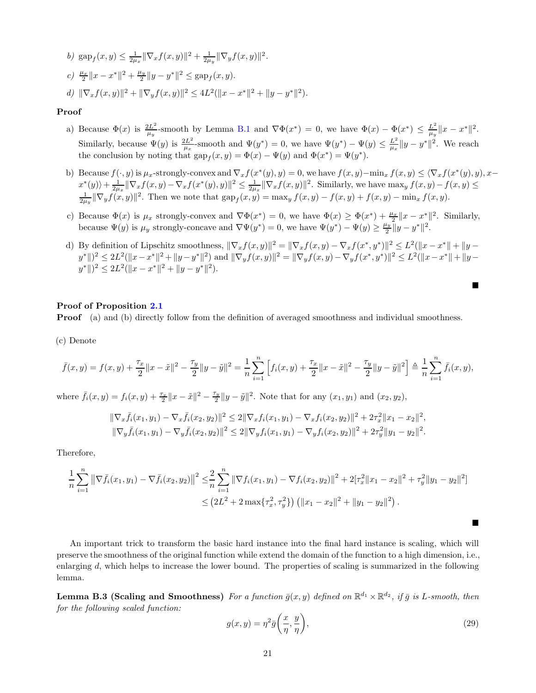b) 
$$
\operatorname{gap}_f(x, y) \le \frac{1}{2\mu_x} \|\nabla_x f(x, y)\|^2 + \frac{1}{2\mu_y} \|\nabla_y f(x, y)\|^2
$$
.  
\nc)  $\frac{\mu_x}{2} \|x - x^*\|^2 + \frac{\mu_y}{2} \|y - y^*\|^2 \le \operatorname{gap}_f(x, y)$ .  
\nd)  $\|\nabla_x f(x, y)\|^2 + \|\nabla_y f(x, y)\|^2 \le 4L^2 (\|x - x^*\|^2 + \|y - y^*\|^2)$ .

#### Proof

- a) Because  $\Phi(x)$  is  $\frac{2L^2}{\mu x}$  $\frac{2L^2}{\mu_y}$ -smooth by Lemma [B.1](#page-19-1) and  $\nabla \Phi(x^*) = 0$ , we have  $\Phi(x) - \Phi(x^*) \leq \frac{L^2}{\mu_y}$  $\frac{L^2}{\mu_y} \|x - x^*\|^2.$ Similarly, because  $\Psi(y)$  is  $\frac{2L^2}{l(x)}$  $\frac{2L^2}{\mu_x}$ -smooth and  $\Psi(y^*) = 0$ , we have  $\Psi(y^*) - \Psi(y) \leq \frac{L^2}{\mu_x}$  $\frac{L^2}{\mu_x} \|y - y^*\|^2$ . We reach the conclusion by noting that  $\text{gap}_f(x, y) = \Phi(x) - \Psi(y)$  and  $\Phi(x^*) = \Psi(y^*)$ .
- b) Because  $f(\cdot, y)$  is  $\mu_x$ -strongly-convex and  $\nabla_x f(x^*(y), y) = 0$ , we have  $f(x, y) \min_x f(x, y) \leq \langle \nabla_x f(x^*(y), y), x \nabla_x f(x^*(y), y) \rangle$  $\langle x^*(y) \rangle + \frac{1}{2\mu_x} \|\nabla_x f(x, y) - \nabla_x f(x^*(y), y)\|^2 \leq \frac{1}{2\mu_x} \|\nabla_x f(x, y)\|^2$ . Similarly, we have  $\max_y f(x, y) - f(x, y) \leq \frac{1}{2\mu_y} \|\nabla_y f(x, y)\|^2$ . Then we note that  $\sup_{x \in \mathcal{X}} f(x, y) = \max_y f(x, y) - f(x, y) + f(x, y) - \min_x f(x, y)$ .
- c) Because  $\Phi(x)$  is  $\mu_x$  strongly-convex and  $\nabla \Phi(x^*) = 0$ , we have  $\Phi(x) \ge \Phi(x^*) + \frac{\mu_x}{2} ||x x^*||^2$ . Similarly, because  $\Psi(y)$  is  $\mu_y$  strongly-concave and  $\nabla\Psi(y^*)=0$ , we have  $\Psi(y^*)-\Psi(y)\geq \frac{\mu_y}{2}$  $\frac{y}{2} \|y - y^*\|^2.$
- d) By definition of Lipschitz smoothness,  $\|\nabla_x f(x, y)\|^2 = \|\nabla_x f(x, y) \nabla_x f(x^*, y^*)\|^2 \leq L^2(\|x x^*\| + \|y \nabla_x f(x^*, y^*)\|^2)$  $y^* \|$ )<sup>2</sup>  $\leq 2L^2 (\|x - x^*\|^2 + \|y - y^*\|^2)$  and  $\|\nabla_y f(x, y)\|^2 = \|\nabla_y f(x, y) - \nabla_y f(x^*, y^*)\|^2 \leq L^2 (\|x - x^*\| + \|y - y^*\|)$  $y^*$ || $)^2 \leq 2L^2(||x - x^*||^2 + ||y - y^*||^2).$

#### Proof of Proposition [2.1](#page-3-2)

**Proof** (a) and (b) directly follow from the definition of averaged smoothness and individual smoothness.

(c) Denote

$$
\bar{f}(x,y) = f(x,y) + \frac{\tau_x}{2} \|x - \tilde{x}\|^2 - \frac{\tau_y}{2} \|y - \tilde{y}\|^2 = \frac{1}{n} \sum_{i=1}^n \left[ f_i(x,y) + \frac{\tau_x}{2} \|x - \tilde{x}\|^2 - \frac{\tau_y}{2} \|y - \tilde{y}\|^2 \right] \triangleq \frac{1}{n} \sum_{i=1}^n \bar{f}_i(x,y),
$$

where  $\bar{f}_i(x, y) = f_i(x, y) + \frac{\tau_x}{2} ||x - \tilde{x}||^2 - \frac{\tau_y}{2}$  $\frac{\tau_y}{2}$ ||y −  $\tilde{y}$ ||<sup>2</sup>. Note that for any  $(x_1, y_1)$  and  $(x_2, y_2)$ ,

$$
\begin{aligned} &\|\nabla_x \bar{f}_i(x_1, y_1) - \nabla_x \bar{f}_i(x_2, y_2)\|^2 \le 2\|\nabla_x f_i(x_1, y_1) - \nabla_x f_i(x_2, y_2)\|^2 + 2\tau_x^2 \|x_1 - x_2\|^2, \\ &\|\nabla_y \bar{f}_i(x_1, y_1) - \nabla_y \bar{f}_i(x_2, y_2)\|^2 \le 2\|\nabla_y f_i(x_1, y_1) - \nabla_y f_i(x_2, y_2)\|^2 + 2\tau_y^2 \|y_1 - y_2\|^2. \end{aligned}
$$

Therefore,

$$
\frac{1}{n}\sum_{i=1}^{n} \left\| \nabla \bar{f}_i(x_1, y_1) - \nabla \bar{f}_i(x_2, y_2) \right\|^2 \leq \frac{2}{n}\sum_{i=1}^{n} \left\| \nabla f_i(x_1, y_1) - \nabla f_i(x_2, y_2) \right\|^2 + 2[\tau_x^2 \|x_1 - x_2\|^2 + \tau_y^2 \|y_1 - y_2\|^2]
$$
  

$$
\leq (2L^2 + 2 \max{\{\tau_x^2, \tau_y^2\}}) \left( \|x_1 - x_2\|^2 + \|y_1 - y_2\|^2 \right).
$$

An important trick to transform the basic hard instance into the final hard instance is scaling, which will preserve the smoothness of the original function while extend the domain of the function to a high dimension, i.e., enlarging d, which helps to increase the lower bound. The properties of scaling is summarized in the following lemma.

<span id="page-20-0"></span>**Lemma B.3 (Scaling and Smoothness)** For a function  $\bar{g}(x, y)$  defined on  $\mathbb{R}^{d_1} \times \mathbb{R}^{d_2}$ , if  $\bar{g}$  is L-smooth, then for the following scaled function:

$$
g(x,y) = \eta^2 \bar{g}\left(\frac{x}{\eta}, \frac{y}{\eta}\right),\tag{29}
$$

 $\blacksquare$ 

 $\blacksquare$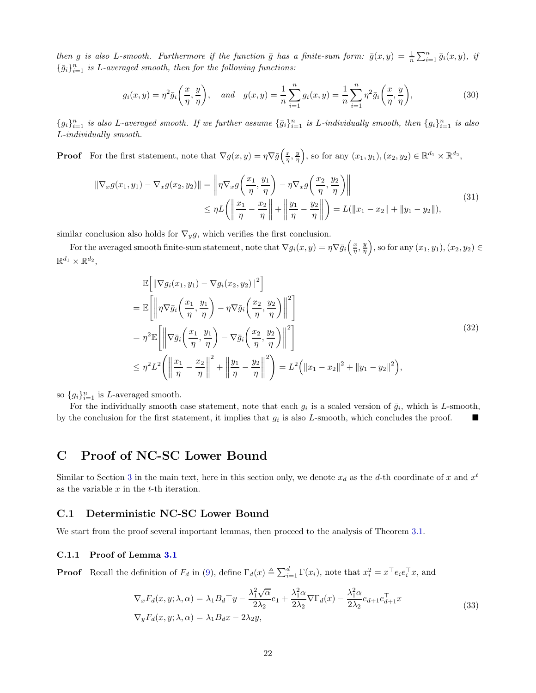then g is also L-smooth. Furthermore if the function  $\bar{g}$  has a finite-sum form:  $\bar{g}(x,y) = \frac{1}{n} \sum_{i=1}^{n} \bar{g}_i(x,y)$ , if  $\{\bar{g}_i\}_{i=1}^n$  is L-averaged smooth, then for the following functions:

$$
g_i(x,y) = \eta^2 \bar{g}_i\left(\frac{x}{\eta}, \frac{y}{\eta}\right), \quad \text{and} \quad g(x,y) = \frac{1}{n}\sum_{i=1}^n g_i(x,y) = \frac{1}{n}\sum_{i=1}^n \eta^2 \bar{g}_i\left(\frac{x}{\eta}, \frac{y}{\eta}\right),\tag{30}
$$

 ${g_i}_{i=1}^n$  is also L-averaged smooth. If we further assume  ${\bar{g}_i}_{i=1}^n$  is L-individually smooth, then  ${g_i}_{i=1}^n$  is also L-individually smooth.

**Proof** For the first statement, note that  $\nabla g(x, y) = \eta \nabla \overline{g}\left(\frac{x}{\eta}, \frac{y}{\eta}\right)$ , so for any  $(x_1, y_1), (x_2, y_2) \in \mathbb{R}^{d_1} \times \mathbb{R}^{d_2}$ ,

$$
\|\nabla_x g(x_1, y_1) - \nabla_x g(x_2, y_2)\| = \left\|\eta \nabla_x g\left(\frac{x_1}{\eta}, \frac{y_1}{\eta}\right) - \eta \nabla_x g\left(\frac{x_2}{\eta}, \frac{y_2}{\eta}\right)\right\|
$$
  
\n
$$
\leq \eta L \left( \left\|\frac{x_1}{\eta} - \frac{x_2}{\eta}\right\| + \left\|\frac{y_1}{\eta} - \frac{y_2}{\eta}\right\| \right) = L(\|x_1 - x_2\| + \|y_1 - y_2\|),
$$
\n(31)

similar conclusion also holds for  $\nabla_y g$ , which verifies the first conclusion.

For the averaged smooth finite-sum statement, note that  $\nabla g_i(x, y) = \eta \nabla \bar{g}_i\left(\frac{x}{\eta}, \frac{y}{\eta}\right)$ , so for any  $(x_1, y_1), (x_2, y_2) \in$  $\mathbb{R}^{d_1}\times \mathbb{R}^{d_2},$ 

$$
\mathbb{E}\left[\left\|\nabla g_i(x_1, y_1) - \nabla g_i(x_2, y_2)\right\|^2\right]
$$
\n
$$
= \mathbb{E}\left[\left\|\eta\nabla \bar{g}_i\left(\frac{x_1}{\eta}, \frac{y_1}{\eta}\right) - \eta\nabla \bar{g}_i\left(\frac{x_2}{\eta}, \frac{y_2}{\eta}\right)\right\|^2\right]
$$
\n
$$
= \eta^2 \mathbb{E}\left[\left\|\nabla \bar{g}_i\left(\frac{x_1}{\eta}, \frac{y_1}{\eta}\right) - \nabla \bar{g}_i\left(\frac{x_2}{\eta}, \frac{y_2}{\eta}\right)\right\|^2\right]
$$
\n
$$
\leq \eta^2 L^2 \left(\left\|\frac{x_1}{\eta} - \frac{x_2}{\eta}\right\|^2 + \left\|\frac{y_1}{\eta} - \frac{y_2}{\eta}\right\|^2\right) = L^2 \left(\|x_1 - x_2\|^2 + \|y_1 - y_2\|^2\right),\tag{32}
$$

so  $\{g_i\}_{i=1}^n$  is L-averaged smooth.

For the individually smooth case statement, note that each  $g_i$  is a scaled version of  $\bar{g}_i$ , which is L-smooth, by the conclusion for the first statement, it implies that  $g_i$  is also L-smooth, which concludes the proof.

# <span id="page-21-1"></span>C Proof of NC-SC Lower Bound

Similar to Section [3](#page-4-0) in the main text, here in this section only, we denote  $x_d$  as the d-th coordinate of x and  $x^t$ as the variable  $x$  in the  $t$ -th iteration.

### C.1 Deterministic NC-SC Lower Bound

We start from the proof several important lemmas, then proceed to the analysis of Theorem [3.1.](#page-7-0)

#### <span id="page-21-0"></span>C.1.1 Proof of Lemma [3.1](#page-6-0)

**Proof** Recall the definition of  $F_d$  in [\(9\)](#page-5-1), define  $\Gamma_d(x) \triangleq \sum_{i=1}^d \Gamma(x_i)$ , note that  $x_i^2 = x^\top e_i e_i^\top x$ , and

$$
\nabla_x F_d(x, y; \lambda, \alpha) = \lambda_1 B_d \top y - \frac{\lambda_1^2 \sqrt{\alpha}}{2\lambda_2} e_1 + \frac{\lambda_1^2 \alpha}{2\lambda_2} \nabla \Gamma_d(x) - \frac{\lambda_1^2 \alpha}{2\lambda_2} e_{d+1} e_{d+1}^\top x
$$
  
\n
$$
\nabla_y F_d(x, y; \lambda, \alpha) = \lambda_1 B_d x - 2\lambda_2 y,
$$
\n(33)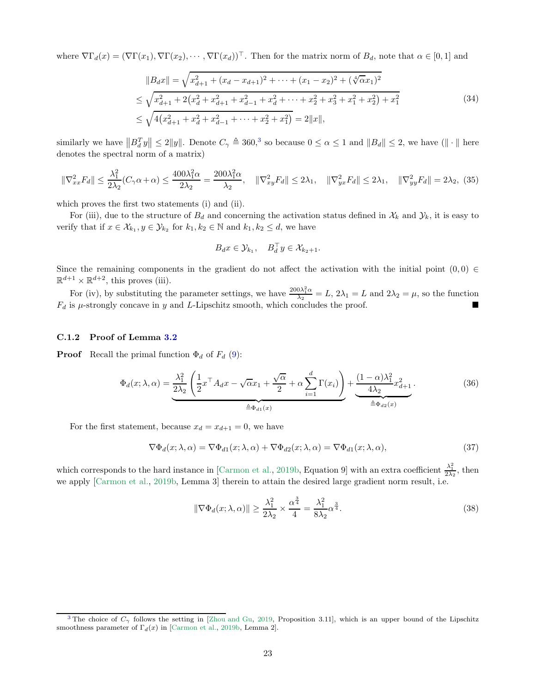where  $\nabla\Gamma_d(x) = (\nabla\Gamma(x_1), \nabla\Gamma(x_2), \cdots, \nabla\Gamma(x_d))^{\top}$ . Then for the matrix norm of  $B_d$ , note that  $\alpha \in [0,1]$  and

$$
||B_d x|| = \sqrt{x_{d+1}^2 + (x_d - x_{d+1})^2 + \dots + (x_1 - x_2)^2 + (\sqrt[4]{\alpha}x_1)^2}
$$
  
\n
$$
\leq \sqrt{x_{d+1}^2 + 2(x_d^2 + x_{d+1}^2 + x_{d-1}^2 + x_d^2 + \dots + x_2^2 + x_3^2 + x_1^2 + x_2^2) + x_1^2}
$$
  
\n
$$
\leq \sqrt{4(x_{d+1}^2 + x_d^2 + x_{d-1}^2 + \dots + x_2^2 + x_1^2)} = 2||x||,
$$
\n(34)

similarly we have  $||B_d^T y|| \le 2||y||$ . Denote  $C_\gamma \triangleq 360$  $C_\gamma \triangleq 360$  $C_\gamma \triangleq 360$ , so because  $0 \le \alpha \le 1$  and  $||B_d|| \le 2$ , we have  $(|| \cdot ||$  here denotes the spectral norm of a matrix)

$$
\|\nabla_{xx}^2 F_d\| \le \frac{\lambda_1^2}{2\lambda_2} (C_\gamma \alpha + \alpha) \le \frac{400\lambda_1^2 \alpha}{2\lambda_2} = \frac{200\lambda_1^2 \alpha}{\lambda_2}, \quad \|\nabla_{xy}^2 F_d\| \le 2\lambda_1, \quad \|\nabla_{yx}^2 F_d\| \le 2\lambda_1, \quad \|\nabla_{yy}^2 F_d\| = 2\lambda_2, \tag{35}
$$

which proves the first two statements (i) and (ii).

For (iii), due to the structure of  $B_d$  and concerning the activation status defined in  $\mathcal{X}_k$  and  $\mathcal{Y}_k$ , it is easy to verify that if  $x \in \mathcal{X}_{k_1}, y \in \mathcal{Y}_{k_2}$  for  $k_1, k_2 \in \mathbb{N}$  and  $k_1, k_2 \leq d$ , we have

<span id="page-22-2"></span>
$$
B_d x \in \mathcal{Y}_{k_1}, \quad B_d^\top y \in \mathcal{X}_{k_2+1}.
$$

Since the remaining components in the gradient do not affect the activation with the initial point  $(0, 0) \in$  $\mathbb{R}^{d+1} \times \mathbb{R}^{d+2}$ , this proves (iii).

For (iv), by substituting the parameter settings, we have  $\frac{200\lambda_1^2 \alpha}{\lambda_2} = L$ ,  $2\lambda_1 = L$  and  $2\lambda_2 = \mu$ , so the function  $F_d$  is  $\mu$ -strongly concave in y and L-Lipschitz smooth, which concludes the proof.

### <span id="page-22-0"></span>C.1.2 Proof of Lemma [3.2](#page-6-1)

**Proof** Recall the primal function  $\Phi_d$  of  $F_d$  [\(9\)](#page-5-1):

$$
\Phi_d(x;\lambda,\alpha) = \underbrace{\frac{\lambda_1^2}{2\lambda_2} \left( \frac{1}{2} x^\top A_d x - \sqrt{\alpha} x_1 + \frac{\sqrt{\alpha}}{2} + \alpha \sum_{i=1}^d \Gamma(x_i) \right)}_{\triangleq \Phi_{d1}(x)} + \underbrace{\frac{(1-\alpha)\lambda_1^2}{4\lambda_2} x_{d+1}^2}_{\triangleq \Phi_{d2}(x)}.
$$
\n(36)

For the first statement, because  $x_d = x_{d+1} = 0$ , we have

$$
\nabla \Phi_d(x; \lambda, \alpha) = \nabla \Phi_{d1}(x; \lambda, \alpha) + \nabla \Phi_{d2}(x; \lambda, \alpha) = \nabla \Phi_{d1}(x; \lambda, \alpha), \tag{37}
$$

which corresponds to the hard instance in [\[Carmon et al.](#page-14-4), [2019b,](#page-14-4) Equation 9] with an extra coefficient  $\frac{\lambda_1^2}{2\lambda_2}$ , then we apply [\[Carmon et al.,](#page-14-4) [2019b](#page-14-4), Lemma 3] therein to attain the desired large gradient norm result, i.e.

$$
\|\nabla\Phi_d(x;\lambda,\alpha)\| \ge \frac{\lambda_1^2}{2\lambda_2} \times \frac{\alpha^{\frac{3}{4}}}{4} = \frac{\lambda_1^2}{8\lambda_2} \alpha^{\frac{3}{4}}.
$$
\n(38)

<span id="page-22-1"></span><sup>&</sup>lt;sup>[3](#page-22-2)</sup> The choice of  $C_\gamma$  follows the setting in [\[Zhou and Gu](#page-18-0), [2019](#page-18-0), Proposition 3.11], which is an upper bound of the Lipschitz smoothness parameter of  $\Gamma_d(x)$  in [\[Carmon et al.](#page-14-4), [2019b](#page-14-4), Lemma 2].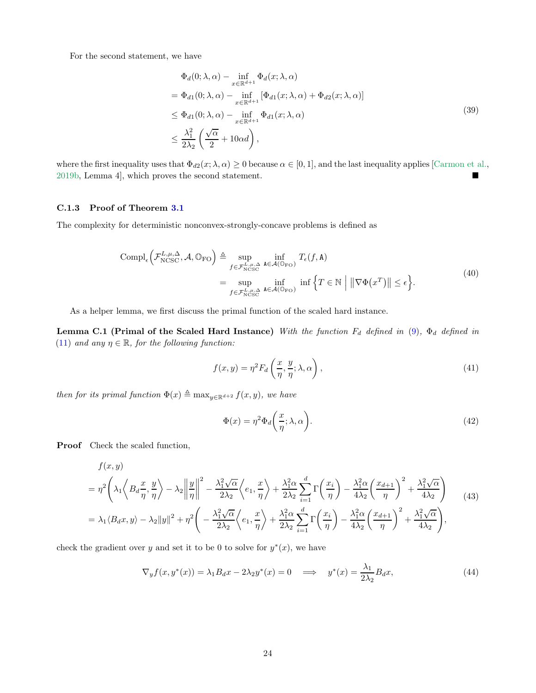For the second statement, we have

$$
\Phi_d(0; \lambda, \alpha) - \inf_{x \in \mathbb{R}^{d+1}} \Phi_d(x; \lambda, \alpha)
$$
\n
$$
= \Phi_{d1}(0; \lambda, \alpha) - \inf_{x \in \mathbb{R}^{d+1}} [\Phi_{d1}(x; \lambda, \alpha) + \Phi_{d2}(x; \lambda, \alpha)]
$$
\n
$$
\leq \Phi_{d1}(0; \lambda, \alpha) - \inf_{x \in \mathbb{R}^{d+1}} \Phi_{d1}(x; \lambda, \alpha)
$$
\n
$$
\leq \frac{\lambda_1^2}{2\lambda_2} \left( \frac{\sqrt{\alpha}}{2} + 10\alpha d \right),
$$
\n(39)

where the first inequality uses that  $\Phi_{d2}(x; \lambda, \alpha) \geq 0$  because  $\alpha \in [0, 1]$ , and the last inequality applies [\[Carmon et al.](#page-14-4), [2019b](#page-14-4), Lemma 4], which proves the second statement.

#### <span id="page-23-0"></span>C.1.3 Proof of Theorem [3.1](#page-7-0)

The complexity for deterministic nonconvex-strongly-concave problems is defined as

$$
\text{Compl}_{\epsilon}\left(\mathcal{F}_{\text{NCSC}}^{L,\mu,\Delta},\mathcal{A},\mathbb{O}_{\text{FO}}\right) \triangleq \sup_{\substack{f \in \mathcal{F}_{\text{NCSC}}^{L,\mu,\Delta} \\ \text{supp} \\ f \in \mathcal{F}_{\text{NCSC}}^{L,\mu,\Delta} }} \inf_{\mathbf{A} \in \mathcal{A}(\mathbb{O}_{\text{FO}})} T_{\epsilon}(f,\mathbf{A})
$$
\n
$$
= \sup_{\substack{f \in \mathcal{F}_{\text{NCSC}}^{L,\mu,\Delta} \\ \text{maxp} \in \mathcal{A}(\mathbb{O}_{\text{FO}})}} \inf \left\{T \in \mathbb{N} \mid \|\nabla \Phi(x^T)\| \le \epsilon \right\}.
$$
\n(40)

<span id="page-23-1"></span>As a helper lemma, we first discuss the primal function of the scaled hard instance.

Lemma C.1 (Primal of the Scaled Hard Instance) With the function  $F_d$  defined in [\(9\)](#page-5-1),  $\Phi_d$  defined in [\(11\)](#page-6-2) and any  $\eta \in \mathbb{R}$ , for the following function:

$$
f(x,y) = \eta^2 F_d\left(\frac{x}{\eta}, \frac{y}{\eta}; \lambda, \alpha\right),\tag{41}
$$

then for its primal function  $\Phi(x) \triangleq \max_{y \in \mathbb{R}^{d+2}} f(x, y)$ , we have

$$
\Phi(x) = \eta^2 \Phi_d\bigg(\frac{x}{\eta}; \lambda, \alpha\bigg). \tag{42}
$$

Proof Check the scaled function,

$$
f(x,y)
$$
  
=  $\eta^2 \left( \lambda_1 \left\langle B_d \frac{x}{\eta}, \frac{y}{\eta} \right\rangle - \lambda_2 \left\| \frac{y}{\eta} \right\|^2 - \frac{\lambda_1^2 \sqrt{\alpha}}{2\lambda_2} \left\langle e_1, \frac{x}{\eta} \right\rangle + \frac{\lambda_1^2 \alpha}{2\lambda_2} \sum_{i=1}^d \Gamma\left(\frac{x_i}{\eta}\right) - \frac{\lambda_1^2 \alpha}{4\lambda_2} \left(\frac{x_{d+1}}{\eta}\right)^2 + \frac{\lambda_1^2 \sqrt{\alpha}}{4\lambda_2} \right)$   
=  $\lambda_1 \langle B_d x, y \rangle - \lambda_2 ||y||^2 + \eta^2 \left( -\frac{\lambda_1^2 \sqrt{\alpha}}{2\lambda_2} \left\langle e_1, \frac{x}{\eta} \right\rangle + \frac{\lambda_1^2 \alpha}{2\lambda_2} \sum_{i=1}^d \Gamma\left(\frac{x_i}{\eta}\right) - \frac{\lambda_1^2 \alpha}{4\lambda_2} \left(\frac{x_{d+1}}{\eta}\right)^2 + \frac{\lambda_1^2 \sqrt{\alpha}}{4\lambda_2} \right),$  (43)

check the gradient over y and set it to be 0 to solve for  $y^*(x)$ , we have

$$
\nabla_y f(x, y^*(x)) = \lambda_1 B_d x - 2\lambda_2 y^*(x) = 0 \quad \Longrightarrow \quad y^*(x) = \frac{\lambda_1}{2\lambda_2} B_d x,\tag{44}
$$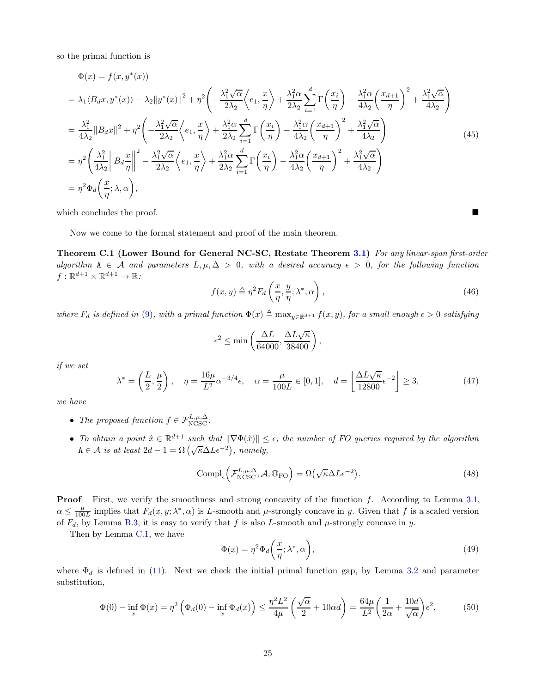so the primal function is

$$
\Phi(x) = f(x, y^*(x))
$$
\n
$$
= \lambda_1 \langle B_d x, y^*(x) \rangle - \lambda_2 ||y^*(x)||^2 + \eta^2 \left( -\frac{\lambda_1^2 \sqrt{\alpha}}{2\lambda_2} \left\langle e_1, \frac{x}{\eta} \right\rangle + \frac{\lambda_1^2 \alpha}{2\lambda_2} \sum_{i=1}^d \Gamma\left(\frac{x_i}{\eta}\right) - \frac{\lambda_1^2 \alpha}{4\lambda_2} \left\langle \frac{x_{d+1}}{\eta} \right\rangle^2 + \frac{\lambda_1^2 \sqrt{\alpha}}{4\lambda_2} \right)
$$
\n
$$
= \frac{\lambda_1^2}{4\lambda_2} ||B_d x||^2 + \eta^2 \left( -\frac{\lambda_1^2 \sqrt{\alpha}}{2\lambda_2} \left\langle e_1, \frac{x}{\eta} \right\rangle + \frac{\lambda_1^2 \alpha}{2\lambda_2} \sum_{i=1}^d \Gamma\left(\frac{x_i}{\eta}\right) - \frac{\lambda_1^2 \alpha}{4\lambda_2} \left\langle \frac{x_{d+1}}{\eta} \right\rangle^2 + \frac{\lambda_1^2 \sqrt{\alpha}}{4\lambda_2} \right)
$$
\n
$$
= \eta^2 \left( \frac{\lambda_1^2}{4\lambda_2} ||B_d \frac{x}{\eta}||^2 - \frac{\lambda_1^2 \sqrt{\alpha}}{2\lambda_2} \left\langle e_1, \frac{x}{\eta} \right\rangle + \frac{\lambda_1^2 \alpha}{2\lambda_2} \sum_{i=1}^d \Gamma\left(\frac{x_i}{\eta}\right) - \frac{\lambda_1^2 \alpha}{4\lambda_2} \left\langle \frac{x_{d+1}}{\eta} \right\rangle^2 + \frac{\lambda_1^2 \sqrt{\alpha}}{4\lambda_2} \right)
$$
\n
$$
= \eta^2 \Phi_d \left( \frac{x}{\eta}; \lambda, \alpha \right), \tag{45}
$$

which concludes the proof.

Now we come to the formal statement and proof of the main theorem.

Theorem C.1 (Lower Bound for General NC-SC, Restate Theorem [3.1\)](#page-7-0) For any linear-span first-order algorithm  $A \in \mathcal{A}$  and parameters  $L, \mu, \Delta > 0$ , with a desired accuracy  $\epsilon > 0$ , for the following function  $f: \mathbb{R}^{d+1} \times \mathbb{R}^{d+1} \to \mathbb{R}$ :

$$
f(x,y) \triangleq \eta^2 F_d\left(\frac{x}{\eta}, \frac{y}{\eta}; \lambda^*, \alpha\right),\tag{46}
$$

where  $F_d$  is defined in [\(9\)](#page-5-1), with a primal function  $\Phi(x) \triangleq \max_{y \in \mathbb{R}^{d+1}} f(x, y)$ , for a small enough  $\epsilon > 0$  satisfying

$$
\epsilon^2 \le \min\left(\frac{\Delta L}{64000}, \frac{\Delta L \sqrt{\kappa}}{38400}\right),\,
$$

if we set

$$
\lambda^* = \left(\frac{L}{2}, \frac{\mu}{2}\right), \quad \eta = \frac{16\mu}{L^2} \alpha^{-3/4} \epsilon, \quad \alpha = \frac{\mu}{100L} \in [0, 1], \quad d = \left\lfloor \frac{\Delta L \sqrt{\kappa}}{12800} \epsilon^{-2} \right\rfloor \ge 3,
$$
\n
$$
(47)
$$

we have

- The proposed function  $f \in \mathcal{F}_{\text{NCSC}}^{L,\mu,\Delta}$ .
- To obtain a point  $\hat{x} \in \mathbb{R}^{d+1}$  such that  $\|\nabla \Phi(\hat{x})\| \leq \epsilon$ , the number of FO queries required by the algorithm  $A \in \mathcal{A}$  is at least  $2d - 1 = \Omega\left(\sqrt{\kappa} \Delta L \epsilon^{-2}\right)$ , namely,

$$
Compl_{\epsilon} \left( \mathcal{F}_{NCSC}^{L,\mu,\Delta}, \mathcal{A}, \mathbb{O}_{\text{FO}} \right) = \Omega \left( \sqrt{\kappa} \Delta L \epsilon^{-2} \right). \tag{48}
$$

Proof First, we verify the smoothness and strong concavity of the function f. According to Lemma [3.1,](#page-6-0)  $\alpha \leq \frac{\mu}{100L}$  implies that  $F_d(x, y; \lambda^*, \alpha)$  is L-smooth and  $\mu$ -strongly concave in y. Given that f is a scaled version of  $F_d$ , by Lemma [B.3,](#page-20-0) it is easy to verify that f is also L-smooth and  $\mu$ -strongly concave in y.

Then by Lemma [C.1,](#page-23-1) we have

$$
\Phi(x) = \eta^2 \Phi_d\bigg(\frac{x}{\eta}; \lambda^*, \alpha\bigg),\tag{49}
$$

where  $\Phi_d$  is defined in [\(11\)](#page-6-2). Next we check the initial primal function gap, by Lemma [3.2](#page-6-1) and parameter substitution,

$$
\Phi(0) - \inf_x \Phi(x) = \eta^2 \left( \Phi_d(0) - \inf_x \Phi_d(x) \right) \le \frac{\eta^2 L^2}{4\mu} \left( \frac{\sqrt{\alpha}}{2} + 10\alpha d \right) = \frac{64\mu}{L^2} \left( \frac{1}{2\alpha} + \frac{10d}{\sqrt{\alpha}} \right) \epsilon^2,\tag{50}
$$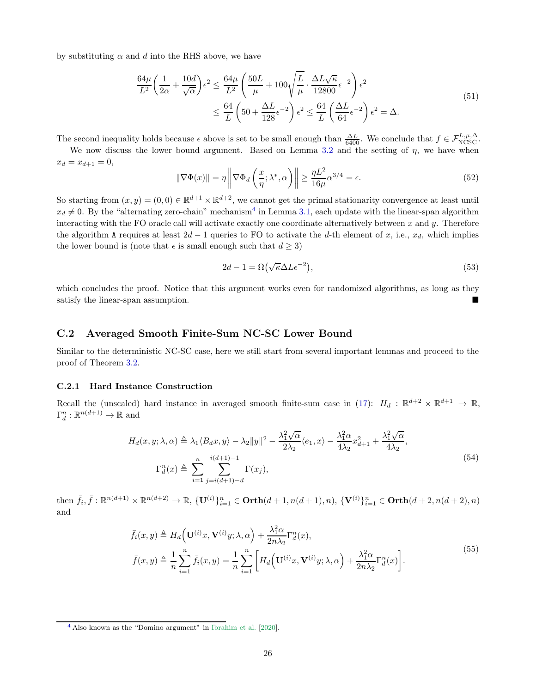by substituting  $\alpha$  and d into the RHS above, we have

$$
\frac{64\mu}{L^2} \left( \frac{1}{2\alpha} + \frac{10d}{\sqrt{\alpha}} \right) \epsilon^2 \le \frac{64\mu}{L^2} \left( \frac{50L}{\mu} + 100\sqrt{\frac{L}{\mu}} \cdot \frac{\Delta L \sqrt{\kappa}}{12800} \epsilon^{-2} \right) \epsilon^2
$$
\n
$$
\le \frac{64}{L} \left( 50 + \frac{\Delta L}{128} \epsilon^{-2} \right) \epsilon^2 \le \frac{64}{L} \left( \frac{\Delta L}{64} \epsilon^{-2} \right) \epsilon^2 = \Delta.
$$
\n(51)

The second inequality holds because  $\epsilon$  above is set to be small enough than  $\frac{\Delta L}{6400}$ . We conclude that  $f \in \mathcal{F}^{L,\mu,\Delta}_{NCSC}$ .

We now discuss the lower bound argument. Based on Lemma [3.2](#page-6-1) and the setting of  $\eta$ , we have when  $x_d = x_{d+1} = 0,$ 

$$
\|\nabla\Phi(x)\| = \eta \left\|\nabla\Phi_d\left(\frac{x}{\eta}; \lambda^*, \alpha\right)\right\| \ge \frac{\eta L^2}{16\mu} \alpha^{3/4} = \epsilon. \tag{52}
$$

So starting from  $(x, y) = (0, 0) \in \mathbb{R}^{d+1} \times \mathbb{R}^{d+2}$ , we cannot get the primal stationarity convergence at least until  $x_d \neq 0$ . By the "alternating zero-chain" mechanism<sup>[4](#page-25-1)</sup> in Lemma [3.1,](#page-6-0) each update with the linear-span algorithm interacting with the FO oracle call will activate exactly one coordinate alternatively between  $x$  and  $y$ . Therefore the algorithm A requires at least  $2d - 1$  queries to FO to activate the d-th element of x, i.e.,  $x<sub>d</sub>$ , which implies the lower bound is (note that  $\epsilon$  is small enough such that  $d \geq 3$ )

<span id="page-25-2"></span>
$$
2d - 1 = \Omega(\sqrt{\kappa}\Delta L\epsilon^{-2}),\tag{53}
$$

which concludes the proof. Notice that this argument works even for randomized algorithms, as long as they satisfy the linear-span assumption.

# C.2 Averaged Smooth Finite-Sum NC-SC Lower Bound

Similar to the deterministic NC-SC case, here we still start from several important lemmas and proceed to the proof of Theorem [3.2.](#page-9-0)

#### <span id="page-25-0"></span>C.2.1 Hard Instance Construction

Recall the (unscaled) hard instance in averaged smooth finite-sum case in [\(17\)](#page-8-0):  $H_d$ :  $\mathbb{R}^{d+2} \times \mathbb{R}^{d+1} \to \mathbb{R}$ ,  $\Gamma_d^n : \mathbb{R}^{n(d+1)} \to \mathbb{R}$  and

$$
H_d(x, y; \lambda, \alpha) \triangleq \lambda_1 \langle B_d x, y \rangle - \lambda_2 \|y\|^2 - \frac{\lambda_1^2 \sqrt{\alpha}}{2\lambda_2} \langle e_1, x \rangle - \frac{\lambda_1^2 \alpha}{4\lambda_2} x_{d+1}^2 + \frac{\lambda_1^2 \sqrt{\alpha}}{4\lambda_2},
$$
  

$$
\Gamma_d^n(x) \triangleq \sum_{i=1}^n \sum_{j=i(d+1)-d}^{i(d+1)-1} \Gamma(x_j),
$$
 (54)

then  $\bar{f}_i, \bar{f}: \mathbb{R}^{n(d+1)} \times \mathbb{R}^{n(d+2)} \to \mathbb{R}, \{U^{(i)}\}_{i=1}^n \in \text{Orth}(d+1, n(d+1), n), \{V^{(i)}\}_{i=1}^n \in \text{Orth}(d+2, n(d+2), n)$ and

$$
\bar{f}_i(x,y) \triangleq H_d\Big(\mathbf{U}^{(i)}x,\mathbf{V}^{(i)}y;\lambda,\alpha\Big) + \frac{\lambda_1^2 \alpha}{2n\lambda_2} \Gamma_d^n(x),
$$
\n
$$
\bar{f}(x,y) \triangleq \frac{1}{n} \sum_{i=1}^n \bar{f}_i(x,y) = \frac{1}{n} \sum_{i=1}^n \left[ H_d\Big(\mathbf{U}^{(i)}x,\mathbf{V}^{(i)}y;\lambda,\alpha\Big) + \frac{\lambda_1^2 \alpha}{2n\lambda_2} \Gamma_d^n(x) \right].
$$
\n(55)

<span id="page-25-1"></span>[<sup>4</sup>](#page-25-2) Also known as the "Domino argument" in [Ibrahim et al.](#page-15-6) [\[2020\]](#page-15-6).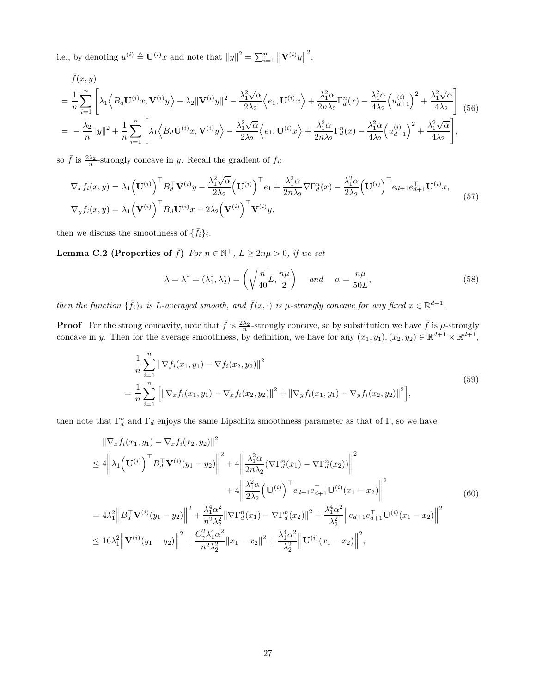i.e., by denoting  $u^{(i)} \triangleq \mathbf{U}^{(i)}x$  and note that  $||y||^2 = \sum_{i=1}^n ||\mathbf{V}^{(i)}y||$ 2 ,

<span id="page-26-0"></span>
$$
\bar{f}(x,y) = \frac{1}{n} \sum_{i=1}^{n} \left[ \lambda_1 \left\langle B_d \mathbf{U}^{(i)} x, \mathbf{V}^{(i)} y \right\rangle - \lambda_2 ||\mathbf{V}^{(i)} y||^2 - \frac{\lambda_1^2 \sqrt{\alpha}}{2\lambda_2} \left\langle e_1, \mathbf{U}^{(i)} x \right\rangle + \frac{\lambda_1^2 \alpha}{2n\lambda_2} \Gamma_d^n(x) - \frac{\lambda_1^2 \alpha}{4\lambda_2} \left( u_{d+1}^{(i)} \right)^2 + \frac{\lambda_1^2 \sqrt{\alpha}}{4\lambda_2} \right] (56)
$$
\n
$$
= -\frac{\lambda_2}{n} ||y||^2 + \frac{1}{n} \sum_{i=1}^{n} \left[ \lambda_1 \left\langle B_d \mathbf{U}^{(i)} x, \mathbf{V}^{(i)} y \right\rangle - \frac{\lambda_1^2 \sqrt{\alpha}}{2\lambda_2} \left\langle e_1, \mathbf{U}^{(i)} x \right\rangle + \frac{\lambda_1^2 \alpha}{2n\lambda_2} \Gamma_d^n(x) - \frac{\lambda_1^2 \alpha}{4\lambda_2} \left( u_{d+1}^{(i)} \right)^2 + \frac{\lambda_1^2 \sqrt{\alpha}}{4\lambda_2} \right],
$$

so  $\bar{f}$  is  $\frac{2\lambda_2}{n}$ -strongly concave in y. Recall the gradient of  $f_i$ :

$$
\nabla_x f_i(x, y) = \lambda_1 \left(\mathbf{U}^{(i)}\right)^{\top} B_d^{\top} \mathbf{V}^{(i)} y - \frac{\lambda_1^2 \sqrt{\alpha}}{2\lambda_2} \left(\mathbf{U}^{(i)}\right)^{\top} e_1 + \frac{\lambda_1^2 \alpha}{2n\lambda_2} \nabla \Gamma_d^n(x) - \frac{\lambda_1^2 \alpha}{2\lambda_2} \left(\mathbf{U}^{(i)}\right)^{\top} e_{d+1} e_{d+1}^{\top} \mathbf{U}^{(i)} x,
$$
\n
$$
\nabla_y f_i(x, y) = \lambda_1 \left(\mathbf{V}^{(i)}\right)^{\top} B_d \mathbf{U}^{(i)} x - 2\lambda_2 \left(\mathbf{V}^{(i)}\right)^{\top} \mathbf{V}^{(i)} y,
$$
\n(57)

<span id="page-26-1"></span>then we discuss the smoothness of  $\{\bar{f}_i\}_i$ .

**Lemma C.2 (Properties of**  $\bar{f}$ ) For  $n \in \mathbb{N}^+$ ,  $L \geq 2n\mu > 0$ , if we set

$$
\lambda = \lambda^* = (\lambda_1^*, \lambda_2^*) = \left(\sqrt{\frac{n}{40}}L, \frac{n\mu}{2}\right) \quad \text{and} \quad \alpha = \frac{n\mu}{50L},\tag{58}
$$

then the function  $\{\bar{f}_i\}_i$  is L-averaged smooth, and  $\bar{f}(x, \cdot)$  is  $\mu$ -strongly concave for any fixed  $x \in \mathbb{R}^{d+1}$ .

**Proof** For the strong concavity, note that  $\bar{f}$  is  $\frac{2\lambda_2}{n}$ -strongly concave, so by substitution we have  $\bar{f}$  is  $\mu$ -strongly concave in y. Then for the average smoothness, by definition, we have for any  $(x_1, y_1), (x_2, y_2) \in \mathbb{R}^{d+1} \times \mathbb{R}^{d+1}$ ,

$$
\frac{1}{n} \sum_{i=1}^{n} \|\nabla f_i(x_1, y_1) - \nabla f_i(x_2, y_2)\|^2
$$
\n
$$
= \frac{1}{n} \sum_{i=1}^{n} \left[ \|\nabla_x f_i(x_1, y_1) - \nabla_x f_i(x_2, y_2)\|^2 + \|\nabla_y f_i(x_1, y_1) - \nabla_y f_i(x_2, y_2)\|^2 \right],
$$
\n(59)

then note that  $\Gamma_d^n$  and  $\Gamma_d$  enjoys the same Lipschitz smoothness parameter as that of  $\Gamma$ , so we have

$$
\|\nabla_x f_i(x_1, y_1) - \nabla_x f_i(x_2, y_2)\|^2
$$
\n
$$
\leq 4 \left\| \lambda_1 \left( \mathbf{U}^{(i)} \right)^{\top} B_d^{\top} \mathbf{V}^{(i)}(y_1 - y_2) \right\|^2 + 4 \left\| \frac{\lambda_1^2 \alpha}{2n\lambda_2} (\nabla \Gamma_d^n(x_1) - \nabla \Gamma_d^n(x_2)) \right\|^2
$$
\n
$$
+ 4 \left\| \frac{\lambda_1^2 \alpha}{2\lambda_2} \left( \mathbf{U}^{(i)} \right)^{\top} e_{d+1} e_{d+1}^{\top} \mathbf{U}^{(i)}(x_1 - x_2) \right\|^2
$$
\n
$$
= 4\lambda_1^2 \left\| B_d^{\top} \mathbf{V}^{(i)}(y_1 - y_2) \right\|^2 + \frac{\lambda_1^4 \alpha^2}{n^2 \lambda_2^2} \|\nabla \Gamma_d^n(x_1) - \nabla \Gamma_d^n(x_2)\|^2 + \frac{\lambda_1^4 \alpha^2}{\lambda_2^2} \left\| e_{d+1} e_{d+1}^{\top} \mathbf{U}^{(i)}(x_1 - x_2) \right\|^2
$$
\n
$$
\leq 16\lambda_1^2 \left\| \mathbf{V}^{(i)}(y_1 - y_2) \right\|^2 + \frac{C_2^2 \lambda_1^4 \alpha^2}{n^2 \lambda_2^2} \|x_1 - x_2\|^2 + \frac{\lambda_1^4 \alpha^2}{\lambda_2^2} \left\| \mathbf{U}^{(i)}(x_1 - x_2) \right\|^2,
$$
\n(60)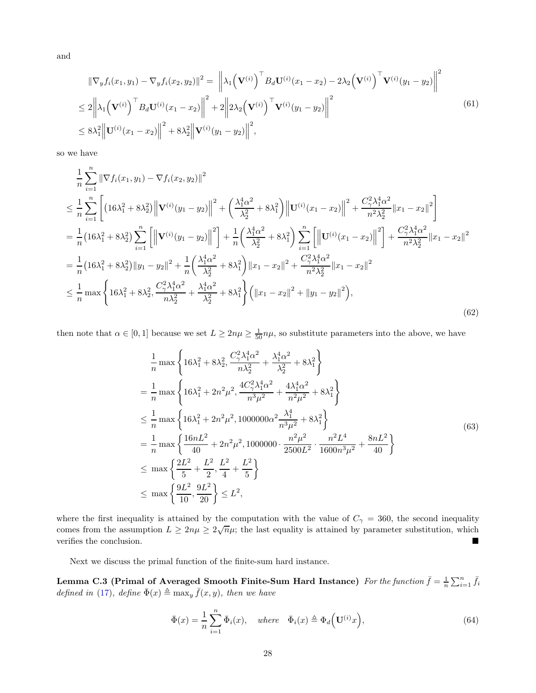and

$$
\|\nabla_y f_i(x_1, y_1) - \nabla_y f_i(x_2, y_2)\|^2 = \left\|\lambda_1 \left(\mathbf{V}^{(i)}\right)^{\top} B_d \mathbf{U}^{(i)}(x_1 - x_2) - 2\lambda_2 \left(\mathbf{V}^{(i)}\right)^{\top} \mathbf{V}^{(i)}(y_1 - y_2)\right\|^2
$$
  
\n
$$
\leq 2\left\|\lambda_1 \left(\mathbf{V}^{(i)}\right)^{\top} B_d \mathbf{U}^{(i)}(x_1 - x_2)\right\|^2 + 2\left\|2\lambda_2 \left(\mathbf{V}^{(i)}\right)^{\top} \mathbf{V}^{(i)}(y_1 - y_2)\right\|^2
$$
  
\n
$$
\leq 8\lambda_1^2 \left\|\mathbf{U}^{(i)}(x_1 - x_2)\right\|^2 + 8\lambda_2^2 \left\|\mathbf{V}^{(i)}(y_1 - y_2)\right\|^2,
$$
\n(61)

so we have

$$
\frac{1}{n}\sum_{i=1}^{n} \|\nabla f_i(x_1, y_1) - \nabla f_i(x_2, y_2)\|^2
$$
\n
$$
\leq \frac{1}{n}\sum_{i=1}^{n} \left[ \left(16\lambda_1^2 + 8\lambda_2^2\right) \left\|\mathbf{V}^{(i)}(y_1 - y_2)\right\|^2 + \left(\frac{\lambda_1^4 \alpha^2}{\lambda_2^2} + 8\lambda_1^2\right) \left\|\mathbf{U}^{(i)}(x_1 - x_2)\right\|^2 + \frac{C_7^2 \lambda_1^4 \alpha^2}{n^2 \lambda_2^2} \|x_1 - x_2\|^2 \right]
$$
\n
$$
= \frac{1}{n} \left(16\lambda_1^2 + 8\lambda_2^2\right) \sum_{i=1}^{n} \left[ \left\|\mathbf{V}^{(i)}(y_1 - y_2)\right\|^2 \right] + \frac{1}{n} \left(\frac{\lambda_1^4 \alpha^2}{\lambda_2^2} + 8\lambda_1^2\right) \sum_{i=1}^{n} \left[ \left\|\mathbf{U}^{(i)}(x_1 - x_2)\right\|^2 \right] + \frac{C_7^2 \lambda_1^4 \alpha^2}{n^2 \lambda_2^2} \|x_1 - x_2\|^2
$$
\n
$$
= \frac{1}{n} \left(16\lambda_1^2 + 8\lambda_2^2\right) \|y_1 - y_2\|^2 + \frac{1}{n} \left(\frac{\lambda_1^4 \alpha^2}{\lambda_2^2} + 8\lambda_1^2\right) \|x_1 - x_2\|^2 + \frac{C_7^2 \lambda_1^4 \alpha^2}{n^2 \lambda_2^2} \|x_1 - x_2\|^2
$$
\n
$$
\leq \frac{1}{n} \max \left\{ 16\lambda_1^2 + 8\lambda_2^2, \frac{C_7^2 \lambda_1^4 \alpha^2}{n\lambda_2^2} + \frac{\lambda_1^4 \alpha^2}{\lambda_2^2} + 8\lambda_1^2 \right\} \left( \|x_1 - x_2\|^2 + \|y_1 - y_2\|^2 \right),
$$
\n(62)

then note that  $\alpha \in [0,1]$  because we set  $L \geq 2n\mu \geq \frac{1}{50}n\mu$ , so substitute parameters into the above, we have

$$
\frac{1}{n} \max \left\{ 16\lambda_1^2 + 8\lambda_2^2, \frac{C_\gamma^2 \lambda_1^4 \alpha^2}{n\lambda_2^2} + \frac{\lambda_1^4 \alpha^2}{\lambda_2^2} + 8\lambda_1^2 \right\}
$$
\n
$$
= \frac{1}{n} \max \left\{ 16\lambda_1^2 + 2n^2\mu^2, \frac{4C_\gamma^2 \lambda_1^4 \alpha^2}{n^3\mu^2} + \frac{4\lambda_1^4 \alpha^2}{n^2\mu^2} + 8\lambda_1^2 \right\}
$$
\n
$$
\leq \frac{1}{n} \max \left\{ 16\lambda_1^2 + 2n^2\mu^2, 1000000\alpha^2 \frac{\lambda_1^4}{n^3\mu^2} + 8\lambda_1^2 \right\}
$$
\n
$$
= \frac{1}{n} \max \left\{ \frac{16nL^2}{40} + 2n^2\mu^2, 1000000 \cdot \frac{n^2\mu^2}{2500L^2} \cdot \frac{n^2L^4}{1600n^3\mu^2} + \frac{8nL^2}{40} \right\}
$$
\n
$$
\leq \max \left\{ \frac{2L^2}{5} + \frac{L^2}{2}, \frac{L^2}{4} + \frac{L^2}{5} \right\}
$$
\n
$$
\leq \max \left\{ \frac{9L^2}{10}, \frac{9L^2}{20} \right\} \leq L^2,
$$
\n(63)

where the first inequality is attained by the computation with the value of  $C_{\gamma} = 360$ , the second inequality comes from the assumption  $L \geq 2n\mu \geq 2\sqrt{n}\mu$ ; the last equality is attained by parameter substitution, which verifies the conclusion.

<span id="page-27-0"></span>Next we discuss the primal function of the finite-sum hard instance.

Lemma C.3 (Primal of Averaged Smooth Finite-Sum Hard Instance) For the function  $\bar{f} = \frac{1}{n} \sum_{i=1}^{n} \bar{f}_i$ defined in [\(17\)](#page-8-0), define  $\bar{\Phi}(x) \triangleq \max_y \bar{f}(x, y)$ , then we have

$$
\bar{\Phi}(x) = \frac{1}{n} \sum_{i=1}^{n} \bar{\Phi}_i(x), \quad \text{where} \quad \bar{\Phi}_i(x) \triangleq \Phi_d\Big(\mathbf{U}^{(i)}x\Big), \tag{64}
$$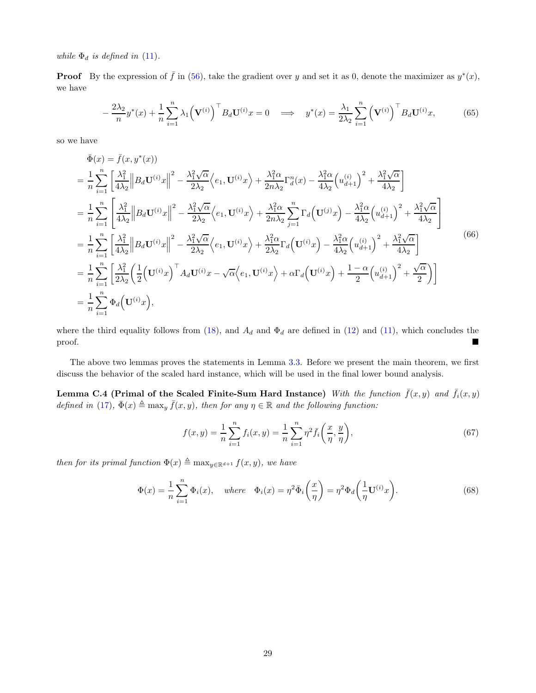while  $\Phi_d$  is defined in [\(11\)](#page-6-2).

**Proof** By the expression of  $\bar{f}$  in [\(56\)](#page-26-0), take the gradient over y and set it as 0, denote the maximizer as  $y^*(x)$ , we have

$$
-\frac{2\lambda_2}{n}y^*(x) + \frac{1}{n}\sum_{i=1}^n \lambda_1 \left(\mathbf{V}^{(i)}\right)^{\top} B_d \mathbf{U}^{(i)} x = 0 \quad \Longrightarrow \quad y^*(x) = \frac{\lambda_1}{2\lambda_2} \sum_{i=1}^n \left(\mathbf{V}^{(i)}\right)^{\top} B_d \mathbf{U}^{(i)} x,\tag{65}
$$

so we have

$$
\begin{split}\n\bar{\Phi}(x) &= \bar{f}(x, y^*(x)) \\
&= \frac{1}{n} \sum_{i=1}^n \left[ \frac{\lambda_1^2}{4\lambda_2} \left\| B_d \mathbf{U}^{(i)} x \right\|^2 - \frac{\lambda_1^2 \sqrt{\alpha}}{2\lambda_2} \left\langle e_1, \mathbf{U}^{(i)} x \right\rangle + \frac{\lambda_1^2 \alpha}{2n\lambda_2} \Gamma_d^n(x) - \frac{\lambda_1^2 \alpha}{4\lambda_2} \left( u_{d+1}^{(i)} \right)^2 + \frac{\lambda_1^2 \sqrt{\alpha}}{4\lambda_2} \right] \\
&= \frac{1}{n} \sum_{i=1}^n \left[ \frac{\lambda_1^2}{4\lambda_2} \left\| B_d \mathbf{U}^{(i)} x \right\|^2 - \frac{\lambda_1^2 \sqrt{\alpha}}{2\lambda_2} \left\langle e_1, \mathbf{U}^{(i)} x \right\rangle + \frac{\lambda_1^2 \alpha}{2n\lambda_2} \sum_{j=1}^n \Gamma_d \left( \mathbf{U}^{(j)} x \right) - \frac{\lambda_1^2 \alpha}{4\lambda_2} \left( u_{d+1}^{(i)} \right)^2 + \frac{\lambda_1^2 \sqrt{\alpha}}{4\lambda_2} \right] \\
&= \frac{1}{n} \sum_{i=1}^n \left[ \frac{\lambda_1^2}{4\lambda_2} \left\| B_d \mathbf{U}^{(i)} x \right\|^2 - \frac{\lambda_1^2 \sqrt{\alpha}}{2\lambda_2} \left\langle e_1, \mathbf{U}^{(i)} x \right\rangle + \frac{\lambda_1^2 \alpha}{2\lambda_2} \Gamma_d \left( \mathbf{U}^{(i)} x \right) - \frac{\lambda_1^2 \alpha}{4\lambda_2} \left( u_{d+1}^{(i)} \right)^2 + \frac{\lambda_1^2 \sqrt{\alpha}}{4\lambda_2} \right] \\
&= \frac{1}{n} \sum_{i=1}^n \left[ \frac{\lambda_1^2}{2\lambda_2} \left( \frac{1}{2} \left( \mathbf{U}^{(i)} x \right)^\top A_d \mathbf{U}^{(i)} x - \sqrt{\alpha} \left\langle e_1, \mathbf{U}^{(i)} x \right\rangle + \alpha \Gamma_d \left( \mathbf{U}^{(i)} x \right
$$

where the third equality follows from [\(18\)](#page-8-2), and  $A_d$  and  $\Phi_d$  are defined in [\(12\)](#page-6-3) and [\(11\)](#page-6-2), which concludes the proof.

<span id="page-28-0"></span>The above two lemmas proves the statements in Lemma [3.3.](#page-8-1) Before we present the main theorem, we first discuss the behavior of the scaled hard instance, which will be used in the final lower bound analysis.

Lemma C.4 (Primal of the Scaled Finite-Sum Hard Instance) With the function  $\bar{f}(x, y)$  and  $\bar{f}_i(x, y)$ defined in [\(17\)](#page-8-0),  $\bar{\Phi}(x) \triangleq \max_y \bar{f}(x, y)$ , then for any  $\eta \in \mathbb{R}$  and the following function:

$$
f(x,y) = \frac{1}{n} \sum_{i=1}^{n} f_i(x,y) = \frac{1}{n} \sum_{i=1}^{n} \eta^2 \bar{f}_i\left(\frac{x}{\eta}, \frac{y}{\eta}\right),\tag{67}
$$

then for its primal function  $\Phi(x) \triangleq \max_{y \in \mathbb{R}^{d+1}} f(x, y)$ , we have

$$
\Phi(x) = \frac{1}{n} \sum_{i=1}^{n} \Phi_i(x), \quad \text{where} \quad \Phi_i(x) = \eta^2 \bar{\Phi}_i \left(\frac{x}{\eta}\right) = \eta^2 \Phi_d \left(\frac{1}{\eta} \mathbf{U}^{(i)} x\right). \tag{68}
$$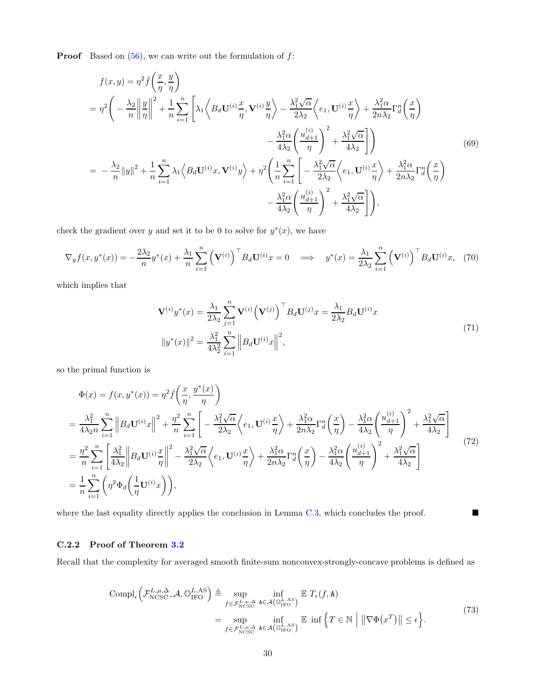**Proof** Based on  $(56)$ , we can write out the formulation of  $f$ :

$$
f(x,y) = \eta^2 \bar{f}\left(\frac{x}{\eta}, \frac{y}{\eta}\right)
$$
  
\n
$$
= \eta^2 \left(-\frac{\lambda_2}{n} \left\| \frac{y}{\eta} \right\|^2 + \frac{1}{n} \sum_{i=1}^n \left[ \lambda_1 \left\langle B_d \mathbf{U}^{(i)} \frac{x}{\eta}, \mathbf{V}^{(i)} \frac{y}{\eta} \right\rangle - \frac{\lambda_1^2 \sqrt{\alpha}}{2\lambda_2} \left\langle e_1, \mathbf{U}^{(i)} \frac{x}{\eta} \right\rangle + \frac{\lambda_1^2 \alpha}{2n\lambda_2} \Gamma_d^n \left(\frac{x}{\eta}\right) - \frac{\lambda_1^2 \alpha}{4\lambda_2} \left\langle \frac{u_{d+1}^{(i)}}{\eta} \right\rangle^2 + \frac{\lambda_1^2 \sqrt{\alpha}}{4\lambda_2} \right] \right)
$$
  
\n
$$
= -\frac{\lambda_2}{n} \|y\|^2 + \frac{1}{n} \sum_{i=1}^n \lambda_1 \left\langle B_d \mathbf{U}^{(i)} x, \mathbf{V}^{(i)} y \right\rangle + \eta^2 \left(\frac{1}{n} \sum_{i=1}^n \left[ -\frac{\lambda_1^2 \sqrt{\alpha}}{2\lambda_2} \left\langle e_1, \mathbf{U}^{(i)} \frac{x}{\eta} \right\rangle + \frac{\lambda_1^2 \alpha}{2n\lambda_2} \Gamma_d^n \left(\frac{x}{\eta}\right) - \frac{\lambda_1^2 \alpha}{4\lambda_2} \left\langle \frac{u_{d+1}^{(i)}}{\eta} \right\rangle^2 + \frac{\lambda_1^2 \sqrt{\alpha}}{4\lambda_2} \right] \right), \tag{69}
$$

check the gradient over y and set it to be 0 to solve for  $y^*(x)$ , we have

$$
\nabla_y f(x, y^*(x)) = -\frac{2\lambda_2}{n} y^*(x) + \frac{\lambda_1}{n} \sum_{i=1}^n \left( \mathbf{V}^{(i)} \right)^{\top} B_d \mathbf{U}^{(i)}(x) = 0 \implies y^*(x) = \frac{\lambda_1}{2\lambda_2} \sum_{i=1}^n \left( \mathbf{V}^{(i)} \right)^{\top} B_d \mathbf{U}^{(i)}(x) \tag{70}
$$

which implies that

$$
\mathbf{V}^{(i)}y^*(x) = \frac{\lambda_1}{2\lambda_2} \sum_{j=1}^n \mathbf{V}^{(i)} (\mathbf{V}^{(j)})^{\top} B_d \mathbf{U}^{(j)} x = \frac{\lambda_1}{2\lambda_2} B_d \mathbf{U}^{(i)} x
$$
  

$$
||y^*(x)||^2 = \frac{\lambda_1^2}{4\lambda_2^2} \sum_{i=1}^n ||B_d \mathbf{U}^{(i)} x||^2,
$$
 (71)

so the primal function is

$$
\Phi(x) = f(x, y^*(x)) = \eta^2 \bar{f}\left(\frac{x}{\eta}, \frac{y^*(x)}{\eta}\right)
$$
\n
$$
= \frac{\lambda_1^2}{4\lambda_2 n} \sum_{i=1}^n \left\|B_d \mathbf{U}^{(i)} x\right\|^2 + \frac{\eta^2}{n} \sum_{i=1}^n \left[-\frac{\lambda_1^2 \sqrt{\alpha}}{2\lambda_2} \left\langle e_1, \mathbf{U}^{(i)} \frac{x}{\eta}\right\rangle + \frac{\lambda_1^2 \alpha}{2n\lambda_2} \Gamma_d^n \left(\frac{x}{\eta}\right) - \frac{\lambda_1^2 \alpha}{4\lambda_2} \left(\frac{u_{d+1}^{(i)}}{\eta}\right)^2 + \frac{\lambda_1^2 \sqrt{\alpha}}{4\lambda_2}\right]
$$
\n
$$
= \frac{\eta^2}{n} \sum_{i=1}^n \left[\frac{\lambda_1^2}{4\lambda_2} \left\|B_d \mathbf{U}^{(i)} \frac{x}{\eta}\right\|^2 - \frac{\lambda_1^2 \sqrt{\alpha}}{2\lambda_2} \left\langle e_1, \mathbf{U}^{(i)} \frac{x}{\eta}\right\rangle + \frac{\lambda_1^2 \alpha}{2n\lambda_2} \Gamma_d^n \left(\frac{x}{\eta}\right) - \frac{\lambda_1^2 \alpha}{4\lambda_2} \left(\frac{u_{d+1}^{(i)}}{\eta}\right)^2 + \frac{\lambda_1^2 \sqrt{\alpha}}{4\lambda_2}\right]
$$
\n
$$
= \frac{1}{n} \sum_{i=1}^n \left(\eta^2 \Phi_d \left(\frac{1}{\eta} \mathbf{U}^{(i)} x\right)\right),
$$
\n(72)

where the last equality directly applies the conclusion in Lemma [C.3,](#page-27-0) which concludes the proof.  $\blacksquare$ 

### <span id="page-29-0"></span>C.2.2 Proof of Theorem [3.2](#page-9-0)

Recall that the complexity for averaged smooth finite-sum nonconvex-strongly-concave problems is defined as

$$
\text{Compl}_{\epsilon}\left(\mathcal{F}_{\text{NCSC}}^{L,\mu,\Delta},\mathcal{A},\mathbb{O}_{\text{IFO}}^{L,\text{AS}}\right) \triangleq \sup_{f \in \mathcal{F}_{\text{NCSC}}^{L,\mu,\Delta}} \inf_{\mathbf{A} \in \mathcal{A}\left(\mathbb{O}_{\text{IFO}}^{L,\text{AS}}\right)} \mathbb{E} \ T_{\epsilon}(f,\mathbf{A})
$$
\n
$$
= \sup_{f \in \mathcal{F}_{\text{NCSC}}^{L,\mu,\Delta}} \inf_{\mathbf{A} \in \mathcal{A}\left(\mathbb{O}_{\text{IFO}}^{L,\text{AS}}\right)} \mathbb{E} \ \inf \left\{T \in \mathbb{N} \; \left| \; \left\|\nabla\Phi(x^T)\right\| \leq \epsilon \right\}.\tag{73}
$$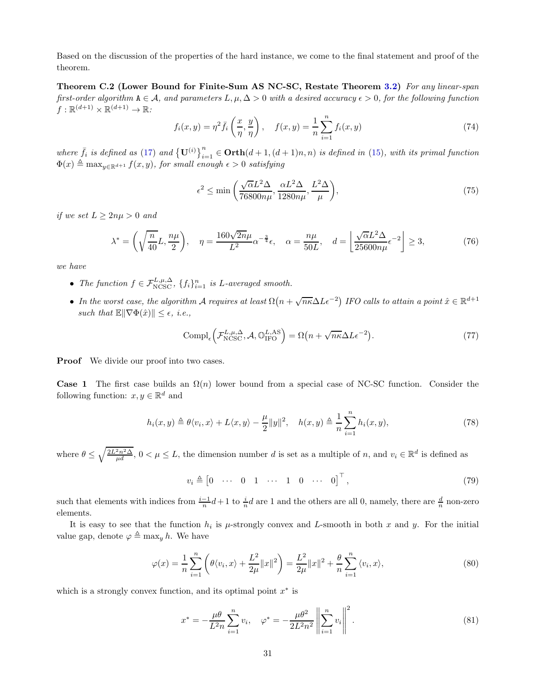Based on the discussion of the properties of the hard instance, we come to the final statement and proof of the theorem.

Theorem C.2 (Lower Bound for Finite-Sum AS NC-SC, Restate Theorem [3.2\)](#page-9-0) For any linear-span first-order algorithm  $A \in \mathcal{A}$ , and parameters  $L, \mu, \Delta > 0$  with a desired accuracy  $\epsilon > 0$ , for the following function  $f: \mathbb{R}^{(d+1)} \times \mathbb{R}^{(d+1)} \to \mathbb{R}$ :

$$
f_i(x, y) = \eta^2 \bar{f}_i\left(\frac{x}{\eta}, \frac{y}{\eta}\right), \quad f(x, y) = \frac{1}{n} \sum_{i=1}^n f_i(x, y)
$$
 (74)

where  $\bar{f}_i$  is defined as [\(17\)](#page-8-0) and  $\{\mathbf{U}^{(i)}\}_{i=1}^n \in \mathbf{Orth}(d+1,(d+1)n,n)$  is defined in [\(15\)](#page-7-1), with its primal function  $\Phi(x) \triangleq \max_{y \in \mathbb{R}^{d+1}} f(x, y)$ , for small enough  $\epsilon > 0$  satisfying

$$
\epsilon^2 \le \min\left(\frac{\sqrt{\alpha}L^2\Delta}{76800n\mu}, \frac{\alpha L^2\Delta}{1280n\mu}, \frac{L^2\Delta}{\mu}\right),\tag{75}
$$

if we set  $L > 2n\mu > 0$  and

$$
\lambda^* = \left(\sqrt{\frac{n}{40}}L, \frac{n\mu}{2}\right), \quad \eta = \frac{160\sqrt{2n}\mu}{L^2}\alpha^{-\frac{3}{4}}\epsilon, \quad \alpha = \frac{n\mu}{50L}, \quad d = \left\lfloor \frac{\sqrt{\alpha}L^2\Delta}{25600n\mu}\epsilon^{-2} \right\rfloor \ge 3, \tag{76}
$$

we have

- The function  $f \in \mathcal{F}_{\text{NCSC}}^{L,\mu,\Delta}$ ,  $\{f_i\}_{i=1}^n$  is L-averaged smooth.
- In the worst case, the algorithm A requires at least  $\Omega(n + \sqrt{n\kappa}\Delta L\epsilon^{-2})$  IFO calls to attain a point  $\hat{x} \in \mathbb{R}^{d+1}$ such that  $\mathbb{E} \|\nabla \Phi(\hat{x})\| \leq \epsilon$ , i.e.,

$$
Compl_{\epsilon} \left( \mathcal{F}_{\text{NCSC}}^{L,\mu,\Delta}, \mathcal{A}, \mathbb{O}_{\text{IFO}}^{L,\text{AS}} \right) = \Omega \left( n + \sqrt{n\kappa} \Delta L \epsilon^{-2} \right). \tag{77}
$$

**Proof** We divide our proof into two cases.

**Case 1** The first case builds an  $\Omega(n)$  lower bound from a special case of NC-SC function. Consider the following function:  $x, y \in \mathbb{R}^d$  and

$$
h_i(x, y) \triangleq \theta \langle v_i, x \rangle + L \langle x, y \rangle - \frac{\mu}{2} ||y||^2, \quad h(x, y) \triangleq \frac{1}{n} \sum_{i=1}^n h_i(x, y), \tag{78}
$$

where  $\theta \leq \sqrt{\frac{2L^2n^2\Delta}{\mu d}}$ ,  $0 < \mu \leq L$ , the dimension number d is set as a multiple of n, and  $v_i \in \mathbb{R}^d$  is defined as

$$
v_i \triangleq \begin{bmatrix} 0 & \cdots & 0 & 1 & \cdots & 1 & 0 & \cdots & 0 \end{bmatrix}^\top, \tag{79}
$$

such that elements with indices from  $\frac{i-1}{n}d+1$  to  $\frac{i}{n}d$  are 1 and the others are all 0, namely, there are  $\frac{d}{n}$  non-zero elements.

It is easy to see that the function  $h_i$  is  $\mu$ -strongly convex and L-smooth in both x and y. For the initial value gap, denote  $\varphi \triangleq \max_y h$ . We have

$$
\varphi(x) = \frac{1}{n} \sum_{i=1}^{n} \left( \theta \langle v_i, x \rangle + \frac{L^2}{2\mu} ||x||^2 \right) = \frac{L^2}{2\mu} ||x||^2 + \frac{\theta}{n} \sum_{i=1}^{n} \langle v_i, x \rangle,
$$
\n(80)

which is a strongly convex function, and its optimal point  $x^*$  is

$$
x^* = -\frac{\mu\theta}{L^2 n} \sum_{i=1}^n v_i, \quad \varphi^* = -\frac{\mu\theta^2}{2L^2 n^2} \left\| \sum_{i=1}^n v_i \right\|^2.
$$
 (81)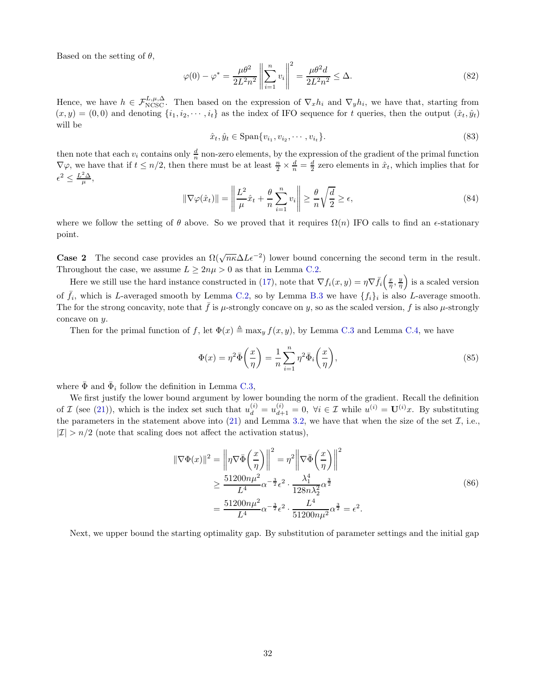Based on the setting of  $\theta$ ,

$$
\varphi(0) - \varphi^* = \frac{\mu \theta^2}{2L^2 n^2} \left\| \sum_{i=1}^n v_i \right\|^2 = \frac{\mu \theta^2 d}{2L^2 n^2} \le \Delta. \tag{82}
$$

Hence, we have  $h \in \mathcal{F}_{\text{NCSC}}^{L,\mu,\Delta}$ . Then based on the expression of  $\nabla_x h_i$  and  $\nabla_y h_i$ , we have that, starting from  $(x, y) = (0, 0)$  and denoting  $\{i_1, i_2, \dots, i_t\}$  as the index of IFO sequence for t queries, then the output  $(\hat{x}_t, \hat{y}_t)$ will be

$$
\hat{x}_t, \hat{y}_t \in \text{Span}\{v_{i_1}, v_{i_2}, \cdots, v_{i_t}\}.
$$
\n(83)

then note that each  $v_i$  contains only  $\frac{d}{n}$  non-zero elements, by the expression of the gradient of the primal function  $\nabla\varphi$ , we have that if  $t \leq n/2$ , then there must be at least  $\frac{n}{2} \times \frac{d}{n} = \frac{d}{2}$  zero elements in  $\hat{x}_t$ , which implies that for  $\epsilon^2 \leq \frac{L^2 \Delta}{\mu},$ 

$$
\|\nabla\varphi(\hat{x}_t)\| = \left\|\frac{L^2}{\mu}\hat{x}_t + \frac{\theta}{n}\sum_{i=1}^n v_i\right\| \ge \frac{\theta}{n}\sqrt{\frac{d}{2}} \ge \epsilon,\tag{84}
$$

where we follow the setting of  $\theta$  above. So we proved that it requires  $\Omega(n)$  IFO calls to find an  $\epsilon$ -stationary point.

**Case 2** The second case provides an  $\Omega(\sqrt{n\kappa}\Delta L\epsilon^{-2})$  lower bound concerning the second term in the result. Throughout the case, we assume  $L \geq 2n\mu > 0$  as that in Lemma [C.2.](#page-26-1)

Here we still use the hard instance constructed in [\(17\)](#page-8-0), note that  $\nabla f_i(x,y) = \eta \nabla \bar{f}_i\left(\frac{x}{\eta},\frac{y}{\eta}\right)$  is a scaled version of  $\bar{f}_i$ , which is L-averaged smooth by Lemma [C.2,](#page-26-1) so by Lemma [B.3](#page-20-0) we have  $\{f_i\}_i$  is also L-average smooth. The for the strong concavity, note that  $\bar{f}$  is  $\mu$ -strongly concave on y, so as the scaled version, f is also  $\mu$ -strongly concave on y.

Then for the primal function of f, let  $\Phi(x) \triangleq \max_y f(x, y)$ , by Lemma [C.3](#page-27-0) and Lemma [C.4,](#page-28-0) we have

$$
\Phi(x) = \eta^2 \bar{\Phi}\left(\frac{x}{\eta}\right) = \frac{1}{n} \sum_{i=1}^n \eta^2 \bar{\Phi}_i\left(\frac{x}{\eta}\right),\tag{85}
$$

where  $\bar{\Phi}$  and  $\bar{\Phi}_i$  follow the definition in Lemma [C.3,](#page-27-0)

We first justify the lower bound argument by lower bounding the norm of the gradient. Recall the definition of  $\mathcal I$  (see [\(21\)](#page-9-2)), which is the index set such that  $u_d^{(i)} = u_{d+1}^{(i)} = 0$ ,  $\forall i \in \mathcal I$  while  $u^{(i)} = \mathbf{U}^{(i)}x$ . By substituting the parameters in the statement above into [\(21\)](#page-9-2) and Lemma [3.2,](#page-6-1) we have that when the size of the set  $\mathcal{I}$ , i.e.,  $|\mathcal{I}| > n/2$  (note that scaling does not affect the activation status),

$$
\|\nabla\Phi(x)\|^2 = \left\|\eta\nabla\bar{\Phi}\left(\frac{x}{\eta}\right)\right\|^2 = \eta^2 \left\|\nabla\bar{\Phi}\left(\frac{x}{\eta}\right)\right\|^2
$$
  
\n
$$
\geq \frac{51200n\mu^2}{L^4}\alpha^{-\frac{3}{2}}\epsilon^2 \cdot \frac{\lambda_1^4}{128n\lambda_2^2}\alpha^{\frac{3}{2}}
$$
  
\n
$$
= \frac{51200n\mu^2}{L^4}\alpha^{-\frac{3}{2}}\epsilon^2 \cdot \frac{L^4}{51200n\mu^2}\alpha^{\frac{3}{2}} = \epsilon^2.
$$
 (86)

Next, we upper bound the starting optimality gap. By substitution of parameter settings and the initial gap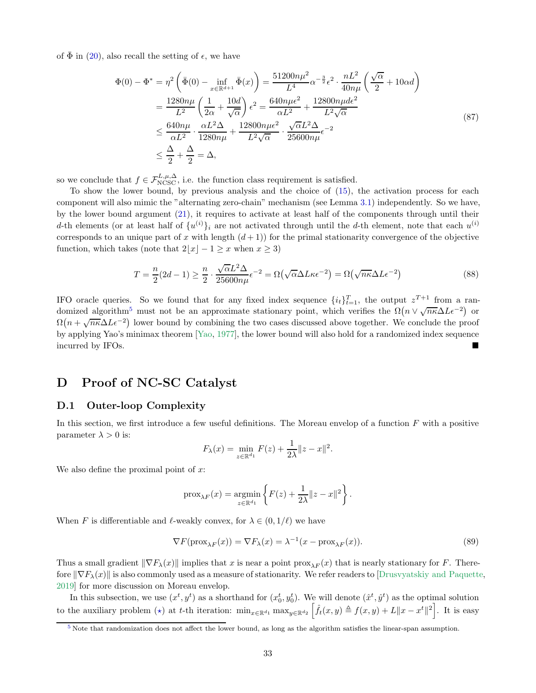of  $\overline{\Phi}$  in ([20\)](#page-8-3), also recall the setting of  $\epsilon$ , we have

$$
\Phi(0) - \Phi^* = \eta^2 \left( \bar{\Phi}(0) - \inf_{x \in \mathbb{R}^{d+1}} \bar{\Phi}(x) \right) = \frac{51200n\mu^2}{L^4} \alpha^{-\frac{3}{2}} \epsilon^2 \cdot \frac{nL^2}{40n\mu} \left( \frac{\sqrt{\alpha}}{2} + 10\alpha d \right)
$$
  
\n
$$
= \frac{1280n\mu}{L^2} \left( \frac{1}{2\alpha} + \frac{10d}{\sqrt{\alpha}} \right) \epsilon^2 = \frac{640n\mu\epsilon^2}{\alpha L^2} + \frac{12800n\mu d\epsilon^2}{L^2 \sqrt{\alpha}}
$$
  
\n
$$
\leq \frac{640n\mu}{\alpha L^2} \cdot \frac{\alpha L^2 \Delta}{1280n\mu} + \frac{12800n\mu\epsilon^2}{L^2 \sqrt{\alpha}} \cdot \frac{\sqrt{\alpha}L^2 \Delta}{25600n\mu} \epsilon^{-2}
$$
  
\n
$$
\leq \frac{\Delta}{2} + \frac{\Delta}{2} = \Delta,
$$
 (87)

so we conclude that  $f \in \mathcal{F}_{N\text{CSC}}^{L,\mu,\Delta}$ , i.e. the function class requirement is satisfied.

To show the lower bound, by previous analysis and the choice of [\(15\)](#page-7-1), the activation process for each component will also mimic the "alternating zero-chain" mechanism (see Lemma [3.1\)](#page-6-0) independently. So we have, by the lower bound argument [\(21\)](#page-9-2), it requires to activate at least half of the components through until their d-th elements (or at least half of  $\{u^{(i)}\}_i$  are not activated through until the d-th element, note that each  $u^{(i)}$ corresponds to an unique part of x with length  $(d+1)$  for the primal stationarity convergence of the objective function, which takes (note that  $2|x| - 1 \geq x$  when  $x \geq 3$ )

<span id="page-32-1"></span>
$$
T = \frac{n}{2}(2d - 1) \ge \frac{n}{2} \cdot \frac{\sqrt{\alpha}L^2 \Delta}{25600n\mu} \epsilon^{-2} = \Omega(\sqrt{\alpha}\Delta L \kappa \epsilon^{-2}) = \Omega(\sqrt{n\kappa}\Delta L \epsilon^{-2})
$$
\n(88)

IFO oracle queries. So we found that for any fixed index sequence  $\{i_t\}_{t=1}^T$ , the output  $z^{T+1}$  from a ran-domized algorithm<sup>[5](#page-32-0)</sup> must not be an approximate stationary point, which verifies the  $\Omega(n \vee \sqrt{n\kappa}\Delta L\epsilon^{-2})$  or  $\Omega(n+\sqrt{n\kappa}\Delta L\epsilon^{-2})$  lower bound by combining the two cases discussed above together. We conclude the proof by applying Yao's minimax theorem [\[Yao](#page-18-9), [1977\]](#page-18-9), the lower bound will also hold for a randomized index sequence incurred by IFOs.

# D Proof of NC-SC Catalyst

### D.1 Outer-loop Complexity

In this section, we first introduce a few useful definitions. The Moreau envelop of a function  $F$  with a positive parameter  $\lambda > 0$  is:

$$
F_{\lambda}(x) = \min_{z \in \mathbb{R}^{d_1}} F(z) + \frac{1}{2\lambda} \|z - x\|^2.
$$

We also define the proximal point of  $x$ :

$$
\operatorname{prox}_{\lambda F}(x) = \operatorname*{argmin}_{z \in \mathbb{R}^{d_1}} \left\{ F(z) + \frac{1}{2\lambda} ||z - x||^2 \right\}.
$$

When F is differentiable and  $\ell$ -weakly convex, for  $\lambda \in (0, 1/\ell)$  we have

$$
\nabla F(\text{prox}_{\lambda F}(x)) = \nabla F_{\lambda}(x) = \lambda^{-1}(x - \text{prox}_{\lambda F}(x)).
$$
\n(89)

Thus a small gradient  $\|\nabla F_\lambda(x)\|$  implies that x is near a point prox<sub> $\lambda_F(x)$ </sub> that is nearly stationary for F. Therefore  $\|\nabla F_\lambda(x)\|$  is also commonly used as a measure of stationarity. We refer readers to [\[Drusvyatskiy and Paquette,](#page-15-17) [2019\]](#page-15-17) for more discussion on Moreau envelop.

In this subsection, we use  $(x^t, y^t)$  as a shorthand for  $(x_0^t, y_0^t)$ . We will denote  $(\hat{x}^t, \hat{y}^t)$  as the optimal solution to the auxiliary problem (\*) at t-th iteration:  $\min_{x \in \mathbb{R}^{d_1}} \max_{y \in \mathbb{R}^{d_2}} \left[ \hat{f}_t(x, y) \triangleq f(x, y) + L \|x - x^t\|^2 \right]$ . It is easy

<span id="page-32-0"></span>[<sup>5</sup>](#page-32-1) Note that randomization does not affect the lower bound, as long as the algorithm satisfies the linear-span assumption.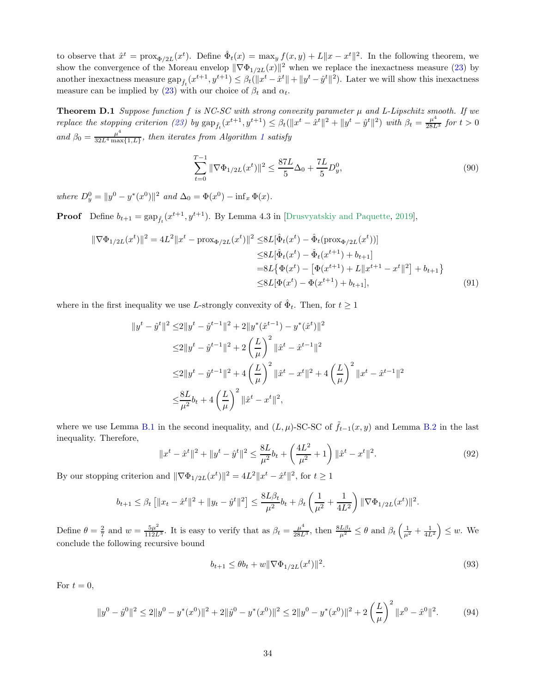to observe that  $\hat{x}^t = \text{prox}_{\Phi/2L}(x^t)$ . Define  $\hat{\Phi}_t(x) = \max_y f(x, y) + L||x - x^t||^2$ . In the following theorem, we show the convergence of the Moreau envelop  $\|\nabla \Phi_{1/2L}(x)\|^2$  when we replace the inexactness measure [\(23\)](#page-10-2) by another inexactness measure  $\sup_{\hat{f}_t}(x^{t+1}, y^{t+1}) \leq \beta_t(\|x^t - \hat{x}^t\| + \|y^t - \hat{y}^t\|^2)$ . Later we will show this inexactness measure can be implied by [\(23\)](#page-10-2) with our choice of  $\beta_t$  and  $\alpha_t$ .

<span id="page-33-3"></span>**Theorem D.1** Suppose function  $f$  is NC-SC with strong convexity parameter  $\mu$  and L-Lipschitz smooth. If we  $\text{replace the stopping criterion (23) by } \text{gap}_{\hat{f}_t}(x^{t+1}, y^{t+1}) \leq \beta_t(\|x^t - \hat{x}^t\|^2 + \|y^t - \hat{y}^t\|^2) \text{ with } \beta_t = \frac{\mu^4}{28L^3} \text{ for } t > 0$  $\text{replace the stopping criterion (23) by } \text{gap}_{\hat{f}_t}(x^{t+1}, y^{t+1}) \leq \beta_t(\|x^t - \hat{x}^t\|^2 + \|y^t - \hat{y}^t\|^2) \text{ with } \beta_t = \frac{\mu^4}{28L^3} \text{ for } t > 0$  $\text{replace the stopping criterion (23) by } \text{gap}_{\hat{f}_t}(x^{t+1}, y^{t+1}) \leq \beta_t(\|x^t - \hat{x}^t\|^2 + \|y^t - \hat{y}^t\|^2) \text{ with } \beta_t = \frac{\mu^4}{28L^3} \text{ for } t > 0$ and  $\beta_0 = \frac{\mu^4}{32L^4 \text{ mas}}$  $\frac{\mu}{32L^4 \max\{1,L\}}$  $\frac{\mu}{32L^4 \max\{1,L\}}$  $\frac{\mu}{32L^4 \max\{1,L\}}$ , then iterates from Algorithm 1 satisfy

<span id="page-33-2"></span>
$$
\sum_{t=0}^{T-1} \|\nabla \Phi_{1/2L}(x^t)\|^2 \le \frac{87L}{5}\Delta_0 + \frac{7L}{5}D_y^0,\tag{90}
$$

where  $D_y^0 = ||y^0 - y^*(x^0)||^2$  and  $\Delta_0 = \Phi(x^0) - \inf_x \Phi(x)$ .

**Proof** Define  $b_{t+1} = \text{gap}_{\hat{f}_t}(x^{t+1}, y^{t+1})$ . By Lemma 4.3 in [\[Drusvyatskiy and Paquette,](#page-15-17) [2019\]](#page-15-17),

$$
\|\nabla\Phi_{1/2L}(x^t)\|^2 = 4L^2\|x^t - \text{prox}_{\Phi/2L}(x^t)\|^2 \le 8L[\hat{\Phi}_t(x^t) - \hat{\Phi}_t(\text{prox}_{\Phi/2L}(x^t))]
$$
  

$$
\le 8L[\hat{\Phi}_t(x^t) - \hat{\Phi}_t(x^{t+1}) + b_{t+1}]
$$
  

$$
= 8L\{\Phi(x^t) - [\Phi(x^{t+1}) + L\|x^{t+1} - x^t\|^2] + b_{t+1}\}
$$
  

$$
\le 8L[\Phi(x^t) - \Phi(x^{t+1}) + b_{t+1}], \tag{91}
$$

where in the first inequality we use L-strongly convexity of  $\hat{\Phi}_t$ . Then, for  $t \geq 1$ 

$$
\|y^{t} - \hat{y}^{t}\|^{2} \le 2\|y^{t} - \hat{y}^{t-1}\|^{2} + 2\|y^{*}(\hat{x}^{t-1}) - y^{*}(\hat{x}^{t})\|^{2}
$$
  
\n
$$
\le 2\|y^{t} - \hat{y}^{t-1}\|^{2} + 2\left(\frac{L}{\mu}\right)^{2}\|\hat{x}^{t} - \hat{x}^{t-1}\|^{2}
$$
  
\n
$$
\le 2\|y^{t} - \hat{y}^{t-1}\|^{2} + 4\left(\frac{L}{\mu}\right)^{2}\|\hat{x}^{t} - x^{t}\|^{2} + 4\left(\frac{L}{\mu}\right)^{2}\|x^{t} - \hat{x}^{t-1}\|^{2}
$$
  
\n
$$
\le \frac{8L}{\mu^{2}}b_{t} + 4\left(\frac{L}{\mu}\right)^{2}\|\hat{x}^{t} - x^{t}\|^{2},
$$

where we use Lemma [B.1](#page-19-1) in the second inequality, and  $(L, \mu)$ -SC-SC of  $\tilde{f}_{t-1}(x, y)$  and Lemma [B.2](#page-19-2) in the last inequality. Therefore,

$$
||x^{t} - \hat{x}^{t}||^{2} + ||y^{t} - \hat{y}^{t}||^{2} \le \frac{8L}{\mu^{2}}b_{t} + \left(\frac{4L^{2}}{\mu^{2}} + 1\right)||\hat{x}^{t} - x^{t}||^{2}.
$$
\n(92)

By our stopping criterion and  $\|\nabla \Phi_{1/2L}(x^t)\|^2 = 4L^2 \|x^t - \hat{x}^t\|^2$ , for  $t \ge 1$ 

$$
b_{t+1} \leq \beta_t \left[ \|x_t - \hat{x}^t\|^2 + \|y_t - \hat{y}^t\|^2 \right] \leq \frac{8L\beta_t}{\mu^2} b_t + \beta_t \left( \frac{1}{\mu^2} + \frac{1}{4L^2} \right) \|\nabla \Phi_{1/2L}(x^t)\|^2.
$$

Define  $\theta = \frac{2}{7}$  and  $w = \frac{5\mu^2}{112L^3}$ . It is easy to verify that as  $\beta_t = \frac{\mu^4}{28L^3}$ , then  $\frac{8L\beta_t}{\mu^2} \leq \theta$  and  $\beta_t \left(\frac{1}{\mu^2} + \frac{1}{4L^2}\right) \leq w$ . We conclude the following recursive bound

<span id="page-33-1"></span>
$$
b_{t+1} \le \theta b_t + w \|\nabla \Phi_{1/2L}(x^t)\|^2. \tag{93}
$$

For  $t = 0$ ,

<span id="page-33-0"></span>
$$
||y^{0} - \hat{y}^{0}||^{2} \le 2||y^{0} - y^{*}(x^{0})||^{2} + 2||\hat{y}^{0} - y^{*}(x^{0})||^{2} \le 2||y^{0} - y^{*}(x^{0})||^{2} + 2\left(\frac{L}{\mu}\right)^{2}||x^{0} - \hat{x}^{0}||^{2}.
$$
 (94)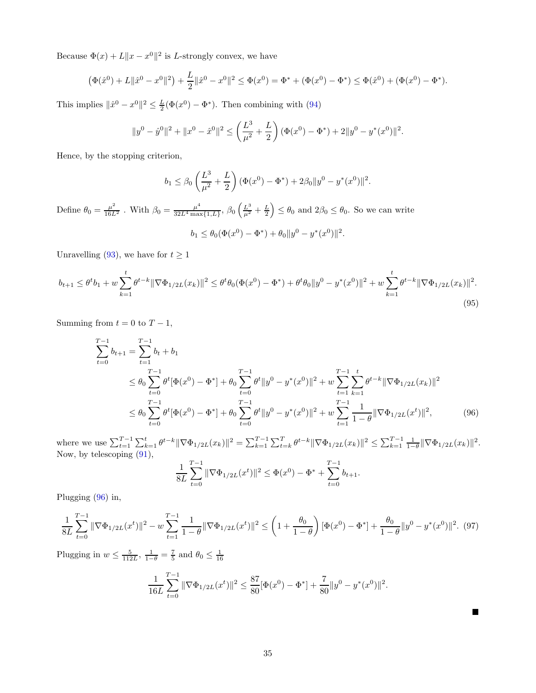Because  $\Phi(x) + L \|x - x^0\|^2$  is L-strongly convex, we have

$$
(\Phi(\hat{x}^0) + L \|\hat{x}^0 - x^0\|^2) + \frac{L}{2} \|\hat{x}^0 - x^0\|^2 \le \Phi(x^0) = \Phi^* + (\Phi(x^0) - \Phi^*) \le \Phi(\hat{x}^0) + (\Phi(x^0) - \Phi^*).
$$

This implies  $\|\hat{x}^0 - x^0\|^2 \le \frac{L}{2}(\Phi(x^0) - \Phi^*)$ . Then combining with [\(94\)](#page-33-0)

$$
||y^{0} - \hat{y}^{0}||^{2} + ||x^{0} - \hat{x}^{0}||^{2} \le \left(\frac{L^{3}}{\mu^{2}} + \frac{L}{2}\right)(\Phi(x^{0}) - \Phi^{*}) + 2||y^{0} - y^{*}(x^{0})||^{2}.
$$

Hence, by the stopping criterion,

$$
b_1 \leq \beta_0 \left(\frac{L^3}{\mu^2} + \frac{L}{2}\right) (\Phi(x^0) - \Phi^*) + 2\beta_0 \|y^0 - y^*(x^0)\|^2.
$$

Define  $\theta_0 = \frac{\mu^2}{16L^2}$ . With  $\beta_0 = \frac{\mu^4}{32L^4 \text{ max}}$  $\frac{\mu^4}{32L^4 \max\{1,L\}}, \beta_0 \left(\frac{L^3}{\mu^2} + \frac{L}{2}\right) \leq \theta_0$  and  $2\beta_0 \leq \theta_0$ . So we can write

$$
b_1 \leq \theta_0(\Phi(x^0) - \Phi^*) + \theta_0 \|y^0 - y^*(x^0)\|^2.
$$

Unravelling [\(93\)](#page-33-1), we have for  $t \geq 1$ 

$$
b_{t+1} \leq \theta^t b_1 + w \sum_{k=1}^t \theta^{t-k} \|\nabla \Phi_{1/2L}(x_k)\|^2 \leq \theta^t \theta_0(\Phi(x^0) - \Phi^*) + \theta^t \theta_0 \|y^0 - y^*(x^0)\|^2 + w \sum_{k=1}^t \theta^{t-k} \|\nabla \Phi_{1/2L}(x_k)\|^2.
$$
\n(95)

Summing from  $t = 0$  to  $T - 1$ ,

$$
\sum_{t=0}^{T-1} b_{t+1} = \sum_{t=1}^{T-1} b_t + b_1
$$
\n
$$
\leq \theta_0 \sum_{t=0}^{T-1} \theta^t [\Phi(x^0) - \Phi^*] + \theta_0 \sum_{t=0}^{T-1} \theta^t \|y^0 - y^*(x^0)\|^2 + w \sum_{t=1}^{T-1} \sum_{k=1}^t \theta^{t-k} \|\nabla \Phi_{1/2L}(x_k)\|^2
$$
\n
$$
\leq \theta_0 \sum_{t=0}^{T-1} \theta^t [\Phi(x^0) - \Phi^*] + \theta_0 \sum_{t=0}^{T-1} \theta^t \|y^0 - y^*(x^0)\|^2 + w \sum_{t=1}^{T-1} \frac{1}{1-\theta} \|\nabla \Phi_{1/2L}(x^t)\|^2, \tag{96}
$$

where we use  $\sum_{t=1}^{T-1} \sum_{k=1}^t \theta^{t-k} \|\nabla \Phi_{1/2L}(x_k)\|^2 = \sum_{k=1}^{T-1} \sum_{t=k}^T \theta^{t-k} \|\nabla \Phi_{1/2L}(x_k)\|^2 \leq \sum_{k=1}^{T-1} \frac{1}{1-\theta} \|\nabla \Phi_{1/2L}(x_k)\|^2$ . Now, by telescoping [\(91\)](#page-33-2),

$$
\frac{1}{8L} \sum_{t=0}^{T-1} \|\nabla \Phi_{1/2L}(x^t)\|^2 \le \Phi(x^0) - \Phi^* + \sum_{t=0}^{T-1} b_{t+1}.
$$

Plugging [\(96\)](#page-34-0) in,

$$
\frac{1}{8L} \sum_{t=0}^{T-1} \|\nabla \Phi_{1/2L}(x^t)\|^2 - w \sum_{t=1}^{T-1} \frac{1}{1-\theta} \|\nabla \Phi_{1/2L}(x^t)\|^2 \le \left(1 + \frac{\theta_0}{1-\theta}\right) \left[\Phi(x^0) - \Phi^*\right] + \frac{\theta_0}{1-\theta} \|y^0 - y^*(x^0)\|^2. \tag{97}
$$

Plugging in  $w \leq \frac{5}{112L}$ ,  $\frac{1}{1-\theta} = \frac{7}{5}$  and  $\theta_0 \leq \frac{1}{16}$ 

$$
\frac{1}{16L} \sum_{t=0}^{T-1} \|\nabla \Phi_{1/2L}(x^t)\|^2 \le \frac{87}{80} [\Phi(x^0) - \Phi^*] + \frac{7}{80} \|y^0 - y^*(x^0)\|^2.
$$

<span id="page-34-0"></span> $\blacksquare$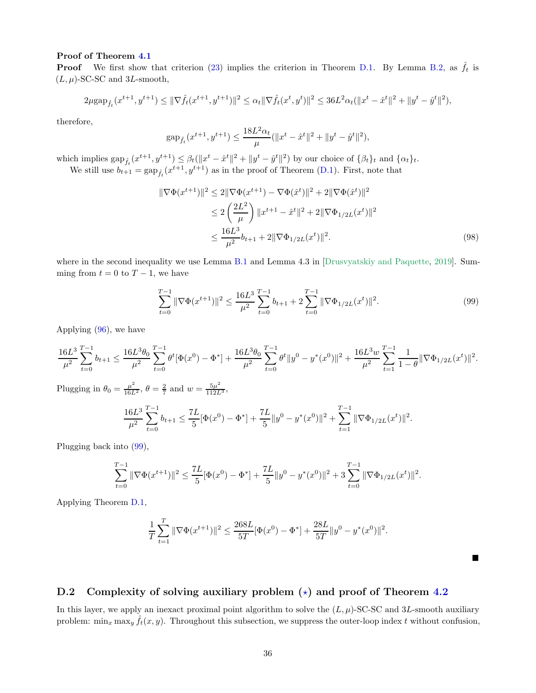#### Proof of Theorem [4.1](#page-11-1)

**Proof** We first show that criterion [\(23\)](#page-10-2) implies the criterion in Theorem [D.1.](#page-33-3) By Lemma [B.2,](#page-19-2) as  $\hat{f}_t$  is  $(L, \mu)$ -SC-SC and 3L-smooth,

$$
2\mu\text{gap}_{\hat{f}_t}(x^{t+1}, y^{t+1}) \leq \|\nabla \hat{f}_t(x^{t+1}, y^{t+1})\|^2 \leq \alpha_t \|\nabla \hat{f}_t(x^t, y^t)\|^2 \leq 36L^2\alpha_t (\|x^t - \hat{x}^t\|^2 + \|y^t - \hat{y}^t\|^2),
$$

therefore,

$$
\text{gap}_{\hat{f}_t}(x^{t+1}, y^{t+1}) \le \frac{18L^2\alpha_t}{\mu}(\|x^t - \hat{x}^t\|^2 + \|y^t - \hat{y}^t\|^2),
$$

which implies  $\exp_{\hat{f}_t}(x^{t+1}, y^{t+1}) \leq \beta_t(\|x^t - \hat{x}^t\|^2 + \|y^t - \hat{y}^t\|^2)$  by our choice of  $\{\beta_t\}_t$  and  $\{\alpha_t\}_t$ . We still use  $b_{t+1} = \text{gap}_{\hat{f}_t}(x^{t+1}, y^{t+1})$  as in the proof of Theorem [\(D.1\)](#page-33-3). First, note that

$$
\|\nabla\Phi(x^{t+1})\|^2 \le 2\|\nabla\Phi(x^{t+1}) - \nabla\Phi(\hat{x}^t)\|^2 + 2\|\nabla\Phi(\hat{x}^t)\|^2
$$
  
\n
$$
\le 2\left(\frac{2L^2}{\mu}\right) \|x^{t+1} - \hat{x}^t\|^2 + 2\|\nabla\Phi_{1/2L}(x^t)\|^2
$$
  
\n
$$
\le \frac{16L^3}{\mu^2} b_{t+1} + 2\|\nabla\Phi_{1/2L}(x^t)\|^2.
$$
 (98)

where in the second inequality we use Lemma [B.1](#page-19-1) and Lemma 4.3 in [\[Drusvyatskiy and Paquette](#page-15-17), [2019](#page-15-17)]. Summing from  $t = 0$  to  $T - 1$ , we have

<span id="page-35-0"></span>
$$
\sum_{t=0}^{T-1} \|\nabla \Phi(x^{t+1})\|^2 \le \frac{16L^3}{\mu^2} \sum_{t=0}^{T-1} b_{t+1} + 2 \sum_{t=0}^{T-1} \|\nabla \Phi_{1/2L}(x^t)\|^2.
$$
 (99)

.

П

Applying [\(96\)](#page-34-0), we have

$$
\frac{16L^3}{\mu^2}\sum_{t=0}^{T-1}b_{t+1}\leq \frac{16L^3\theta_0}{\mu^2}\sum_{t=0}^{T-1}\theta^t[\Phi(x^0)-\Phi^*]+\frac{16L^3\theta_0}{\mu^2}\sum_{t=0}^{T-1}\theta^t\|y^0-y^*(x^0)\|^2+\frac{16L^3w}{\mu^2}\sum_{t=1}^{T-1}\frac{1}{1-\theta}\|\nabla\Phi_{1/2L}(x^t)\|^2.
$$

Plugging in  $\theta_0 = \frac{\mu^2}{16L^2}$ ,  $\theta = \frac{2}{7}$  and  $w = \frac{5\mu^2}{112L^3}$ ,

$$
\frac{16L^3}{\mu^2} \sum_{t=0}^{T-1} b_{t+1} \le \frac{7L}{5} [\Phi(x^0) - \Phi^*] + \frac{7L}{5} ||y^0 - y^*(x^0)||^2 + \sum_{t=1}^{T-1} ||\nabla \Phi_{1/2L}(x^t)||^2
$$

Plugging back into [\(99\)](#page-35-0),

$$
\sum_{t=0}^{T-1} \|\nabla \Phi(x^{t+1})\|^2 \le \frac{7L}{5} [\Phi(x^0) - \Phi^*] + \frac{7L}{5} \|y^0 - y^*(x^0)\|^2 + 3\sum_{t=0}^{T-1} \|\nabla \Phi_{1/2L}(x^t)\|^2.
$$

Applying Theorem [D.1,](#page-33-3)

$$
\frac{1}{T} \sum_{t=1}^{T} \|\nabla \Phi(x^{t+1})\|^2 \le \frac{268L}{5T} [\Phi(x^0) - \Phi^*] + \frac{28L}{5T} \|y^0 - y^*(x^0)\|^2.
$$

# D.2 Complexity of solving auxiliary problem  $(\star)$  and proof of Theorem [4.2](#page-11-2)

In this layer, we apply an inexact proximal point algorithm to solve the  $(L, \mu)$ -SC-SC and 3L-smooth auxiliary problem:  $\min_x \max_y \hat{f}_t(x, y)$ . Throughout this subsection, we suppress the outer-loop index t without confusion,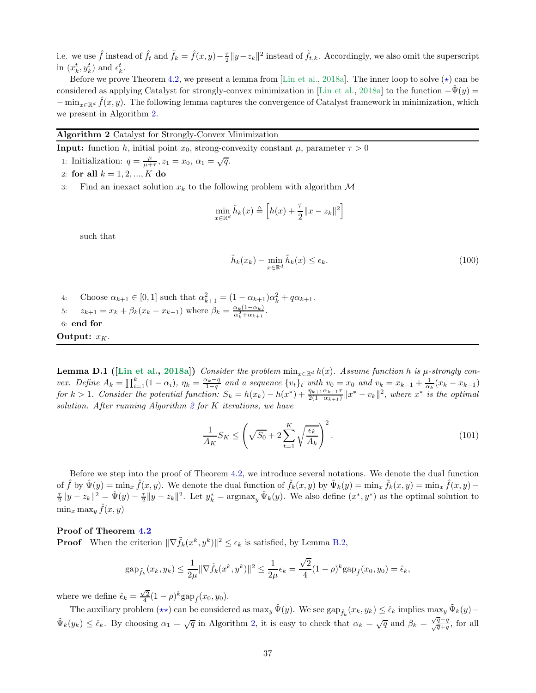i.e. we use  $\hat{f}$  instead of  $\hat{f}_t$  and  $\tilde{f}_k = \hat{f}(x, y) - \frac{\tau}{2} ||y - z_k||^2$  instead of  $\tilde{f}_{t,k}$ . Accordingly, we also omit the superscript in  $(x_k^t, y_k^t)$  and  $\epsilon_k^t$ .

Before we prove Theorem [4.2,](#page-11-2) we present a lemma from [\[Lin et al.,](#page-16-5) [2018a](#page-16-5)]. The inner loop to solve  $(\star)$  can be considered as applying Catalyst for strongly-convex minimization in [\[Lin et al.,](#page-16-5) [2018a\]](#page-16-5) to the function  $-\hat{\Psi}(y)$  =  $-\min_{x\in\mathbb{R}^d}\hat{f}(x,y)$ . The following lemma captures the convergence of Catalyst framework in minimization, which we present in Algorithm [2.](#page-36-0)

### <span id="page-36-0"></span>Algorithm 2 Catalyst for Strongly-Convex Minimization

**Input:** function h, initial point  $x_0$ , strong-convexity constant  $\mu$ , parameter  $\tau > 0$ 

- 1: Initialization:  $q = \frac{\mu}{\mu + \tau}$ ,  $z_1 = x_0$ ,  $\alpha_1 = \sqrt{q}$ .
- 2: for all  $k = 1, 2, ..., K$  do
- 3: Find an inexact solution  $x_k$  to the following problem with algorithm  $\mathcal M$

$$
\min_{x \in \mathbb{R}^d} \tilde{h}_k(x) \triangleq \left[ h(x) + \frac{\tau}{2} ||x - z_k||^2 \right]
$$

such that

$$
\tilde{h}_k(x_k) - \min_{x \in \mathbb{R}^d} \tilde{h}_k(x) \le \epsilon_k. \tag{100}
$$

4: Choose  $\alpha_{k+1} \in [0,1]$  such that  $\alpha_{k+1}^2 = (1 - \alpha_{k+1})\alpha_k^2 + q\alpha_{k+1}$ . 5:  $z_{k+1} = x_k + \beta_k (x_k - x_{k-1})$  where  $\beta_k = \frac{\alpha_k (1 - \alpha_k)}{\alpha_k^2 + \alpha_{k+1}}$ . 6: end for Output:  $x_K$ .

<span id="page-36-1"></span>**Lemma D.1** ([\[Lin et al.](#page-16-5), [2018a\]](#page-16-5)) Consider the problem  $\min_{x \in \mathbb{R}^d} h(x)$ . Assume function h is  $\mu$ -strongly convex. Define  $A_k = \prod_{i=1}^k (1 - \alpha_i)$ ,  $\eta_k = \frac{\alpha_k - q}{1 - q}$  and a sequence  $\{v_t\}_t$  with  $v_0 = x_0$  and  $v_k = x_{k-1} + \frac{1}{\alpha_k}(x_k - x_{k-1})$ for  $k > 1$ . Consider the potential function:  $S_k = h(x_k) - h(x^*) + \frac{\eta_{k+1}\alpha_{k+1}\tau}{2(1-\alpha_{k+1})}\|x^* - v_k\|^2$ , where  $x^*$  is the optimal solution. After running Algorithm [2](#page-36-0) for K iterations, we have

$$
\frac{1}{A_K} S_K \le \left(\sqrt{S_0} + 2\sum_{t=1}^K \sqrt{\frac{\epsilon_k}{A_k}}\right)^2.
$$
\n(101)

Before we step into the proof of Theorem [4.2,](#page-11-2) we introduce several notations. We denote the dual function of  $\hat{f}$  by  $\hat{\Psi}(y) = \min_x \hat{f}(x, y)$ . We denote the dual function of  $\tilde{f}_k(x, y)$  by  $\tilde{\Psi}_k(y) = \min_x \tilde{f}_k(x, y) - \min_x \hat{f}(x, y)$  $\frac{\tau}{2} \|y - z_k\|^2 = \hat{\Psi}(y) - \frac{\tau}{2} \|y - z_k\|^2$ . Let  $y_k^* = \operatorname{argmax}_y \tilde{\Psi}_k(y)$ . We also define  $(x^*, y^*)$  as the optimal solution to  $\min_x \max_y \hat{f}(x, y)$ 

#### Proof of Theorem [4.2](#page-11-2)

**Proof** When the criterion  $\|\nabla \tilde{f}_k(x^k, y^k)\|^2 \le \epsilon_k$  is satisfied, by Lemma [B.2,](#page-19-2)

$$
\text{gap}_{\tilde{f}_k}(x_k, y_k) \le \frac{1}{2\mu} \|\nabla \tilde{f}_k(x^k, y^k)\|^2 \le \frac{1}{2\mu} \epsilon_k = \frac{\sqrt{2}}{4} (1 - \rho)^k \text{gap}_{\hat{f}}(x_0, y_0) = \hat{\epsilon}_k,
$$

where we define  $\hat{\epsilon}_k = \frac{\sqrt{2}}{4} (1 - \rho)^k \text{gap}_{\hat{f}}(x_0, y_0)$ .

The auxiliary problem  $(\star \star)$  can be considered as  $\max_y \hat{\Psi}(y)$ . We see  $\sup_{\tilde{f}_k}(x_k, y_k) \leq \hat{\epsilon}_k$  implies  $\max_y \tilde{\Psi}_k(y)$  –  $\tilde{\Psi}_k(y_k) \leq \hat{\epsilon}_k$ . By choosing  $\alpha_1 = \sqrt{q}$  in Algorithm [2,](#page-36-0) it is easy to check that  $\alpha_k = \sqrt{q}$  and  $\beta_k = \frac{\sqrt{q}-q}{\sqrt{q}+q}$ , for all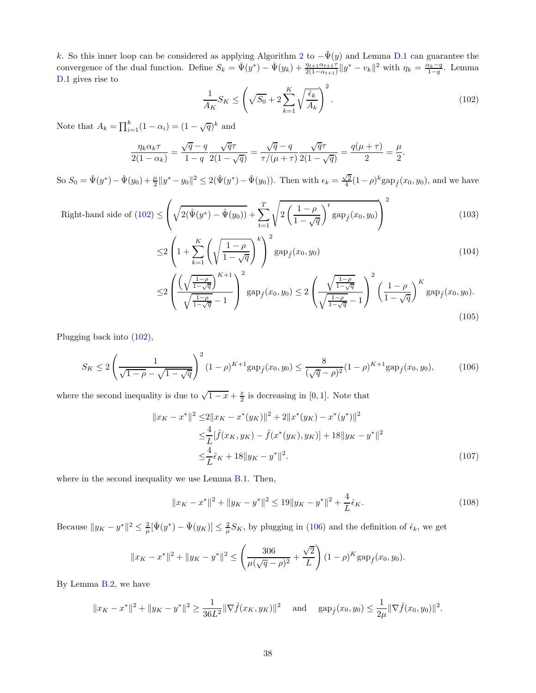k. So this inner loop can be considered as applying Algorithm [2](#page-36-0) to  $-\tilde{\Psi}(y)$  and Lemma [D.1](#page-36-1) can guarantee the convergence of the dual function. Define  $S_k = \hat{\Psi}(y^*) - \hat{\Psi}(y_k) + \frac{\eta_{t+1}\alpha_{t+1}\tau}{2(1-\alpha_{t+1})}\|y^* - v_k\|^2$  with  $\eta_k = \frac{\alpha_k - q}{1-q}$ . Lemma [D.1](#page-36-1) gives rise to

<span id="page-37-0"></span>
$$
\frac{1}{A_K} S_K \le \left(\sqrt{S_0} + 2\sum_{k=1}^K \sqrt{\frac{\hat{\epsilon}_k}{A_k}}\right)^2.
$$
\n(102)

Note that  $A_k = \prod_{i=1}^k (1 - \alpha_i) = (1 - \sqrt{q})^k$  and

$$
\frac{\eta_k \alpha_k \tau}{2(1-\alpha_k)} = \frac{\sqrt{q}-q}{1-q} \frac{\sqrt{q}\tau}{2(1-\sqrt{q})} = \frac{\sqrt{q}-q}{\tau/(\mu+\tau)} \frac{\sqrt{q}\tau}{2(1-\sqrt{q})} = \frac{q(\mu+\tau)}{2} = \frac{\mu}{2}.
$$

So  $S_0 = \hat{\Psi}(y^*) - \hat{\Psi}(y_0) + \frac{\mu}{2} ||y^* - y_0||^2 \leq 2(\hat{\Psi}(y^*) - \hat{\Psi}(y_0)).$  Then with  $\epsilon_k = \frac{\sqrt{2}}{4}(1-\rho)^k \text{gap}_{\hat{f}}(x_0, y_0)$ , and we have

Right-hand side of (102) 
$$
\leq \left(\sqrt{2(\hat{\Psi}(y^*) - \hat{\Psi}(y_0))} + \sum_{t=1}^T \sqrt{2\left(\frac{1-\rho}{1-\sqrt{q}}\right)^t \text{gap}_f(x_0, y_0)}\right)^2
$$
 (103)

$$
\leq 2 \left( 1 + \sum_{k=1}^{K} \left( \sqrt{\frac{1-\rho}{1-\sqrt{q}}} \right)^k \right)^2 \text{gap}_{\hat{f}}(x_0, y_0) \tag{104}
$$

$$
\leq 2 \left( \frac{\left( \sqrt{\frac{1-\rho}{1-\sqrt{q}}} \right)^{K+1}}{\sqrt{\frac{1-\rho}{1-\sqrt{q}}} - 1} \right)^2 \text{gap}_f(x_0, y_0) \leq 2 \left( \frac{\sqrt{\frac{1-\rho}{1-\sqrt{q}}} }{\sqrt{\frac{1-\rho}{1-\sqrt{q}}} - 1} \right)^2 \left( \frac{1-\rho}{1-\sqrt{q}} \right)^K \text{gap}_f(x_0, y_0). \tag{105}
$$

Plugging back into [\(102\)](#page-37-0),

<span id="page-37-1"></span>
$$
S_K \le 2\left(\frac{1}{\sqrt{1-\rho}-\sqrt{1-\sqrt{q}}}\right)^2 (1-\rho)^{K+1} \text{gap}_{\hat{f}}(x_0, y_0) \le \frac{8}{(\sqrt{q}-\rho)^2} (1-\rho)^{K+1} \text{gap}_{\hat{f}}(x_0, y_0),\tag{106}
$$

where the second inequality is due to  $\sqrt{1-x} + \frac{x}{2}$  is decreasing in [0, 1]. Note that

$$
||x_K - x^*||^2 \le 2||x_K - x^*(y_K)||^2 + 2||x^*(y_K) - x^*(y^*)||^2
$$
  
\n
$$
\le \frac{4}{L}[\hat{f}(x_K, y_K) - \hat{f}(x^*(y_K), y_K)] + 18||y_K - y^*||^2
$$
  
\n
$$
\le \frac{4}{L}\hat{\epsilon}_K + 18||y_K - y^*||^2.
$$
\n(107)

where in the second inequality we use Lemma [B.1.](#page-19-1) Then,

$$
||x_K - x^*||^2 + ||y_K - y^*||^2 \le 19||y_K - y^*||^2 + \frac{4}{L}\hat{\epsilon}_K.
$$
\n(108)

Because  $||y_K - y^*||^2 \leq \frac{2}{\mu} [\hat{\Psi}(y^*) - \hat{\Psi}(y_K)] \leq \frac{2}{\mu} S_K$ , by plugging in [\(106\)](#page-37-1) and the definition of  $\hat{\epsilon}_k$ , we get

$$
||x_K - x^*||^2 + ||y_K - y^*||^2 \le \left(\frac{306}{\mu(\sqrt{q} - \rho)^2} + \frac{\sqrt{2}}{L}\right) (1 - \rho)^K \text{gap}_{\hat{f}}(x_0, y_0).
$$

By Lemma [B.2,](#page-19-2) we have

$$
||x_K - x^*||^2 + ||y_K - y^*||^2 \ge \frac{1}{36L^2} ||\nabla \hat{f}(x_K, y_K)||^2
$$
 and  $gap_f(x_0, y_0) \le \frac{1}{2\mu} ||\nabla \hat{f}(x_0, y_0)||^2$ .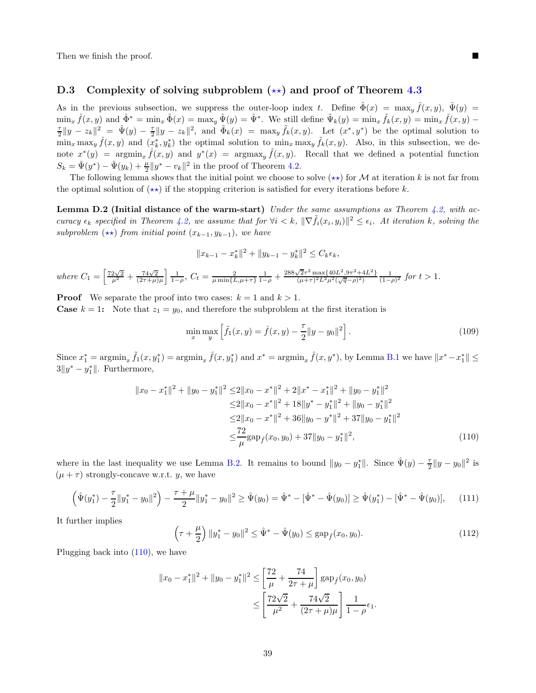Then we finish the proof.

### D.3 Complexity of solving subproblem  $(\star\star)$  and proof of Theorem [4.3](#page-11-3)

As in the previous subsection, we suppress the outer-loop index t. Define  $\hat{\Phi}(x) = \max_y \hat{f}(x, y)$ ,  $\hat{\Psi}(y) =$  $\min_x \hat{f}(x, y)$  and  $\hat{\Phi}^* = \min_x \hat{\Phi}(x) = \max_y \hat{\Psi}(y) = \hat{\Psi}^*$ . We still define  $\tilde{\Psi}_k(y) = \min_x \tilde{f}_k(x, y) = \min_x \hat{f}(x, y) - \hat{g}(x, y)$  $\frac{\tau}{2} \|y - z_k\|^2 = \hat{\Psi}(y) - \frac{\tau}{2} \|y - z_k\|^2$ , and  $\tilde{\Phi}_k(x) = \max_y \tilde{f}_k(x, y)$ . Let  $(x^*, y^*)$  be the optimal solution to  $\min_x \max_y \hat{f}(x, y)$  and  $(\bar{x}_k^*, y_k^*)$  the optimal solution to  $\min_x \max_y \tilde{f}_k(x, y)$ . Also, in this subsection, we denote  $x^*(y) = \operatorname{argmin}_x \hat{f}(x, y)$  and  $y^*(x) = \operatorname{argmax}_y \hat{f}(x, y)$ . Recall that we defined a potential function  $S_k = \hat{\Psi}(y^*) - \hat{\Psi}(y_k) + \frac{\mu}{2} ||y^* - v_k||^2$  in the proof of Theorem [4.2.](#page-11-2)

<span id="page-38-1"></span>The following lemma shows that the initial point we choose to solve  $(**)$  for M at iteration k is not far from the optimal solution of  $(\star \star)$  if the stopping criterion is satisfied for every iterations before k.

**Lemma D.2 (Initial distance of the warm-start)** Under the same assumptions as Theorem [4.2,](#page-11-2) with accuracy  $\epsilon_k$  specified in Theorem [4.2,](#page-11-2) we assume that for  $\forall i < k$ ,  $\|\nabla \tilde{f}_i(x_i, y_i)\|^2 \leq \epsilon_i$ . At iteration k, solving the subproblem  $(\star \star)$  from initial point  $(x_{k-1}, y_{k-1})$ , we have

$$
||x_{k-1} - x_k^*||^2 + ||y_{k-1} - y_k^*||^2 \le C_k \epsilon_k,
$$

where 
$$
C_1 = \left[\frac{72\sqrt{2}}{\mu^2} + \frac{74\sqrt{2}}{(2\tau+\mu)\mu}\right] \frac{1}{1-\rho}
$$
,  $C_t = \frac{2}{\mu \min\{L, \mu+\tau\}} \frac{1}{1-\rho} + \frac{288\sqrt{2}\tau^2 \max\{40L^2, 9\tau^2 + 4L^2\}}{(\mu+\tau)^2 L^2 \mu^2 (\sqrt{q}-\rho)^2} \frac{1}{(1-\rho)^2}$  for  $t > 1$ .

**Proof** We separate the proof into two cases:  $k = 1$  and  $k > 1$ . **Case**  $k = 1$ : Note that  $z_1 = y_0$ , and therefore the subproblem at the first iteration is

<span id="page-38-0"></span>
$$
\min_{x} \max_{y} \left[ \tilde{f}_1(x, y) = \hat{f}(x, y) - \frac{\tau}{2} ||y - y_0||^2 \right].
$$
\n(109)

Since  $x_1^* = \operatorname{argmin}_x \tilde{f}_1(x, y_1^*) = \operatorname{argmin}_x \hat{f}(x, y_1^*)$  and  $x^* = \operatorname{argmin}_x \hat{f}(x, y^*)$ , by Lemma [B.1](#page-19-1) we have  $||x^* - x_1^*|| \le$  $3||y^* - y_1^*||$ . Furthermore,

$$
||x_0 - x_1^*||^2 + ||y_0 - y_1^*||^2 \le 2||x_0 - x^*||^2 + 2||x^* - x_1^*||^2 + ||y_0 - y_1^*||^2
$$
  
\n
$$
\le 2||x_0 - x^*||^2 + 18||y^* - y_1^*||^2 + ||y_0 - y_1^*||^2
$$
  
\n
$$
\le 2||x_0 - x^*||^2 + 36||y_0 - y^*||^2 + 37||y_0 - y_1^*||^2
$$
  
\n
$$
\le \frac{72}{\mu} \text{gap}_{\hat{f}}(x_0, y_0) + 37||y_0 - y_1^*||^2,
$$
\n(110)

where in the last inequality we use Lemma [B.2.](#page-19-2) It remains to bound  $||y_0 - y_1^*||$ . Since  $\hat{\Psi}(y) - \frac{\tau}{2} ||y - y_0||^2$  is  $(\mu + \tau)$  strongly-concave w.r.t. y, we have

$$
\left(\hat{\Psi}(y_1^*) - \frac{\tau}{2} \|y_1^* - y_0\|^2\right) - \frac{\tau + \mu}{2} \|y_1^* - y_0\|^2 \ge \hat{\Psi}(y_0) = \hat{\Psi}^* - \left[\hat{\Psi}^* - \hat{\Psi}(y_0)\right] \ge \hat{\Psi}(y_1^*) - \left[\hat{\Psi}^* - \hat{\Psi}(y_0)\right],\tag{111}
$$

It further implies

$$
\left(\tau + \frac{\mu}{2}\right) \|y_1^* - y_0\|^2 \le \hat{\Psi}^* - \hat{\Psi}(y_0) \le \text{gap}_{\hat{f}}(x_0, y_0). \tag{112}
$$

Plugging back into [\(110\)](#page-38-0), we have

$$
||x_0 - x_1^*||^2 + ||y_0 - y_1^*||^2 \le \left[\frac{72}{\mu} + \frac{74}{2\tau + \mu}\right] \operatorname{gap}_{\hat{f}}(x_0, y_0)
$$
  

$$
\le \left[\frac{72\sqrt{2}}{\mu^2} + \frac{74\sqrt{2}}{(2\tau + \mu)\mu}\right] \frac{1}{1 - \rho} \epsilon_1.
$$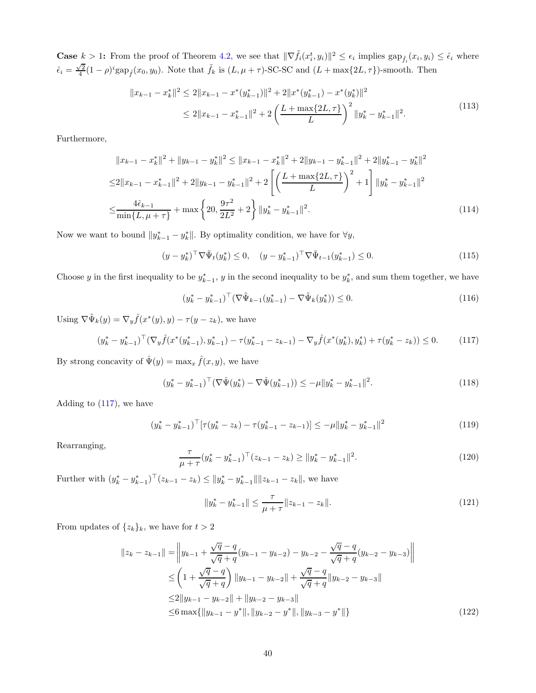**Case**  $k > 1$ : From the proof of Theorem [4.2,](#page-11-2) we see that  $\|\nabla \tilde{f}_i(x_i^t, y_i)\|^2 \leq \epsilon_i$  implies  $\text{gap}_{\tilde{f}_i}(x_i, y_i) \leq \hat{\epsilon}_i$  where  $\hat{\epsilon}_i = \frac{\sqrt{2}}{4}(1-\rho)^i \text{gap}_{\hat{f}}(x_0, y_0)$ . Note that  $\tilde{f}_k$  is  $(L, \mu + \tau)$ -SC-SC and  $(L + \max\{2L, \tau\})$ -smooth. Then

$$
||x_{k-1} - x_k^*||^2 \le 2||x_{k-1} - x^*(y_{k-1}^*)||^2 + 2||x^*(y_{k-1}^*) - x^*(y_k^*)||^2
$$
  
\n
$$
\le 2||x_{k-1} - x_{k-1}^*||^2 + 2\left(\frac{L + \max\{2L, \tau\}}{L}\right)^2 ||y_k^* - y_{k-1}^*||^2.
$$
\n(113)

Furthermore,

$$
||x_{k-1} - x_k^*||^2 + ||y_{k-1} - y_k^*||^2 \le ||x_{k-1} - x_k^*||^2 + 2||y_{k-1} - y_{k-1}^*||^2 + 2||y_{k-1}^* - y_k^*||^2
$$
  
\n
$$
\le 2||x_{k-1} - x_{k-1}^*||^2 + 2||y_{k-1} - y_{k-1}^*||^2 + 2\left[\left(\frac{L + \max\{2L, \tau\}}{L}\right)^2 + 1\right]||y_k^* - y_{k-1}^*||^2
$$
  
\n
$$
\le \frac{4\hat{\epsilon}_{k-1}}{\min\{L, \mu + \tau\}} + \max\left\{20, \frac{9\tau^2}{2L^2} + 2\right\}||y_k^* - y_{k-1}^*||^2.
$$
\n(114)

Now we want to bound  $||y_{k-1}^* - y_k^*||$ . By optimality condition, we have for  $\forall y$ ,

$$
(y - y_k^*)^\top \nabla \tilde{\Psi}_t(y_k^*) \le 0, \quad (y - y_{k-1}^*)^\top \nabla \tilde{\Psi}_{t-1}(y_{k-1}^*) \le 0. \tag{115}
$$

Choose y in the first inequality to be  $y_{k-1}^*$ , y in the second inequality to be  $y_k^*$ , and sum them together, we have

<span id="page-39-2"></span>
$$
(y_k^* - y_{k-1}^*)^\top (\nabla \tilde{\Psi}_{k-1}(y_{k-1}^*) - \nabla \tilde{\Psi}_k(y_k^*)) \le 0.
$$
\n(116)

Using  $\nabla \tilde{\Psi}_k(y) = \nabla_y \hat{f}(x^*(y), y) - \tau(y - z_k)$ , we have

<span id="page-39-0"></span>
$$
(y_k^* - y_{k-1}^*)^\top (\nabla_y \hat{f}(x^*(y_{k-1}^*), y_{k-1}^*) - \tau(y_{k-1}^* - z_{k-1}) - \nabla_y \hat{f}(x^*(y_k^*), y_k^*) + \tau(y_k^* - z_k)) \le 0. \tag{117}
$$

By strong concavity of  $\hat{\Psi}(y) = \max_x \hat{f}(x, y)$ , we have

$$
(y_k^* - y_{k-1}^*)^\top (\nabla \hat{\Psi}(y_k^*) - \nabla \hat{\Psi}(y_{k-1}^*)) \le -\mu \|y_k^* - y_{k-1}^*\|^2.
$$
\n(118)

Adding to [\(117\)](#page-39-0), we have

$$
(y_k^* - y_{k-1}^*)^\top [\tau (y_k^* - z_k) - \tau (y_{k-1}^* - z_{k-1})] \le -\mu \|y_k^* - y_{k-1}^*\|^2
$$
\n(119)

Rearranging,

$$
\frac{\tau}{\mu + \tau} (y_k^* - y_{k-1}^*)^\top (z_{k-1} - z_k) \ge ||y_k^* - y_{k-1}^*||^2.
$$
\n(120)

Further with  $(y_k^* - y_{k-1}^*)^\top (z_{k-1} - z_k) \le ||y_k^* - y_{k-1}^*|| ||z_{k-1} - z_k||$ , we have

<span id="page-39-1"></span>
$$
||y_k^* - y_{k-1}^*|| \le \frac{\tau}{\mu + \tau} ||z_{k-1} - z_k||. \tag{121}
$$

From updates of  $\{z_k\}_k$ , we have for  $t > 2$ 

$$
||z_{k} - z_{k-1}|| = \left||y_{k-1} + \frac{\sqrt{q} - q}{\sqrt{q} + q}(y_{k-1} - y_{k-2}) - y_{k-2} - \frac{\sqrt{q} - q}{\sqrt{q} + q}(y_{k-2} - y_{k-3})\right||
$$
  
\n
$$
\leq \left(1 + \frac{\sqrt{q} - q}{\sqrt{q} + q}\right) ||y_{k-1} - y_{k-2}|| + \frac{\sqrt{q} - q}{\sqrt{q} + q} ||y_{k-2} - y_{k-3}||
$$
  
\n
$$
\leq 2||y_{k-1} - y_{k-2}|| + ||y_{k-2} - y_{k-3}||
$$
  
\n
$$
\leq 6 \max\{||y_{k-1} - y^*||, ||y_{k-2} - y^*||, ||y_{k-3} - y^*||\}
$$
\n(122)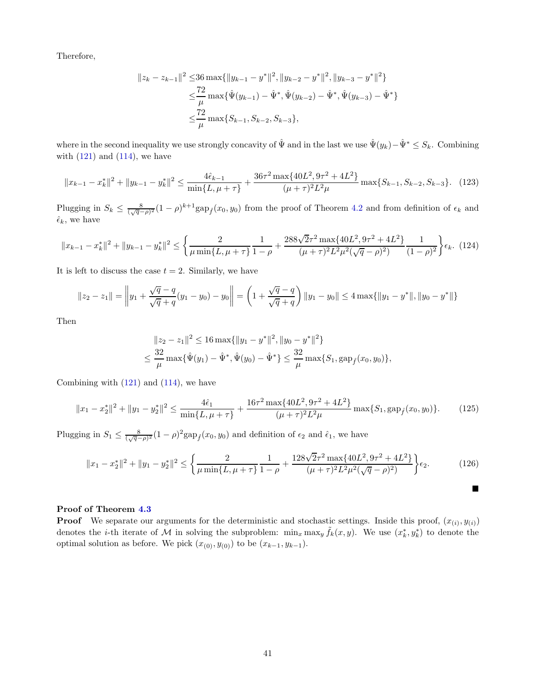Therefore,

$$
||z_{k} - z_{k-1}||^{2} \le 36 \max\{||y_{k-1} - y^{*}||^{2}, ||y_{k-2} - y^{*}||^{2}, ||y_{k-3} - y^{*}||^{2}\}
$$
  

$$
\le \frac{72}{\mu} \max\{\hat{\Psi}(y_{k-1}) - \hat{\Psi}^{*}, \hat{\Psi}(y_{k-2}) - \hat{\Psi}^{*}, \hat{\Psi}(y_{k-3}) - \hat{\Psi}^{*}\}
$$
  

$$
\le \frac{72}{\mu} \max\{S_{k-1}, S_{k-2}, S_{k-3}\},
$$

where in the second inequality we use strongly concavity of  $\hat{\Psi}$  and in the last we use  $\hat{\Psi}(y_k)-\hat{\Psi}^* \leq S_k$ . Combining with  $(121)$  and  $(114)$ , we have

$$
||x_{k-1} - x_k^*||^2 + ||y_{k-1} - y_k^*||^2 \le \frac{4\hat{\epsilon}_{k-1}}{\min\{L, \mu + \tau\}} + \frac{36\tau^2 \max\{40L^2, 9\tau^2 + 4L^2\}}{(\mu + \tau)^2 L^2 \mu} \max\{S_{k-1}, S_{k-2}, S_{k-3}\}. \tag{123}
$$

Plugging in  $S_k \n\t\leq \frac{8}{(\sqrt{q}-\rho)^2}(1-\rho)^{k+1} \text{gap}_{\hat{f}}(x_0, y_0)$  from the proof of Theorem [4.2](#page-11-2) and from definition of  $\epsilon_k$  and  $\hat{\epsilon}_k$ , we have

$$
||x_{k-1} - x_k^*||^2 + ||y_{k-1} - y_k^*||^2 \le \left\{ \frac{2}{\mu \min\{L, \mu + \tau\}} \frac{1}{1 - \rho} + \frac{288\sqrt{2}\tau^2 \max\{40L^2, 9\tau^2 + 4L^2\}}{(\mu + \tau)^2 L^2 \mu^2 (\sqrt{q} - \rho)^2} \frac{1}{(1 - \rho)^2} \right\} \epsilon_k. \tag{124}
$$

It is left to discuss the case  $t = 2$ . Similarly, we have

$$
||z_2 - z_1|| = \left||y_1 + \frac{\sqrt{q} - q}{\sqrt{q} + q}(y_1 - y_0) - y_0\right|| = \left(1 + \frac{\sqrt{q} - q}{\sqrt{q} + q}\right)||y_1 - y_0|| \le 4 \max\{||y_1 - y^*||, ||y_0 - y^*||\}
$$

Then

$$
||z_2 - z_1||^2 \le 16 \max\{||y_1 - y^*||^2, ||y_0 - y^*||^2\}
$$
  

$$
\le \frac{32}{\mu} \max\{\hat{\Psi}(y_1) - \hat{\Psi}^*, \hat{\Psi}(y_0) - \hat{\Psi}^*\} \le \frac{32}{\mu} \max\{S_1, \text{gap}_{\hat{f}}(x_0, y_0)\},
$$

Combining with [\(121\)](#page-39-1) and [\(114\)](#page-39-2), we have

$$
||x_1 - x_2^*||^2 + ||y_1 - y_2^*||^2 \le \frac{4\hat{\epsilon}_1}{\min\{L, \mu + \tau\}} + \frac{16\tau^2 \max\{40L^2, 9\tau^2 + 4L^2\}}{(\mu + \tau)^2 L^2 \mu} \max\{S_1, \text{gap}_{\hat{f}}(x_0, y_0)\}.
$$
 (125)

Plugging in  $S_1 \leq \frac{8}{(\sqrt{q}-\rho)^2} (1-\rho)^2 \text{gap}_{\hat{f}}(x_0, y_0)$  and definition of  $\epsilon_2$  and  $\hat{\epsilon}_1$ , we have

$$
||x_1 - x_2^*||^2 + ||y_1 - y_2^*||^2 \le \left\{ \frac{2}{\mu \min\{L, \mu + \tau\}} \frac{1}{1 - \rho} + \frac{128\sqrt{2}\tau^2 \max\{40L^2, 9\tau^2 + 4L^2\}}{(\mu + \tau)^2 L^2 \mu^2 (\sqrt{q} - \rho)^2)} \right\} \epsilon_2.
$$
 (126)

 $\blacksquare$ 

#### Proof of Theorem [4.3](#page-11-3)

**Proof** We separate our arguments for the deterministic and stochastic settings. Inside this proof,  $(x_{(i)}, y_{(i)})$ denotes the *i*-th iterate of M in solving the subproblem:  $\min_x \max_y \tilde{f}_k(x,y)$ . We use  $(x_k^*, y_k^*)$  to denote the optimal solution as before. We pick  $(x_{(0)}, y_{(0)})$  to be  $(x_{k-1}, y_{k-1})$ .